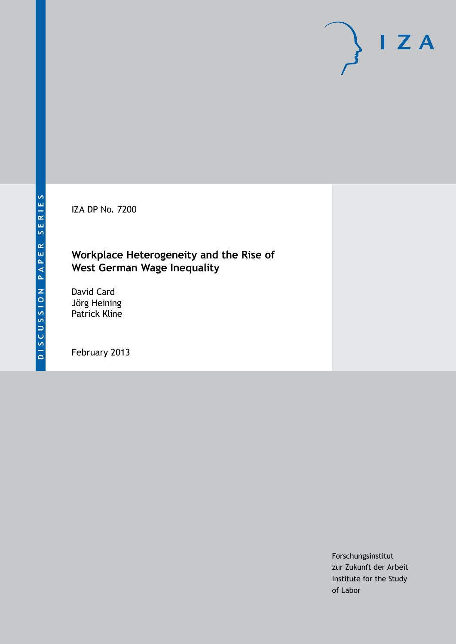IZA DP No. 7200

# **Workplace Heterogeneity and the Rise of West German Wage Inequality**

David Card Jörg Heining Patrick Kline

February 2013

Forschungsinstitut zur Zukunft der Arbeit Institute for the Study of Labor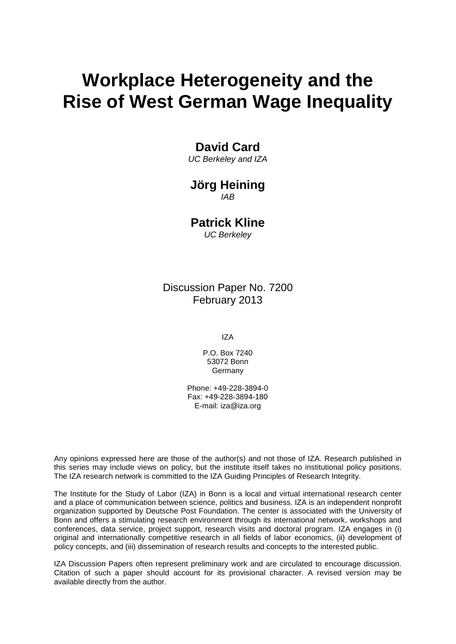# **Workplace Heterogeneity and the Rise of West German Wage Inequality**

### **David Card**

*UC Berkeley and IZA*

### **Jörg Heining** *IAB*

# **Patrick Kline**

*UC Berkeley*

### Discussion Paper No. 7200 February 2013

IZA

P.O. Box 7240 53072 Bonn Germany

Phone: +49-228-3894-0 Fax: +49-228-3894-180 E-mail: [iza@iza.org](mailto:iza@iza.org)

Any opinions expressed here are those of the author(s) and not those of IZA. Research published in this series may include views on policy, but the institute itself takes no institutional policy positions. The IZA research network is committed to the IZA Guiding Principles of Research Integrity.

The Institute for the Study of Labor (IZA) in Bonn is a local and virtual international research center and a place of communication between science, politics and business. IZA is an independent nonprofit organization supported by Deutsche Post Foundation. The center is associated with the University of Bonn and offers a stimulating research environment through its international network, workshops and conferences, data service, project support, research visits and doctoral program. IZA engages in (i) original and internationally competitive research in all fields of labor economics, (ii) development of policy concepts, and (iii) dissemination of research results and concepts to the interested public.

<span id="page-1-0"></span>IZA Discussion Papers often represent preliminary work and are circulated to encourage discussion. Citation of such a paper should account for its provisional character. A revised version may be available directly from the author.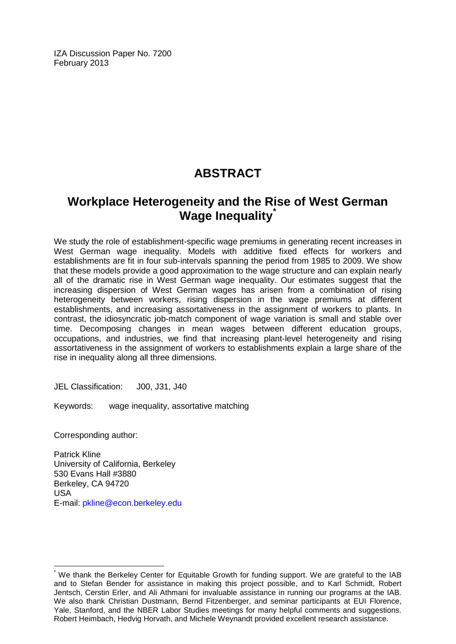IZA Discussion Paper No. 7200 February 2013

# **ABSTRACT**

# **Workplace Heterogeneity and the Rise of West German Wage Inequality[\\*](#page-1-0)**

We study the role of establishment-specific wage premiums in generating recent increases in West German wage inequality. Models with additive fixed effects for workers and establishments are fit in four sub-intervals spanning the period from 1985 to 2009. We show that these models provide a good approximation to the wage structure and can explain nearly all of the dramatic rise in West German wage inequality. Our estimates suggest that the increasing dispersion of West German wages has arisen from a combination of rising heterogeneity between workers, rising dispersion in the wage premiums at different establishments, and increasing assortativeness in the assignment of workers to plants. In contrast, the idiosyncratic job-match component of wage variation is small and stable over time. Decomposing changes in mean wages between different education groups, occupations, and industries, we find that increasing plant-level heterogeneity and rising assortativeness in the assignment of workers to establishments explain a large share of the rise in inequality along all three dimensions.

JEL Classification: J00, J31, J40

Keywords: wage inequality, assortative matching

Corresponding author:

Patrick Kline University of California, Berkeley 530 Evans Hall #3880 Berkeley, CA 94720 USA E-mail: [pkline@econ.berkeley.edu](mailto:pkline@econ.berkeley.edu)

We thank the Berkeley Center for Equitable Growth for funding support. We are grateful to the IAB and to Stefan Bender for assistance in making this project possible, and to Karl Schmidt, Robert Jentsch, Cerstin Erler, and Ali Athmani for invaluable assistance in running our programs at the IAB. We also thank Christian Dustmann, Bernd Fitzenberger, and seminar participants at EUI Florence, Yale, Stanford, and the NBER Labor Studies meetings for many helpful comments and suggestions. Robert Heimbach, Hedvig Horvath, and Michele Weynandt provided excellent research assistance.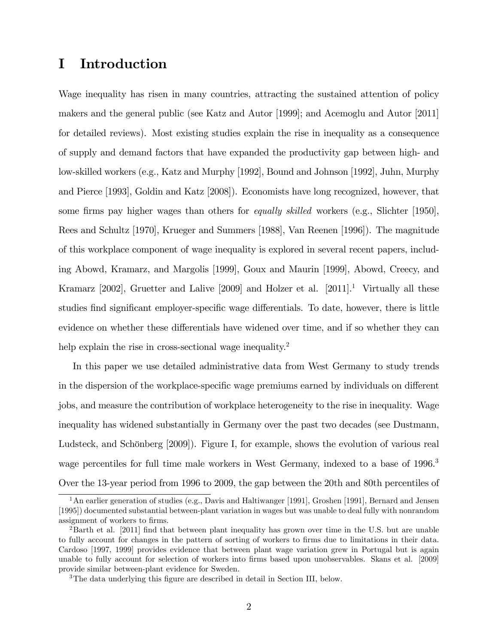## I Introduction

Wage inequality has risen in many countries, attracting the sustained attention of policy makers and the general public (see Katz and Autor [1999]; and Acemoglu and Autor [2011] for detailed reviews). Most existing studies explain the rise in inequality as a consequence of supply and demand factors that have expanded the productivity gap between high- and low-skilled workers (e.g., Katz and Murphy [1992], Bound and Johnson [1992], Juhn, Murphy and Pierce [1993], Goldin and Katz [2008]). Economists have long recognized, however, that some firms pay higher wages than others for *equally skilled* workers (e.g., Slichter [1950], Rees and Schultz [1970], Krueger and Summers [1988], Van Reenen [1996]). The magnitude of this workplace component of wage inequality is explored in several recent papers, including Abowd, Kramarz, and Margolis [1999], Goux and Maurin [1999], Abowd, Creecy, and Kramarz  $[2002]$ , Gruetter and Lalive  $[2009]$  and Holzer et al.  $[2011]$ <sup>1</sup>. Virtually all these studies find significant employer-specific wage differentials. To date, however, there is little evidence on whether these differentials have widened over time, and if so whether they can help explain the rise in cross-sectional wage inequality.<sup>2</sup>

In this paper we use detailed administrative data from West Germany to study trends in the dispersion of the workplace-specific wage premiums earned by individuals on different jobs, and measure the contribution of workplace heterogeneity to the rise in inequality. Wage inequality has widened substantially in Germany over the past two decades (see Dustmann, Ludsteck, and Schönberg [2009]). Figure I, for example, shows the evolution of various real wage percentiles for full time male workers in West Germany, indexed to a base of 1996.<sup>3</sup> Over the 13-year period from 1996 to 2009, the gap between the 20th and 80th percentiles of

<sup>&</sup>lt;sup>1</sup>An earlier generation of studies (e.g., Davis and Haltiwanger [1991], Groshen [1991], Bernard and Jensen [1995]) documented substantial between-plant variation in wages but was unable to deal fully with nonrandom assignment of workers to firms.

<sup>&</sup>lt;sup>2</sup>Barth et al. [2011] find that between plant inequality has grown over time in the U.S. but are unable to fully account for changes in the pattern of sorting of workers to firms due to limitations in their data. Cardoso [1997, 1999] provides evidence that between plant wage variation grew in Portugal but is again unable to fully account for selection of workers into firms based upon unobservables. Skans et al. [2009] provide similar between-plant evidence for Sweden.

<sup>&</sup>lt;sup>3</sup>The data underlying this figure are described in detail in Section III, below.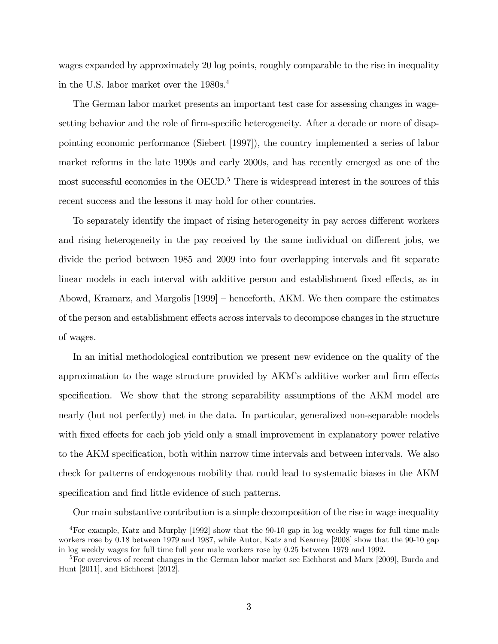wages expanded by approximately 20 log points, roughly comparable to the rise in inequality in the U.S. labor market over the 1980s.<sup>4</sup>

The German labor market presents an important test case for assessing changes in wagesetting behavior and the role of firm-specific heterogeneity. After a decade or more of disappointing economic performance (Siebert [1997]), the country implemented a series of labor market reforms in the late 1990s and early 2000s, and has recently emerged as one of the most successful economies in the OECD.<sup>5</sup> There is widespread interest in the sources of this recent success and the lessons it may hold for other countries.

To separately identify the impact of rising heterogeneity in pay across different workers and rising heterogeneity in the pay received by the same individual on different jobs, we divide the period between 1985 and 2009 into four overlapping intervals and fit separate linear models in each interval with additive person and establishment fixed effects, as in Abowd, Kramarz, and Margolis  $[1999]$  – henceforth, AKM. We then compare the estimates of the person and establishment effects across intervals to decompose changes in the structure of wages.

In an initial methodological contribution we present new evidence on the quality of the approximation to the wage structure provided by AKM's additive worker and firm effects specification. We show that the strong separability assumptions of the AKM model are nearly (but not perfectly) met in the data. In particular, generalized non-separable models with fixed effects for each job yield only a small improvement in explanatory power relative to the AKM specification, both within narrow time intervals and between intervals. We also check for patterns of endogenous mobility that could lead to systematic biases in the AKM specification and find little evidence of such patterns.

Our main substantive contribution is a simple decomposition of the rise in wage inequality

<sup>4</sup>For example, Katz and Murphy [1992] show that the 90-10 gap in log weekly wages for full time male workers rose by 0.18 between 1979 and 1987, while Autor, Katz and Kearney [2008] show that the 90-10 gap in log weekly wages for full time full year male workers rose by 0.25 between 1979 and 1992.

<sup>&</sup>lt;sup>5</sup>For overviews of recent changes in the German labor market see Eichhorst and Marx [2009], Burda and Hunt [2011], and Eichhorst [2012].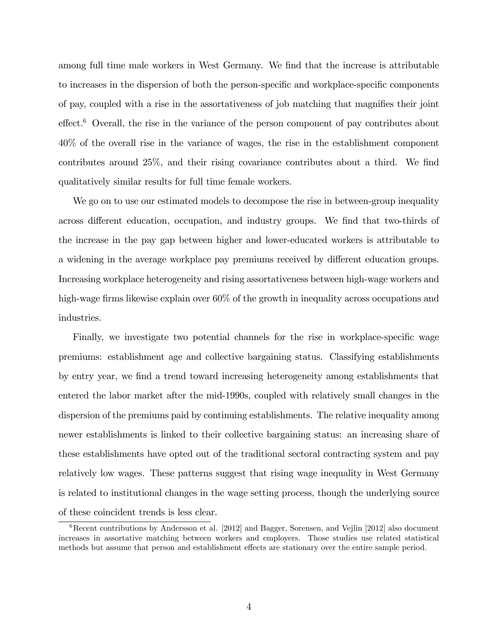among full time male workers in West Germany. We find that the increase is attributable to increases in the dispersion of both the person-specific and workplace-specific components of pay, coupled with a rise in the assortativeness of job matching that magnifies their joint  $effect.<sup>6</sup> Overall, the rise in the variance of the person component of pay contributes about$ 40% of the overall rise in the variance of wages, the rise in the establishment component contributes around  $25\%$ , and their rising covariance contributes about a third. We find qualitatively similar results for full time female workers.

We go on to use our estimated models to decompose the rise in between-group inequality across different education, occupation, and industry groups. We find that two-thirds of the increase in the pay gap between higher and lower-educated workers is attributable to a widening in the average workplace pay premiums received by different education groups. Increasing workplace heterogeneity and rising assortativeness between high-wage workers and high-wage firms likewise explain over  $60\%$  of the growth in inequality across occupations and industries.

Finally, we investigate two potential channels for the rise in workplace-specific wage premiums: establishment age and collective bargaining status. Classifying establishments by entry year, we Önd a trend toward increasing heterogeneity among establishments that entered the labor market after the mid-1990s, coupled with relatively small changes in the dispersion of the premiums paid by continuing establishments. The relative inequality among newer establishments is linked to their collective bargaining status: an increasing share of these establishments have opted out of the traditional sectoral contracting system and pay relatively low wages. These patterns suggest that rising wage inequality in West Germany is related to institutional changes in the wage setting process, though the underlying source of these coincident trends is less clear.

 ${}^{6}$ Recent contributions by Andersson et al. [2012] and Bagger, Sorensen, and Vejlin [2012] also document increases in assortative matching between workers and employers. Those studies use related statistical methods but assume that person and establishment effects are stationary over the entire sample period.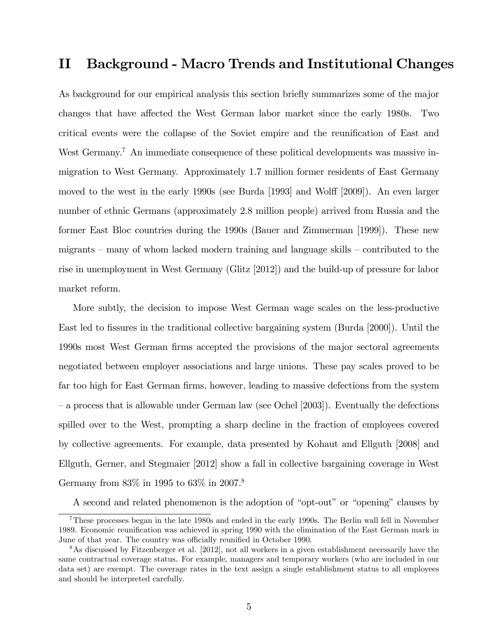### II Background - Macro Trends and Institutional Changes

As background for our empirical analysis this section briefly summarizes some of the major changes that have affected the West German labor market since the early 1980s. Two critical events were the collapse of the Soviet empire and the reunification of East and West Germany.<sup>7</sup> An immediate consequence of these political developments was massive inmigration to West Germany. Approximately 1.7 million former residents of East Germany moved to the west in the early 1990s (see Burda [1993] and Wolff [2009]). An even larger number of ethnic Germans (approximately 2.8 million people) arrived from Russia and the former East Bloc countries during the 1990s (Bauer and Zimmerman [1999]). These new migrants  $-$  many of whom lacked modern training and language skills  $-$  contributed to the rise in unemployment in West Germany (Glitz [2012]) and the build-up of pressure for labor market reform.

More subtly, the decision to impose West German wage scales on the less-productive East led to fissures in the traditional collective bargaining system (Burda [2000]). Until the 1990s most West German Örms accepted the provisions of the major sectoral agreements negotiated between employer associations and large unions. These pay scales proved to be far too high for East German firms, however, leading to massive defections from the system  $\sim$  a process that is allowable under German law (see Ochel [2003]). Eventually the defections spilled over to the West, prompting a sharp decline in the fraction of employees covered by collective agreements. For example, data presented by Kohaut and Ellguth [2008] and Ellguth, Gerner, and Stegmaier [2012] show a fall in collective bargaining coverage in West Germany from 83% in 1995 to 63% in 2007.<sup>8</sup>

A second and related phenomenon is the adoption of "opt-out" or "opening" clauses by

<sup>7</sup>These processes began in the late 1980s and ended in the early 1990s. The Berlin wall fell in November 1989. Economic reunification was achieved in spring 1990 with the elimination of the East German mark in June of that year. The country was officially reunified in October 1990.

<sup>&</sup>lt;sup>8</sup>As discussed by Fitzenberger et al. [2012], not all workers in a given establishment necessarily have the same contractual coverage status. For example, managers and temporary workers (who are included in our data set) are exempt. The coverage rates in the text assign a single establishment status to all employees and should be interpreted carefully.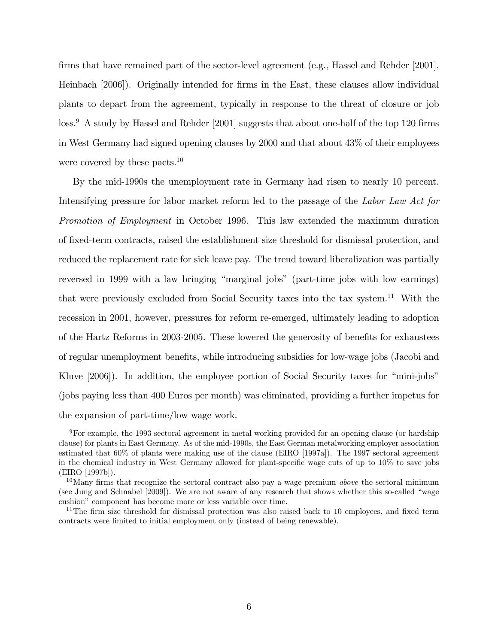firms that have remained part of the sector-level agreement (e.g., Hassel and Rehder [2001], Heinbach [2006]). Originally intended for firms in the East, these clauses allow individual plants to depart from the agreement, typically in response to the threat of closure or job  $\cos^9$  A study by Hassel and Rehder [2001] suggests that about one-half of the top 120 firms in West Germany had signed opening clauses by 2000 and that about 43% of their employees were covered by these pacts. $10$ 

By the mid-1990s the unemployment rate in Germany had risen to nearly 10 percent. Intensifying pressure for labor market reform led to the passage of the Labor Law Act for Promotion of Employment in October 1996. This law extended the maximum duration of Öxed-term contracts, raised the establishment size threshold for dismissal protection, and reduced the replacement rate for sick leave pay. The trend toward liberalization was partially reversed in 1999 with a law bringing "marginal jobs" (part-time jobs with low earnings) that were previously excluded from Social Security taxes into the tax system.<sup>11</sup> With the recession in 2001, however, pressures for reform re-emerged, ultimately leading to adoption of the Hartz Reforms in 2003-2005. These lowered the generosity of benefits for exhaustees of regular unemployment benefits, while introducing subsidies for low-wage jobs (Jacobi and Kluve  $[2006]$ . In addition, the employee portion of Social Security taxes for "mini-jobs" (jobs paying less than 400 Euros per month) was eliminated, providing a further impetus for the expansion of part-time/low wage work.

<sup>&</sup>lt;sup>9</sup>For example, the 1993 sectoral agreement in metal working provided for an opening clause (or hardship clause) for plants in East Germany. As of the mid-1990s, the East German metalworking employer association estimated that 60% of plants were making use of the clause (EIRO [1997a]). The 1997 sectoral agreement in the chemical industry in West Germany allowed for plant-specific wage cuts of up to  $10\%$  to save jobs (EIRO [1997b]).

 $10$ Many firms that recognize the sectoral contract also pay a wage premium *above* the sectoral minimum (see Jung and Schnabel  $[2009]$ ). We are not aware of any research that shows whether this so-called "wage cushion" component has become more or less variable over time.

<sup>&</sup>lt;sup>11</sup>The firm size threshold for dismissal protection was also raised back to 10 employees, and fixed term contracts were limited to initial employment only (instead of being renewable).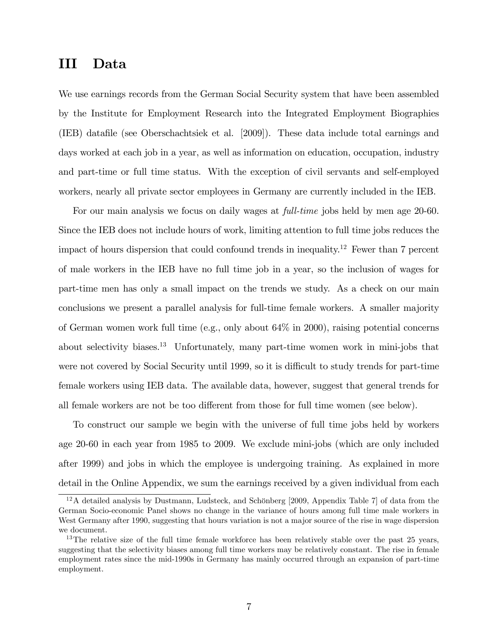## III Data

We use earnings records from the German Social Security system that have been assembled by the Institute for Employment Research into the Integrated Employment Biographies (IEB) datafile (see Oberschachtsiek et al. [2009]). These data include total earnings and days worked at each job in a year, as well as information on education, occupation, industry and part-time or full time status. With the exception of civil servants and self-employed workers, nearly all private sector employees in Germany are currently included in the IEB.

For our main analysis we focus on daily wages at *full-time* jobs held by men age 20-60. Since the IEB does not include hours of work, limiting attention to full time jobs reduces the impact of hours dispersion that could confound trends in inequality.<sup>12</sup> Fewer than 7 percent of male workers in the IEB have no full time job in a year, so the inclusion of wages for part-time men has only a small impact on the trends we study. As a check on our main conclusions we present a parallel analysis for full-time female workers. A smaller majority of German women work full time (e.g., only about 64% in 2000), raising potential concerns about selectivity biases.<sup>13</sup> Unfortunately, many part-time women work in mini-jobs that were not covered by Social Security until 1999, so it is difficult to study trends for part-time female workers using IEB data. The available data, however, suggest that general trends for all female workers are not be too different from those for full time women (see below).

To construct our sample we begin with the universe of full time jobs held by workers age 20-60 in each year from 1985 to 2009. We exclude mini-jobs (which are only included after 1999) and jobs in which the employee is undergoing training. As explained in more detail in the Online Appendix, we sum the earnings received by a given individual from each

 $12A$  detailed analysis by Dustmann, Ludsteck, and Schönberg [2009, Appendix Table 7] of data from the German Socio-economic Panel shows no change in the variance of hours among full time male workers in West Germany after 1990, suggesting that hours variation is not a major source of the rise in wage dispersion we document.

 $13$ The relative size of the full time female workforce has been relatively stable over the past 25 years, suggesting that the selectivity biases among full time workers may be relatively constant. The rise in female employment rates since the mid-1990s in Germany has mainly occurred through an expansion of part-time employment.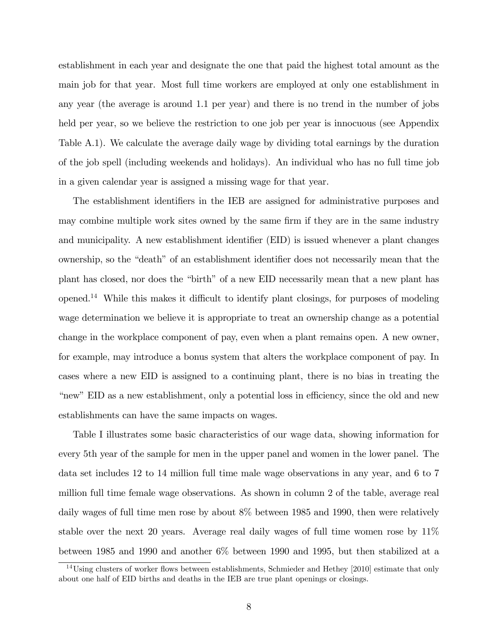establishment in each year and designate the one that paid the highest total amount as the main job for that year. Most full time workers are employed at only one establishment in any year (the average is around 1.1 per year) and there is no trend in the number of jobs held per year, so we believe the restriction to one job per year is innocuous (see Appendix Table A.1). We calculate the average daily wage by dividing total earnings by the duration of the job spell (including weekends and holidays). An individual who has no full time job in a given calendar year is assigned a missing wage for that year.

The establishment identifiers in the IEB are assigned for administrative purposes and may combine multiple work sites owned by the same firm if they are in the same industry and municipality. A new establishment identifier (EID) is issued whenever a plant changes ownership, so the "death" of an establishment identifier does not necessarily mean that the plant has closed, nor does the "birth" of a new EID necessarily mean that a new plant has opened.<sup>14</sup> While this makes it difficult to identify plant closings, for purposes of modeling wage determination we believe it is appropriate to treat an ownership change as a potential change in the workplace component of pay, even when a plant remains open. A new owner, for example, may introduce a bonus system that alters the workplace component of pay. In cases where a new EID is assigned to a continuing plant, there is no bias in treating the "new" EID as a new establishment, only a potential loss in efficiency, since the old and new establishments can have the same impacts on wages.

Table I illustrates some basic characteristics of our wage data, showing information for every 5th year of the sample for men in the upper panel and women in the lower panel. The data set includes 12 to 14 million full time male wage observations in any year, and 6 to 7 million full time female wage observations. As shown in column 2 of the table, average real daily wages of full time men rose by about 8% between 1985 and 1990, then were relatively stable over the next 20 years. Average real daily wages of full time women rose by 11% between 1985 and 1990 and another 6% between 1990 and 1995, but then stabilized at a

 $14$ Using clusters of worker flows between establishments, Schmieder and Hethey [2010] estimate that only about one half of EID births and deaths in the IEB are true plant openings or closings.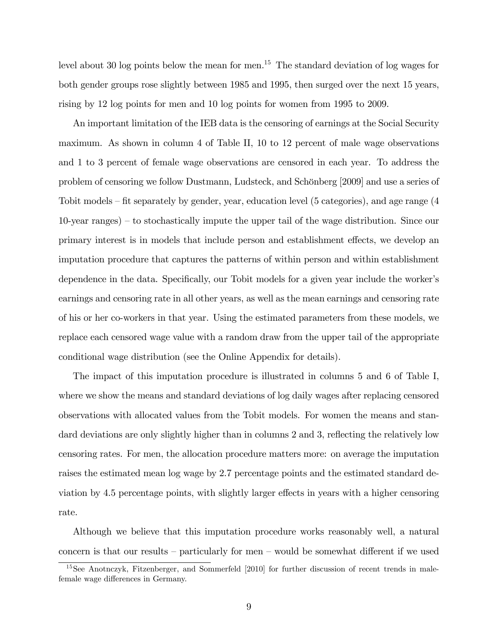level about 30 log points below the mean for men.<sup>15</sup> The standard deviation of log wages for both gender groups rose slightly between 1985 and 1995, then surged over the next 15 years, rising by 12 log points for men and 10 log points for women from 1995 to 2009.

An important limitation of the IEB data is the censoring of earnings at the Social Security maximum. As shown in column 4 of Table II, 10 to 12 percent of male wage observations and 1 to 3 percent of female wage observations are censored in each year. To address the problem of censoring we follow Dustmann, Ludsteck, and Schönberg [2009] and use a series of Tobit models  $\text{-}$  fit separately by gender, year, education level (5 categories), and age range (4  $10$ -year ranges) – to stochastically impute the upper tail of the wage distribution. Since our primary interest is in models that include person and establishment effects, we develop an imputation procedure that captures the patterns of within person and within establishment dependence in the data. Specifically, our Tobit models for a given year include the worker's earnings and censoring rate in all other years, as well as the mean earnings and censoring rate of his or her co-workers in that year. Using the estimated parameters from these models, we replace each censored wage value with a random draw from the upper tail of the appropriate conditional wage distribution (see the Online Appendix for details).

The impact of this imputation procedure is illustrated in columns 5 and 6 of Table I, where we show the means and standard deviations of log daily wages after replacing censored observations with allocated values from the Tobit models. For women the means and standard deviations are only slightly higher than in columns 2 and 3, reflecting the relatively low censoring rates. For men, the allocation procedure matters more: on average the imputation raises the estimated mean log wage by 2.7 percentage points and the estimated standard deviation by 4.5 percentage points, with slightly larger effects in years with a higher censoring rate.

Although we believe that this imputation procedure works reasonably well, a natural concern is that our results  $\sim$  particularly for men  $\sim$  would be somewhat different if we used

<sup>&</sup>lt;sup>15</sup>See Anotnczyk, Fitzenberger, and Sommerfeld [2010] for further discussion of recent trends in malefemale wage differences in Germany.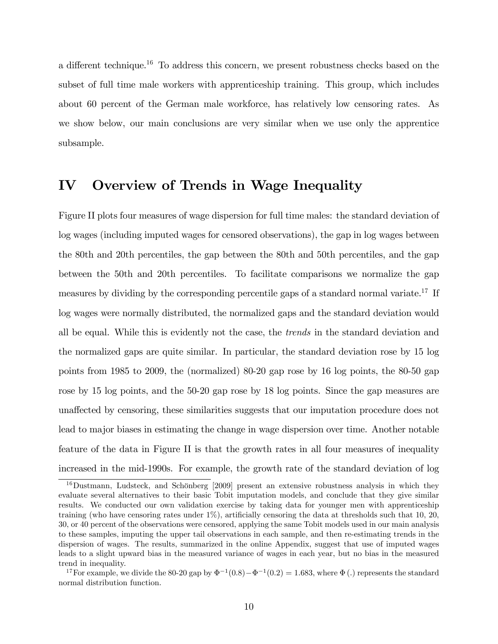a different technique.<sup>16</sup> To address this concern, we present robustness checks based on the subset of full time male workers with apprenticeship training. This group, which includes about 60 percent of the German male workforce, has relatively low censoring rates. As we show below, our main conclusions are very similar when we use only the apprentice subsample.

### IV Overview of Trends in Wage Inequality

Figure II plots four measures of wage dispersion for full time males: the standard deviation of log wages (including imputed wages for censored observations), the gap in log wages between the 80th and 20th percentiles, the gap between the 80th and 50th percentiles, and the gap between the 50th and 20th percentiles. To facilitate comparisons we normalize the gap measures by dividing by the corresponding percentile gaps of a standard normal variate.<sup>17</sup> If log wages were normally distributed, the normalized gaps and the standard deviation would all be equal. While this is evidently not the case, the trends in the standard deviation and the normalized gaps are quite similar. In particular, the standard deviation rose by 15 log points from 1985 to 2009, the (normalized) 80-20 gap rose by 16 log points, the 80-50 gap rose by 15 log points, and the 50-20 gap rose by 18 log points. Since the gap measures are una§ected by censoring, these similarities suggests that our imputation procedure does not lead to major biases in estimating the change in wage dispersion over time. Another notable feature of the data in Figure II is that the growth rates in all four measures of inequality increased in the mid-1990s. For example, the growth rate of the standard deviation of log

 $16$ Dustmann, Ludsteck, and Schönberg [2009] present an extensive robustness analysis in which they evaluate several alternatives to their basic Tobit imputation models, and conclude that they give similar results. We conducted our own validation exercise by taking data for younger men with apprenticeship training (who have censoring rates under  $1\%$ ), artificially censoring the data at thresholds such that 10, 20, 30, or 40 percent of the observations were censored, applying the same Tobit models used in our main analysis to these samples, imputing the upper tail observations in each sample, and then re-estimating trends in the dispersion of wages. The results, summarized in the online Appendix, suggest that use of imputed wages leads to a slight upward bias in the measured variance of wages in each year, but no bias in the measured trend in inequality.

<sup>&</sup>lt;sup>17</sup>For example, we divide the 80-20 gap by  $\Phi^{-1}(0.8) - \Phi^{-1}(0.2) = 1.683$ , where  $\Phi$  (.) represents the standard normal distribution function.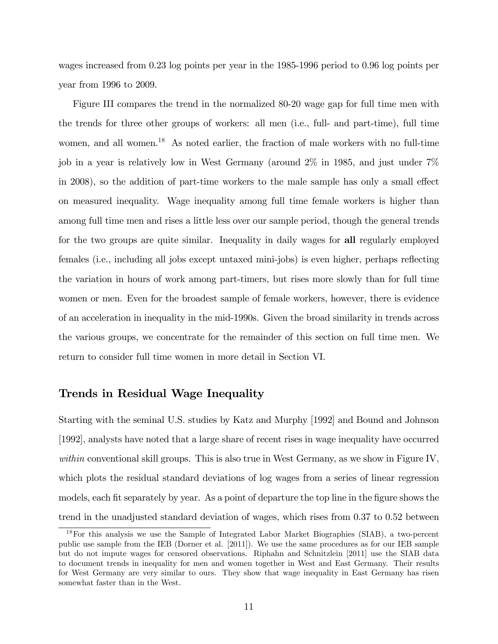wages increased from 0.23 log points per year in the 1985-1996 period to 0.96 log points per year from 1996 to 2009.

Figure III compares the trend in the normalized 80-20 wage gap for full time men with the trends for three other groups of workers: all men (i.e., full- and part-time), full time women, and all women.<sup>18</sup> As noted earlier, the fraction of male workers with no full-time job in a year is relatively low in West Germany (around 2% in 1985, and just under 7% in 2008), so the addition of part-time workers to the male sample has only a small effect on measured inequality. Wage inequality among full time female workers is higher than among full time men and rises a little less over our sample period, though the general trends for the two groups are quite similar. Inequality in daily wages for all regularly employed females (i.e., including all jobs except untaxed mini-jobs) is even higher, perhaps reflecting the variation in hours of work among part-timers, but rises more slowly than for full time women or men. Even for the broadest sample of female workers, however, there is evidence of an acceleration in inequality in the mid-1990s. Given the broad similarity in trends across the various groups, we concentrate for the remainder of this section on full time men. We return to consider full time women in more detail in Section VI.

### Trends in Residual Wage Inequality

Starting with the seminal U.S. studies by Katz and Murphy [1992] and Bound and Johnson [1992], analysts have noted that a large share of recent rises in wage inequality have occurred within conventional skill groups. This is also true in West Germany, as we show in Figure IV, which plots the residual standard deviations of log wages from a series of linear regression models, each fit separately by year. As a point of departure the top line in the figure shows the trend in the unadjusted standard deviation of wages, which rises from 0.37 to 0.52 between

<sup>18</sup>For this analysis we use the Sample of Integrated Labor Market Biographies (SIAB), a two-percent public use sample from the IEB (Dorner et al. [2011]). We use the same procedures as for our IEB sample but do not impute wages for censored observations. Riphahn and Schnitzlein [2011] use the SIAB data to document trends in inequality for men and women together in West and East Germany. Their results for West Germany are very similar to ours. They show that wage inequality in East Germany has risen somewhat faster than in the West.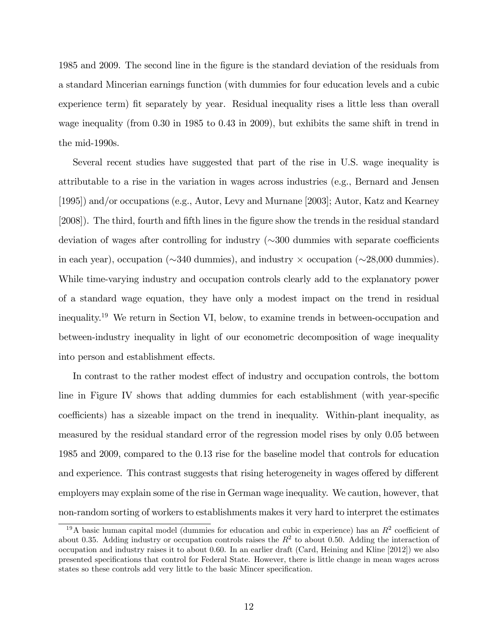1985 and 2009. The second line in the Ögure is the standard deviation of the residuals from a standard Mincerian earnings function (with dummies for four education levels and a cubic experience term) fit separately by year. Residual inequality rises a little less than overall wage inequality (from 0.30 in 1985 to 0.43 in 2009), but exhibits the same shift in trend in the mid-1990s.

Several recent studies have suggested that part of the rise in U.S. wage inequality is attributable to a rise in the variation in wages across industries (e.g., Bernard and Jensen [1995]) and/or occupations (e.g., Autor, Levy and Murnane [2003]; Autor, Katz and Kearney [2008]). The third, fourth and fifth lines in the figure show the trends in the residual standard deviation of wages after controlling for industry  $(\sim 300$  dummies with separate coefficients in each year), occupation ( $\sim$ 340 dummies), and industry  $\times$  occupation ( $\sim$ 28,000 dummies). While time-varying industry and occupation controls clearly add to the explanatory power of a standard wage equation, they have only a modest impact on the trend in residual inequality.<sup>19</sup> We return in Section VI, below, to examine trends in between-occupation and between-industry inequality in light of our econometric decomposition of wage inequality into person and establishment effects.

In contrast to the rather modest effect of industry and occupation controls, the bottom line in Figure IV shows that adding dummies for each establishment (with year-specific coefficients) has a sizeable impact on the trend in inequality. Within-plant inequality, as measured by the residual standard error of the regression model rises by only 0.05 between 1985 and 2009, compared to the 0.13 rise for the baseline model that controls for education and experience. This contrast suggests that rising heterogeneity in wages offered by different employers may explain some of the rise in German wage inequality. We caution, however, that non-random sorting of workers to establishments makes it very hard to interpret the estimates

<sup>&</sup>lt;sup>19</sup>A basic human capital model (dummies for education and cubic in experience) has an  $R^2$  coefficient of about 0.35. Adding industry or occupation controls raises the  $R<sup>2</sup>$  to about 0.50. Adding the interaction of occupation and industry raises it to about 0.60. In an earlier draft (Card, Heining and Kline [2012]) we also presented specifications that control for Federal State. However, there is little change in mean wages across states so these controls add very little to the basic Mincer specification.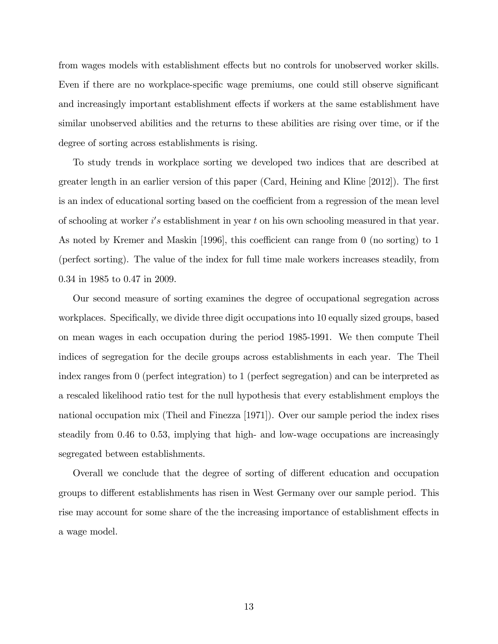from wages models with establishment effects but no controls for unobserved worker skills. Even if there are no workplace-specific wage premiums, one could still observe significant and increasingly important establishment effects if workers at the same establishment have similar unobserved abilities and the returns to these abilities are rising over time, or if the degree of sorting across establishments is rising.

To study trends in workplace sorting we developed two indices that are described at greater length in an earlier version of this paper (Card, Heining and Kline  $[2012]$ ). The first is an index of educational sorting based on the coefficient from a regression of the mean level of schooling at worker  $i's$  establishment in year t on his own schooling measured in that year. As noted by Kremer and Maskin [1996], this coefficient can range from 0 (no sorting) to 1 (perfect sorting). The value of the index for full time male workers increases steadily, from 0.34 in 1985 to 0.47 in 2009.

Our second measure of sorting examines the degree of occupational segregation across workplaces. Specifically, we divide three digit occupations into 10 equally sized groups, based on mean wages in each occupation during the period 1985-1991. We then compute Theil indices of segregation for the decile groups across establishments in each year. The Theil index ranges from 0 (perfect integration) to 1 (perfect segregation) and can be interpreted as a rescaled likelihood ratio test for the null hypothesis that every establishment employs the national occupation mix (Theil and Finezza [1971]). Over our sample period the index rises steadily from 0.46 to 0.53, implying that high- and low-wage occupations are increasingly segregated between establishments.

Overall we conclude that the degree of sorting of different education and occupation groups to different establishments has risen in West Germany over our sample period. This rise may account for some share of the the increasing importance of establishment effects in a wage model.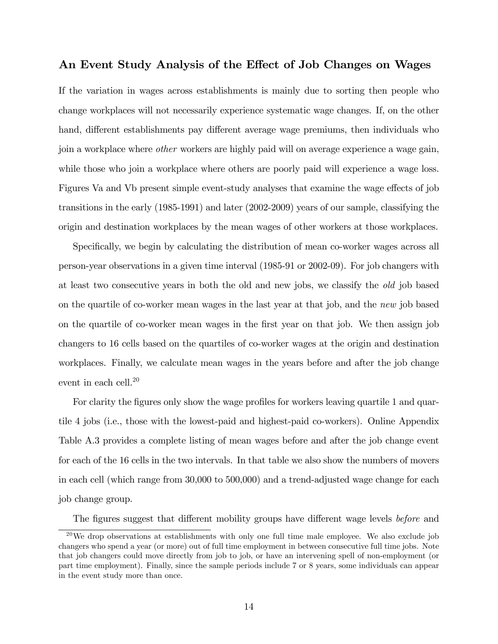### An Event Study Analysis of the Effect of Job Changes on Wages

If the variation in wages across establishments is mainly due to sorting then people who change workplaces will not necessarily experience systematic wage changes. If, on the other hand, different establishments pay different average wage premiums, then individuals who join a workplace where other workers are highly paid will on average experience a wage gain, while those who join a workplace where others are poorly paid will experience a wage loss. Figures Va and Vb present simple event-study analyses that examine the wage effects of job transitions in the early (1985-1991) and later (2002-2009) years of our sample, classifying the origin and destination workplaces by the mean wages of other workers at those workplaces.

Specifically, we begin by calculating the distribution of mean co-worker wages across all person-year observations in a given time interval (1985-91 or 2002-09). For job changers with at least two consecutive years in both the old and new jobs, we classify the old job based on the quartile of co-worker mean wages in the last year at that job, and the new job based on the quartile of co-worker mean wages in the first year on that job. We then assign job changers to 16 cells based on the quartiles of co-worker wages at the origin and destination workplaces. Finally, we calculate mean wages in the years before and after the job change event in each cell.<sup>20</sup>

For clarity the figures only show the wage profiles for workers leaving quartile 1 and quartile 4 jobs (i.e., those with the lowest-paid and highest-paid co-workers). Online Appendix Table A.3 provides a complete listing of mean wages before and after the job change event for each of the 16 cells in the two intervals. In that table we also show the numbers of movers in each cell (which range from 30,000 to 500,000) and a trend-adjusted wage change for each job change group.

The figures suggest that different mobility groups have different wage levels *before* and

 $20$ We drop observations at establishments with only one full time male employee. We also exclude job changers who spend a year (or more) out of full time employment in between consecutive full time jobs. Note that job changers could move directly from job to job, or have an intervening spell of non-employment (or part time employment). Finally, since the sample periods include 7 or 8 years, some individuals can appear in the event study more than once.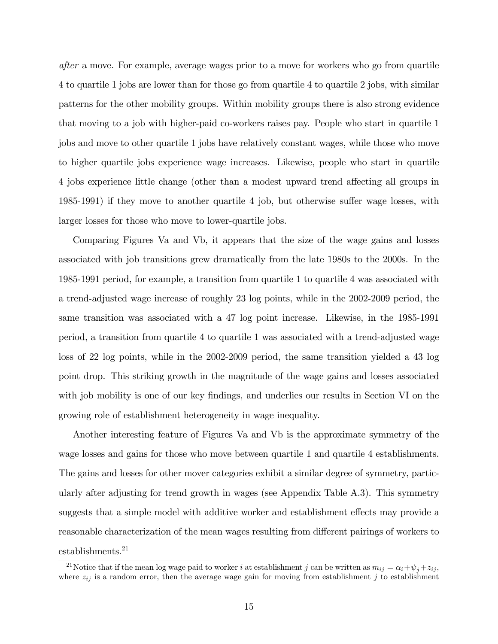after a move. For example, average wages prior to a move for workers who go from quartile 4 to quartile 1 jobs are lower than for those go from quartile 4 to quartile 2 jobs, with similar patterns for the other mobility groups. Within mobility groups there is also strong evidence that moving to a job with higher-paid co-workers raises pay. People who start in quartile 1 jobs and move to other quartile 1 jobs have relatively constant wages, while those who move to higher quartile jobs experience wage increases. Likewise, people who start in quartile 4 jobs experience little change (other than a modest upward trend affecting all groups in  $1985-1991$ ) if they move to another quartile 4 job, but otherwise suffer wage losses, with larger losses for those who move to lower-quartile jobs.

Comparing Figures Va and Vb, it appears that the size of the wage gains and losses associated with job transitions grew dramatically from the late 1980s to the 2000s. In the 1985-1991 period, for example, a transition from quartile 1 to quartile 4 was associated with a trend-adjusted wage increase of roughly 23 log points, while in the 2002-2009 period, the same transition was associated with a 47 log point increase. Likewise, in the 1985-1991 period, a transition from quartile 4 to quartile 1 was associated with a trend-adjusted wage loss of 22 log points, while in the 2002-2009 period, the same transition yielded a 43 log point drop. This striking growth in the magnitude of the wage gains and losses associated with job mobility is one of our key findings, and underlies our results in Section VI on the growing role of establishment heterogeneity in wage inequality.

Another interesting feature of Figures Va and Vb is the approximate symmetry of the wage losses and gains for those who move between quartile 1 and quartile 4 establishments. The gains and losses for other mover categories exhibit a similar degree of symmetry, particularly after adjusting for trend growth in wages (see Appendix Table A.3). This symmetry suggests that a simple model with additive worker and establishment effects may provide a reasonable characterization of the mean wages resulting from different pairings of workers to establishments.<sup>21</sup>

<sup>&</sup>lt;sup>21</sup>Notice that if the mean log wage paid to worker i at establishment j can be written as  $m_{ij} = \alpha_i + \psi_j + z_{ij}$ where  $z_{ij}$  is a random error, then the average wage gain for moving from establishment j to establishment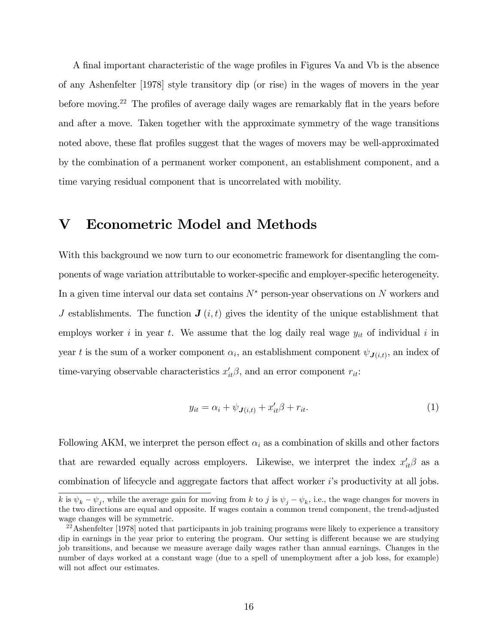A final important characteristic of the wage profiles in Figures Va and Vb is the absence of any Ashenfelter [1978] style transitory dip (or rise) in the wages of movers in the year before moving.<sup>22</sup> The profiles of average daily wages are remarkably flat in the years before and after a move. Taken together with the approximate symmetry of the wage transitions noted above, these flat profiles suggest that the wages of movers may be well-approximated by the combination of a permanent worker component, an establishment component, and a time varying residual component that is uncorrelated with mobility.

## V Econometric Model and Methods

With this background we now turn to our econometric framework for disentangling the components of wage variation attributable to worker-specific and employer-specific heterogeneity. In a given time interval our data set contains  $N^*$  person-year observations on N workers and J establishments. The function  $J(i, t)$  gives the identity of the unique establishment that employs worker i in year t. We assume that the log daily real wage  $y_{it}$  of individual i in year t is the sum of a worker component  $\alpha_i$ , an establishment component  $\psi_{J(i,t)}$ , an index of time-varying observable characteristics  $x'_{it}\beta$ , and an error component  $r_{it}$ :

$$
y_{it} = \alpha_i + \psi_{\mathbf{J}(i,t)} + x_{it}'\beta + r_{it}.\tag{1}
$$

Following AKM, we interpret the person effect  $\alpha_i$  as a combination of skills and other factors that are rewarded equally across employers. Likewise, we interpret the index  $x'_{it}\beta$  as a combination of lifecycle and aggregate factors that affect worker is productivity at all jobs.

k is  $\psi_k - \psi_j$ , while the average gain for moving from k to j is  $\psi_j - \psi_k$ , i.e., the wage changes for movers in the two directions are equal and opposite. If wages contain a common trend component, the trend-adjusted wage changes will be symmetric.

 $^{22}$ Ashenfelter [1978] noted that participants in job training programs were likely to experience a transitory dip in earnings in the year prior to entering the program. Our setting is different because we are studying job transitions, and because we measure average daily wages rather than annual earnings. Changes in the number of days worked at a constant wage (due to a spell of unemployment after a job loss, for example) will not affect our estimates.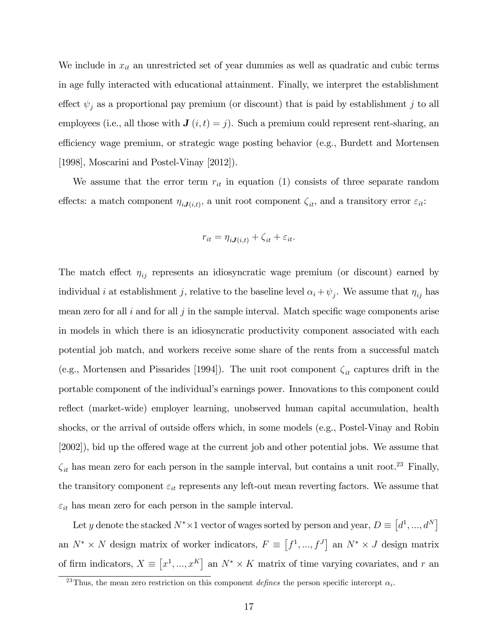We include in  $x_{it}$  an unrestricted set of year dummies as well as quadratic and cubic terms in age fully interacted with educational attainment. Finally, we interpret the establishment effect  $\psi_j$  as a proportional pay premium (or discount) that is paid by establishment j to all employees (i.e., all those with  $J(i, t) = j$ ). Such a premium could represent rent-sharing, an efficiency wage premium, or strategic wage posting behavior (e.g., Burdett and Mortensen [1998], Moscarini and Postel-Vinay [2012]).

We assume that the error term  $r_{it}$  in equation (1) consists of three separate random effects: a match component  $\eta_{iJ(i,t)}$ , a unit root component  $\zeta_{it}$ , and a transitory error  $\varepsilon_{it}$ :

$$
r_{it} = \eta_{iJ(i,t)} + \zeta_{it} + \varepsilon_{it}.
$$

The match effect  $\eta_{ij}$  represents an idiosyncratic wage premium (or discount) earned by individual *i* at establishment *j*, relative to the baseline level  $\alpha_i + \psi_j$ . We assume that  $\eta_{ij}$  has mean zero for all  $i$  and for all  $j$  in the sample interval. Match specific wage components arise in models in which there is an idiosyncratic productivity component associated with each potential job match, and workers receive some share of the rents from a successful match (e.g., Mortensen and Pissarides [1994]). The unit root component  $\zeta_{it}$  captures drift in the portable component of the individualís earnings power. Innovations to this component could reflect (market-wide) employer learning, unobserved human capital accumulation, health shocks, or the arrival of outside offers which, in some models  $(e.g., Postel-Vinay and Robin)$  $[2002]$ , bid up the offered wage at the current job and other potential jobs. We assume that  $\zeta_{it}$  has mean zero for each person in the sample interval, but contains a unit root.<sup>23</sup> Finally, the transitory component  $\varepsilon_{it}$  represents any left-out mean reverting factors. We assume that  $\varepsilon_{it}$  has mean zero for each person in the sample interval.

Let y denote the stacked  $N^* \times 1$  vector of wages sorted by person and year,  $D \equiv [d^1, ..., d^N]$ an  $N^* \times N$  design matrix of worker indicators,  $F \equiv [f^1, ..., f^J]$  an  $N^* \times J$  design matrix of firm indicators,  $X \equiv [x^1, ..., x^K]$  an  $N^* \times K$  matrix of time varying covariates, and r an

<sup>&</sup>lt;sup>23</sup>Thus, the mean zero restriction on this component *defines* the person specific intercept  $\alpha_i$ .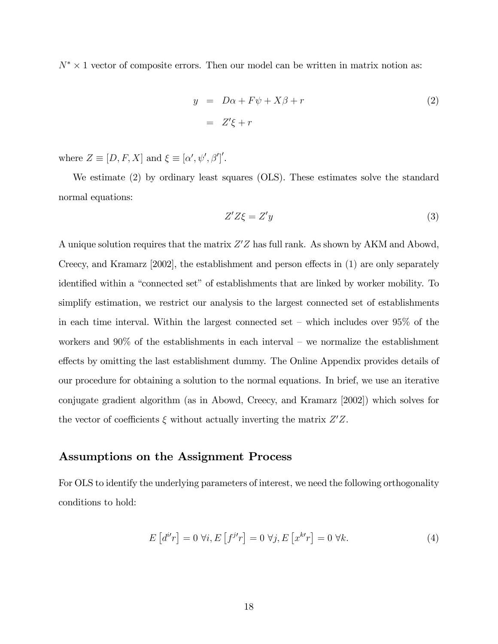$N^* \times 1$  vector of composite errors. Then our model can be written in matrix notion as:

$$
y = D\alpha + F\psi + X\beta + r
$$
  
=  $Z'\xi + r$  (2)

where  $Z \equiv [D, F, X]$  and  $\xi \equiv [\alpha', \psi', \beta']'.$ 

We estimate (2) by ordinary least squares (OLS). These estimates solve the standard normal equations:

$$
Z'Z\xi = Z'y \tag{3}
$$

A unique solution requires that the matrix  $Z'Z$  has full rank. As shown by AKM and Abowd, Creecy, and Kramarz  $[2002]$ , the establishment and person effects in  $(1)$  are only separately identified within a "connected set" of establishments that are linked by worker mobility. To simplify estimation, we restrict our analysis to the largest connected set of establishments in each time interval. Within the largest connected set  $-$  which includes over 95% of the workers and  $90\%$  of the establishments in each interval – we normalize the establishment effects by omitting the last establishment dummy. The Online Appendix provides details of our procedure for obtaining a solution to the normal equations. In brief, we use an iterative conjugate gradient algorithm (as in Abowd, Creecy, and Kramarz [2002]) which solves for the vector of coefficients  $\xi$  without actually inverting the matrix  $Z'Z$ .

#### Assumptions on the Assignment Process

For OLS to identify the underlying parameters of interest, we need the following orthogonality conditions to hold:

$$
E\left[d^{i'}r\right] = 0 \,\forall i, E\left[f^{j'}r\right] = 0 \,\forall j, E\left[x^{k'}r\right] = 0 \,\forall k. \tag{4}
$$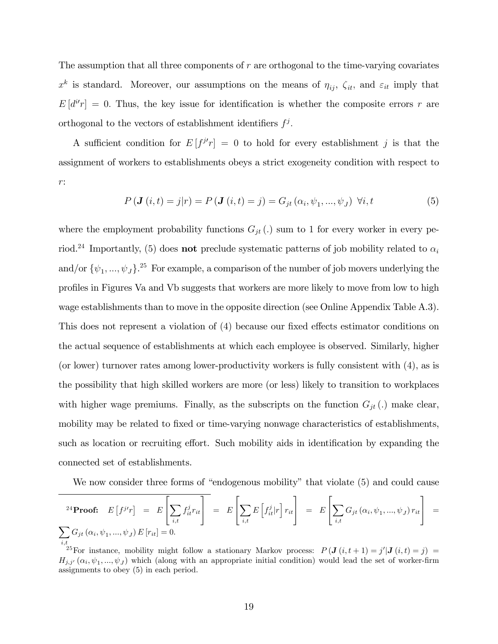The assumption that all three components of  $r$  are orthogonal to the time-varying covariates  $x^k$  is standard. Moreover, our assumptions on the means of  $\eta_{ij}$ ,  $\zeta_{it}$ , and  $\varepsilon_{it}$  imply that  $E[d^{i}r] = 0$ . Thus, the key issue for identification is whether the composite errors r are orthogonal to the vectors of establishment identifiers  $f^j$ .

A sufficient condition for  $E[f^{j'}r] = 0$  to hold for every establishment j is that the assignment of workers to establishments obeys a strict exogeneity condition with respect to r:

$$
P(\mathbf{J}(i,t) = j|r) = P(\mathbf{J}(i,t) = j) = G_{jt}(\alpha_i, \psi_1, ..., \psi_J) \ \forall i, t
$$
 (5)

where the employment probability functions  $G_{jt}$  (.) sum to 1 for every worker in every period.<sup>24</sup> Importantly, (5) does **not** preclude systematic patterns of job mobility related to  $\alpha_i$ and/or  $\{\psi_1, ..., \psi_J\}$ <sup>25</sup> For example, a comparison of the number of job movers underlying the profiles in Figures Va and Vb suggests that workers are more likely to move from low to high wage establishments than to move in the opposite direction (see Online Appendix Table A.3). This does not represent a violation of  $(4)$  because our fixed effects estimator conditions on the actual sequence of establishments at which each employee is observed. Similarly, higher (or lower) turnover rates among lower-productivity workers is fully consistent with (4), as is the possibility that high skilled workers are more (or less) likely to transition to workplaces with higher wage premiums. Finally, as the subscripts on the function  $G_{jt}$  (.) make clear, mobility may be related to fixed or time-varying nonwage characteristics of establishments, such as location or recruiting effort. Such mobility aids in identification by expanding the connected set of establishments.

We now consider three forms of "endogenous mobility" that violate  $(5)$  and could cause

$$
{}^{24}\textbf{Proof:}\quad E\left[f^{j r}\right] = E\left[\sum_{i,t} f_{it}^{j} r_{it}\right] = E\left[\sum_{i,t} E\left[f_{it}^{j} | r\right] r_{it}\right] = E\left[\sum_{i,t} G_{jt} \left(\alpha_i, \psi_1, ..., \psi_J\right) r_{it}\right] = \sum_{i,t} G_{jt} \left(\alpha_i, \psi_1, ..., \psi_J\right) E\left[r_{it}\right] = 0.
$$

<sup>&</sup>lt;sup>25</sup>For instance, mobility might follow a stationary Markov process:  $P(\mathbf{J}(i,t+1) = j'|\mathbf{J}(i,t) = j)$  $H_{j,j'}(\alpha_i,\psi_1,\ldots,\psi_J)$  which (along with an appropriate initial condition) would lead the set of worker-firm assignments to obey (5) in each period.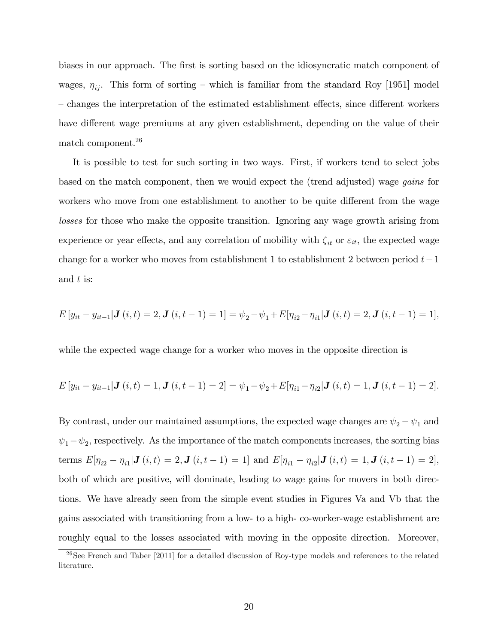biases in our approach. The first is sorting based on the idiosyncratic match component of wages,  $\eta_{ij}$ . This form of sorting – which is familiar from the standard Roy [1951] model – changes the interpretation of the estimated establishment effects, since different workers have different wage premiums at any given establishment, depending on the value of their match component.<sup>26</sup>

It is possible to test for such sorting in two ways. First, if workers tend to select jobs based on the match component, then we would expect the (trend adjusted) wage gains for workers who move from one establishment to another to be quite different from the wage losses for those who make the opposite transition. Ignoring any wage growth arising from experience or year effects, and any correlation of mobility with  $\zeta_{it}$  or  $\varepsilon_{it}$ , the expected wage change for a worker who moves from establishment 1 to establishment 2 between period  $t-1$ and t is:

$$
E[y_{it} - y_{it-1} | \mathbf{J}(i, t) = 2, \mathbf{J}(i, t - 1) = 1] = \psi_2 - \psi_1 + E[\eta_{i2} - \eta_{i1} | \mathbf{J}(i, t) = 2, \mathbf{J}(i, t - 1) = 1],
$$

while the expected wage change for a worker who moves in the opposite direction is

$$
E[y_{it} - y_{it-1} | \mathbf{J}(i, t) = 1, \mathbf{J}(i, t - 1) = 2] = \psi_1 - \psi_2 + E[\eta_{i1} - \eta_{i2} | \mathbf{J}(i, t) = 1, \mathbf{J}(i, t - 1) = 2].
$$

By contrast, under our maintained assumptions, the expected wage changes are  $\psi_2 - \psi_1$  and  $\psi_1 - \psi_2$ , respectively. As the importance of the match components increases, the sorting bias terms  $E[\eta_{i2} - \eta_{i1} | \mathbf{J}(i, t) = 2, \mathbf{J}(i, t - 1) = 1]$  and  $E[\eta_{i1} - \eta_{i2} | \mathbf{J}(i, t) = 1, \mathbf{J}(i, t - 1) = 2]$ , both of which are positive, will dominate, leading to wage gains for movers in both directions. We have already seen from the simple event studies in Figures Va and Vb that the gains associated with transitioning from a low- to a high- co-worker-wage establishment are roughly equal to the losses associated with moving in the opposite direction. Moreover,

 $26$ See French and Taber [2011] for a detailed discussion of Roy-type models and references to the related literature.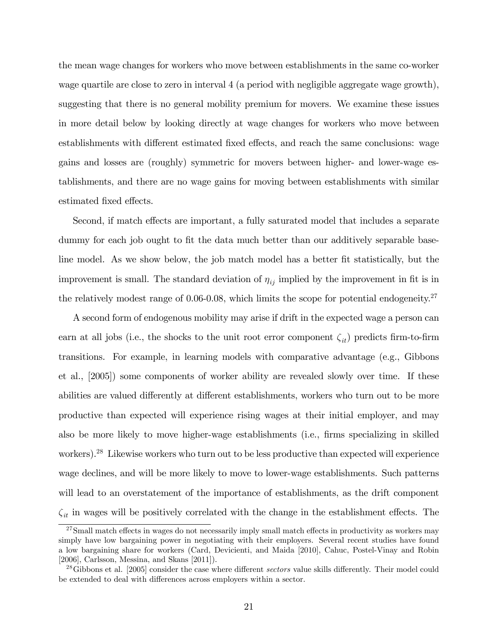the mean wage changes for workers who move between establishments in the same co-worker wage quartile are close to zero in interval 4 (a period with negligible aggregate wage growth), suggesting that there is no general mobility premium for movers. We examine these issues in more detail below by looking directly at wage changes for workers who move between establishments with different estimated fixed effects, and reach the same conclusions: wage gains and losses are (roughly) symmetric for movers between higher- and lower-wage establishments, and there are no wage gains for moving between establishments with similar estimated fixed effects.

Second, if match effects are important, a fully saturated model that includes a separate dummy for each job ought to fit the data much better than our additively separable baseline model. As we show below, the job match model has a better fit statistically, but the improvement is small. The standard deviation of  $\eta_{ij}$  implied by the improvement in fit is in the relatively modest range of  $0.06$ -0.08, which limits the scope for potential endogeneity.<sup>27</sup>

A second form of endogenous mobility may arise if drift in the expected wage a person can earn at all jobs (i.e., the shocks to the unit root error component  $\zeta_{it}$ ) predicts firm-to-firm transitions. For example, in learning models with comparative advantage (e.g., Gibbons et al., [2005]) some components of worker ability are revealed slowly over time. If these abilities are valued differently at different establishments, workers who turn out to be more productive than expected will experience rising wages at their initial employer, and may also be more likely to move higher-wage establishments (i.e., Örms specializing in skilled workers).<sup>28</sup> Likewise workers who turn out to be less productive than expected will experience wage declines, and will be more likely to move to lower-wage establishments. Such patterns will lead to an overstatement of the importance of establishments, as the drift component  $\zeta_{it}$  in wages will be positively correlated with the change in the establishment effects. The

<sup>&</sup>lt;sup>27</sup>Small match effects in wages do not necessarily imply small match effects in productivity as workers may simply have low bargaining power in negotiating with their employers. Several recent studies have found a low bargaining share for workers (Card, Devicienti, and Maida [2010], Cahuc, Postel-Vinay and Robin [2006], Carlsson, Messina, and Skans [2011]).

<sup>&</sup>lt;sup>28</sup>Gibbons et al. [2005] consider the case where different *sectors* value skills differently. Their model could be extended to deal with differences across employers within a sector.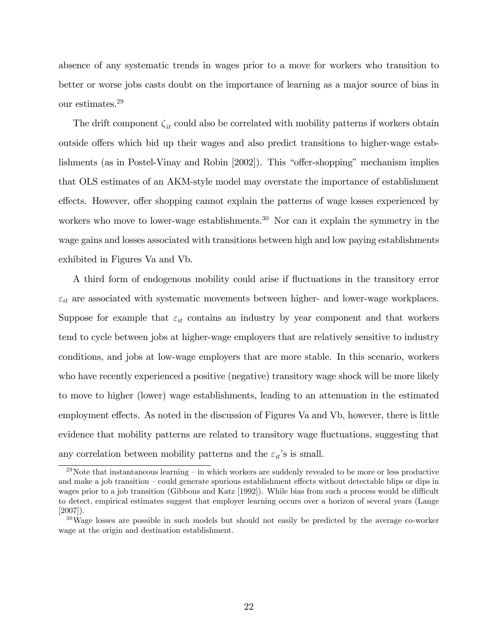absence of any systematic trends in wages prior to a move for workers who transition to better or worse jobs casts doubt on the importance of learning as a major source of bias in our estimates.<sup>29</sup>

The drift component  $\zeta_{it}$  could also be correlated with mobility patterns if workers obtain outside offers which bid up their wages and also predict transitions to higher-wage establishments (as in Postel-Vinay and Robin  $[2002]$ ). This "offer-shopping" mechanism implies that OLS estimates of an AKM-style model may overstate the importance of establishment effects. However, offer shopping cannot explain the patterns of wage losses experienced by workers who move to lower-wage establishments.<sup>30</sup> Nor can it explain the symmetry in the wage gains and losses associated with transitions between high and low paying establishments exhibited in Figures Va and Vb.

A third form of endogenous mobility could arise if fluctuations in the transitory error  $\varepsilon_{it}$  are associated with systematic movements between higher- and lower-wage workplaces. Suppose for example that  $\varepsilon_{it}$  contains an industry by year component and that workers tend to cycle between jobs at higher-wage employers that are relatively sensitive to industry conditions, and jobs at low-wage employers that are more stable. In this scenario, workers who have recently experienced a positive (negative) transitory wage shock will be more likely to move to higher (lower) wage establishments, leading to an attenuation in the estimated employment effects. As noted in the discussion of Figures Va and Vb, however, there is little evidence that mobility patterns are related to transitory wage fluctuations, suggesting that any correlation between mobility patterns and the  $\varepsilon_{it}$ 's is small.

 $29$ Note that instantaneous learning  $-$  in which workers are suddenly revealed to be more or less productive and make a job transition – could generate spurious establishment effects without detectable blips or dips in wages prior to a job transition (Gibbons and Katz [1992]). While bias from such a process would be difficult to detect, empirical estimates suggest that employer learning occurs over a horizon of several years (Lange [2007]).

 $30\,\text{Wage}$  losses are possible in such models but should not easily be predicted by the average co-worker wage at the origin and destination establishment.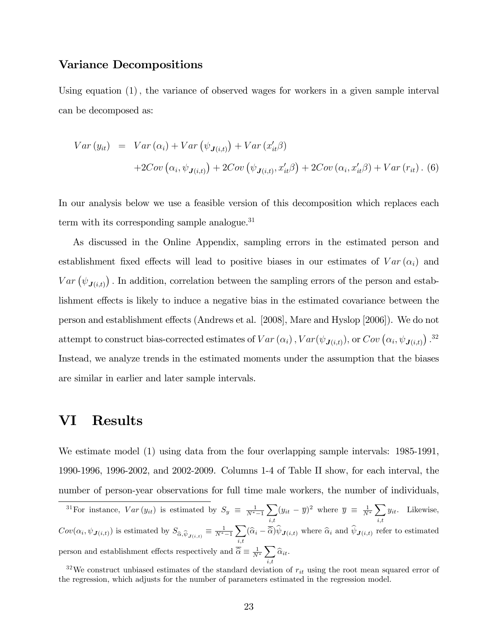#### Variance Decompositions

Using equation  $(1)$ , the variance of observed wages for workers in a given sample interval can be decomposed as:

$$
Var(y_{it}) = Var(\alpha_i) + Var(\psi_{\mathbf{J}(i,t)}) + Var(x'_{it}\beta)
$$
  
+2Cov(\alpha\_i, \psi\_{\mathbf{J}(i,t)}) + 2Cov(\psi\_{\mathbf{J}(i,t)}, x'\_{it}\beta) + 2Cov(\alpha\_i, x'\_{it}\beta) + Var(r\_{it}). (6)

In our analysis below we use a feasible version of this decomposition which replaces each term with its corresponding sample analogue.<sup>31</sup>

As discussed in the Online Appendix, sampling errors in the estimated person and establishment fixed effects will lead to positive biases in our estimates of  $Var(\alpha_i)$  and  $Var(\psi_{\mathbf{J}(i,t)})$ . In addition, correlation between the sampling errors of the person and establishment effects is likely to induce a negative bias in the estimated covariance between the person and establishment effects (Andrews et al. [2008], Mare and Hyslop [2006]). We do not attempt to construct bias-corrected estimates of  $Var(\alpha_i)$ ,  $Var(\psi_{\mathbf{J}(i,t)})$ , or  $Cov(\alpha_i, \psi_{\mathbf{J}(i,t)})$ .<sup>32</sup> Instead, we analyze trends in the estimated moments under the assumption that the biases are similar in earlier and later sample intervals.

### VI Results

We estimate model (1) using data from the four overlapping sample intervals: 1985-1991, 1990-1996, 1996-2002, and 2002-2009. Columns 1-4 of Table II show, for each interval, the number of person-year observations for full time male workers, the number of individuals,

<sup>&</sup>lt;sup>31</sup>For instance,  $Var(y_{it})$  is estimated by  $S_y \equiv \frac{1}{N^*-1}$  $\overline{\phantom{0}}$  $\sum_{i,t} (y_{it} - \overline{y})^2$  where  $\overline{y} \equiv \frac{1}{N^*} \sum_{i,t}$  $_{i,t}$  $y_{it}$ . Likewise,  $Cov(\alpha_i, \psi_{\mathbf{J}(i,t)})$  is estimated by  $S_{\widehat{\alpha}, \widehat{\psi}_{\mathbf{J}(i,t)}} \equiv \frac{1}{N^*-1}$  $\sum$  $\sum_{i,t} (\widehat{\alpha}_i - \widehat{\alpha}) \psi_{\mathbf{J}(i,t)}$  where  $\widehat{\alpha}_i$  and  $\psi_{\mathbf{J}(i,t)}$  refer to estimated person and establishment effects respectively and  $\overline{\hat{\alpha}} \equiv \frac{1}{N^*} \sum_{i=1}^{N}$  $\sum_{i,t}\widehat{\alpha}_{it}.$ 

<sup>&</sup>lt;sup>32</sup>We construct unbiased estimates of the standard deviation of  $r_{it}$  using the root mean squared error of the regression, which adjusts for the number of parameters estimated in the regression model.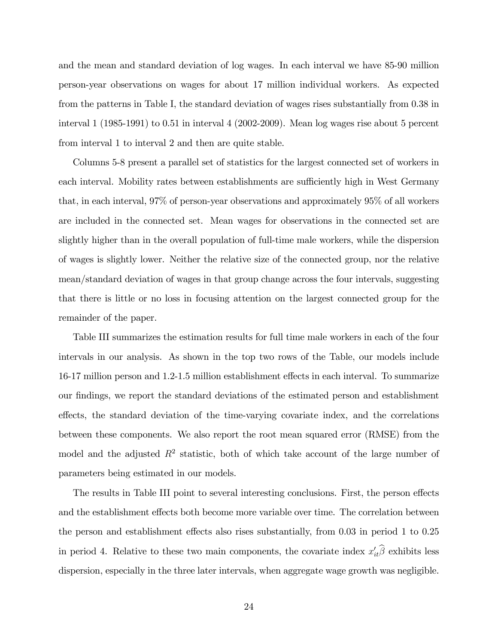and the mean and standard deviation of log wages. In each interval we have 85-90 million person-year observations on wages for about 17 million individual workers. As expected from the patterns in Table I, the standard deviation of wages rises substantially from 0.38 in interval 1 (1985-1991) to 0.51 in interval 4 (2002-2009). Mean log wages rise about 5 percent from interval 1 to interval 2 and then are quite stable.

Columns 5-8 present a parallel set of statistics for the largest connected set of workers in each interval. Mobility rates between establishments are sufficiently high in West Germany that, in each interval, 97% of person-year observations and approximately 95% of all workers are included in the connected set. Mean wages for observations in the connected set are slightly higher than in the overall population of full-time male workers, while the dispersion of wages is slightly lower. Neither the relative size of the connected group, nor the relative mean/standard deviation of wages in that group change across the four intervals, suggesting that there is little or no loss in focusing attention on the largest connected group for the remainder of the paper.

Table III summarizes the estimation results for full time male workers in each of the four intervals in our analysis. As shown in the top two rows of the Table, our models include 16-17 million person and 1.2-1.5 million establishment effects in each interval. To summarize our Öndings, we report the standard deviations of the estimated person and establishment effects, the standard deviation of the time-varying covariate index, and the correlations between these components. We also report the root mean squared error (RMSE) from the model and the adjusted  $R^2$  statistic, both of which take account of the large number of parameters being estimated in our models.

The results in Table III point to several interesting conclusions. First, the person effects and the establishment effects both become more variable over time. The correlation between the person and establishment effects also rises substantially, from  $0.03$  in period 1 to  $0.25$ in period 4. Relative to these two main components, the covariate index  $x'_{it}\beta$  exhibits less dispersion, especially in the three later intervals, when aggregate wage growth was negligible.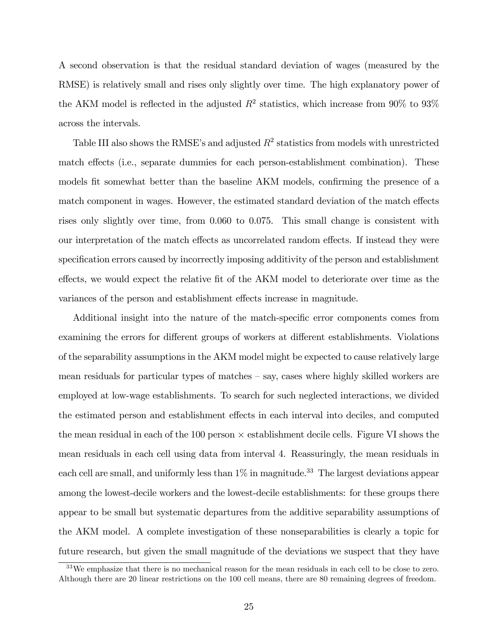A second observation is that the residual standard deviation of wages (measured by the RMSE) is relatively small and rises only slightly over time. The high explanatory power of the AKM model is reflected in the adjusted  $R^2$  statistics, which increase from 90% to 93% across the intervals.

Table III also shows the RMSE's and adjusted  $R^2$  statistics from models with unrestricted match effects (i.e., separate dummies for each person-establishment combination). These models fit somewhat better than the baseline AKM models, confirming the presence of a match component in wages. However, the estimated standard deviation of the match effects rises only slightly over time, from 0.060 to 0.075. This small change is consistent with our interpretation of the match effects as uncorrelated random effects. If instead they were specification errors caused by incorrectly imposing additivity of the person and establishment effects, we would expect the relative fit of the AKM model to deteriorate over time as the variances of the person and establishment effects increase in magnitude.

Additional insight into the nature of the match-specific error components comes from examining the errors for different groups of workers at different establishments. Violations of the separability assumptions in the AKM model might be expected to cause relatively large mean residuals for particular types of matches  $-$  say, cases where highly skilled workers are employed at low-wage establishments. To search for such neglected interactions, we divided the estimated person and establishment effects in each interval into deciles, and computed the mean residual in each of the 100 person  $\times$  establishment decile cells. Figure VI shows the mean residuals in each cell using data from interval 4. Reassuringly, the mean residuals in each cell are small, and uniformly less than  $1\%$  in magnitude.<sup>33</sup> The largest deviations appear among the lowest-decile workers and the lowest-decile establishments: for these groups there appear to be small but systematic departures from the additive separability assumptions of the AKM model. A complete investigation of these nonseparabilities is clearly a topic for future research, but given the small magnitude of the deviations we suspect that they have

<sup>&</sup>lt;sup>33</sup>We emphasize that there is no mechanical reason for the mean residuals in each cell to be close to zero. Although there are 20 linear restrictions on the 100 cell means, there are 80 remaining degrees of freedom.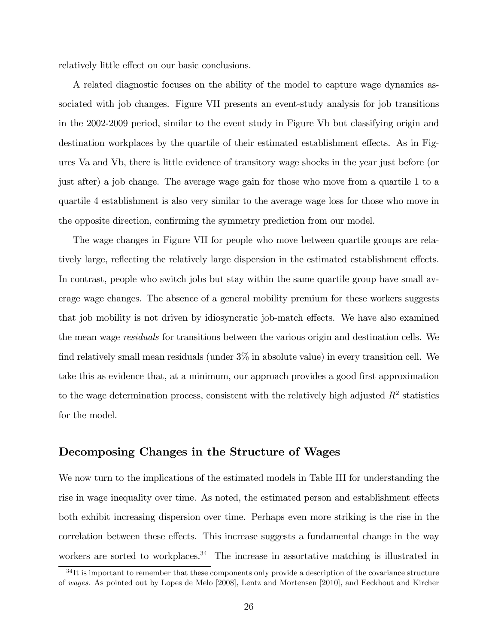relatively little effect on our basic conclusions.

A related diagnostic focuses on the ability of the model to capture wage dynamics associated with job changes. Figure VII presents an event-study analysis for job transitions in the 2002-2009 period, similar to the event study in Figure Vb but classifying origin and destination workplaces by the quartile of their estimated establishment effects. As in Figures Va and Vb, there is little evidence of transitory wage shocks in the year just before (or just after) a job change. The average wage gain for those who move from a quartile 1 to a quartile 4 establishment is also very similar to the average wage loss for those who move in the opposite direction, confirming the symmetry prediction from our model.

The wage changes in Figure VII for people who move between quartile groups are relatively large, reflecting the relatively large dispersion in the estimated establishment effects. In contrast, people who switch jobs but stay within the same quartile group have small average wage changes. The absence of a general mobility premium for these workers suggests that job mobility is not driven by idiosyncratic job-match effects. We have also examined the mean wage residuals for transitions between the various origin and destination cells. We find relatively small mean residuals (under  $3\%$  in absolute value) in every transition cell. We take this as evidence that, at a minimum, our approach provides a good first approximation to the wage determination process, consistent with the relatively high adjusted  $R^2$  statistics for the model.

#### Decomposing Changes in the Structure of Wages

We now turn to the implications of the estimated models in Table III for understanding the rise in wage inequality over time. As noted, the estimated person and establishment effects both exhibit increasing dispersion over time. Perhaps even more striking is the rise in the correlation between these effects. This increase suggests a fundamental change in the way workers are sorted to workplaces.<sup>34</sup> The increase in assortative matching is illustrated in

 $34$ It is important to remember that these components only provide a description of the covariance structure of wages. As pointed out by Lopes de Melo [2008], Lentz and Mortensen [2010], and Eeckhout and Kircher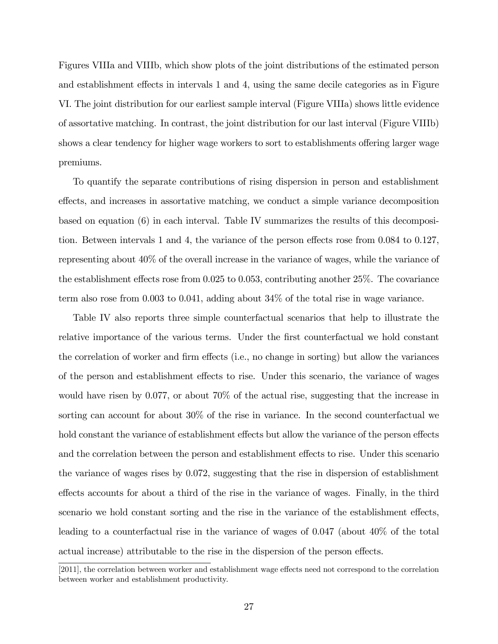Figures VIIIa and VIIIb, which show plots of the joint distributions of the estimated person and establishment effects in intervals 1 and 4, using the same decile categories as in Figure VI. The joint distribution for our earliest sample interval (Figure VIIIa) shows little evidence of assortative matching. In contrast, the joint distribution for our last interval (Figure VIIIb) shows a clear tendency for higher wage workers to sort to establishments offering larger wage premiums.

To quantify the separate contributions of rising dispersion in person and establishment effects, and increases in assortative matching, we conduct a simple variance decomposition based on equation (6) in each interval. Table IV summarizes the results of this decomposition. Between intervals 1 and 4, the variance of the person effects rose from  $0.084$  to  $0.127$ , representing about 40% of the overall increase in the variance of wages, while the variance of the establishment effects rose from  $0.025$  to  $0.053$ , contributing another  $25\%$ . The covariance term also rose from 0.003 to 0.041, adding about 34% of the total rise in wage variance.

Table IV also reports three simple counterfactual scenarios that help to illustrate the relative importance of the various terms. Under the first counterfactual we hold constant the correlation of worker and firm effects (i.e., no change in sorting) but allow the variances of the person and establishment effects to rise. Under this scenario, the variance of wages would have risen by 0.077, or about 70% of the actual rise, suggesting that the increase in sorting can account for about 30% of the rise in variance. In the second counterfactual we hold constant the variance of establishment effects but allow the variance of the person effects and the correlation between the person and establishment effects to rise. Under this scenario the variance of wages rises by 0.072, suggesting that the rise in dispersion of establishment effects accounts for about a third of the rise in the variance of wages. Finally, in the third scenario we hold constant sorting and the rise in the variance of the establishment effects, leading to a counterfactual rise in the variance of wages of 0.047 (about 40% of the total actual increase) attributable to the rise in the dispersion of the person effects.

<sup>[2011],</sup> the correlation between worker and establishment wage effects need not correspond to the correlation between worker and establishment productivity.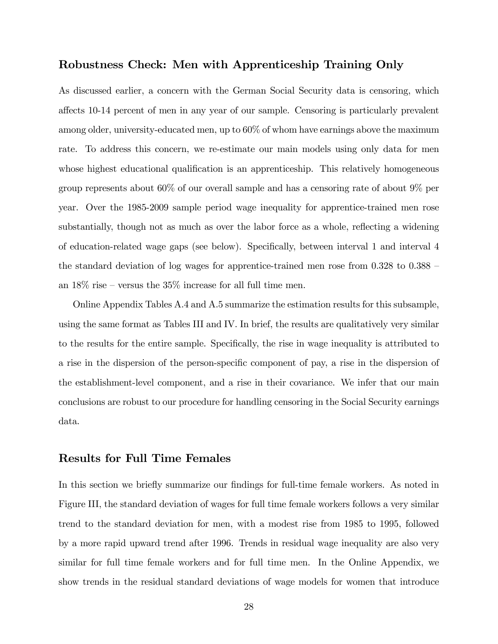### Robustness Check: Men with Apprenticeship Training Only

As discussed earlier, a concern with the German Social Security data is censoring, which a§ects 10-14 percent of men in any year of our sample. Censoring is particularly prevalent among older, university-educated men, up to 60% of whom have earnings above the maximum rate. To address this concern, we re-estimate our main models using only data for men whose highest educational qualification is an apprentice ship. This relatively homogeneous group represents about 60% of our overall sample and has a censoring rate of about 9% per year. Over the 1985-2009 sample period wage inequality for apprentice-trained men rose substantially, though not as much as over the labor force as a whole, reflecting a widening of education-related wage gaps (see below). Specifically, between interval 1 and interval 4 the standard deviation of log wages for apprentice-trained men rose from  $0.328$  to  $0.388$  – an  $18\%$  rise – versus the  $35\%$  increase for all full time men.

Online Appendix Tables A.4 and A.5 summarize the estimation results for this subsample, using the same format as Tables III and IV. In brief, the results are qualitatively very similar to the results for the entire sample. Specifically, the rise in wage inequality is attributed to a rise in the dispersion of the person-specific component of pay, a rise in the dispersion of the establishment-level component, and a rise in their covariance. We infer that our main conclusions are robust to our procedure for handling censoring in the Social Security earnings data.

#### Results for Full Time Females

In this section we briefly summarize our findings for full-time female workers. As noted in Figure III, the standard deviation of wages for full time female workers follows a very similar trend to the standard deviation for men, with a modest rise from 1985 to 1995, followed by a more rapid upward trend after 1996. Trends in residual wage inequality are also very similar for full time female workers and for full time men. In the Online Appendix, we show trends in the residual standard deviations of wage models for women that introduce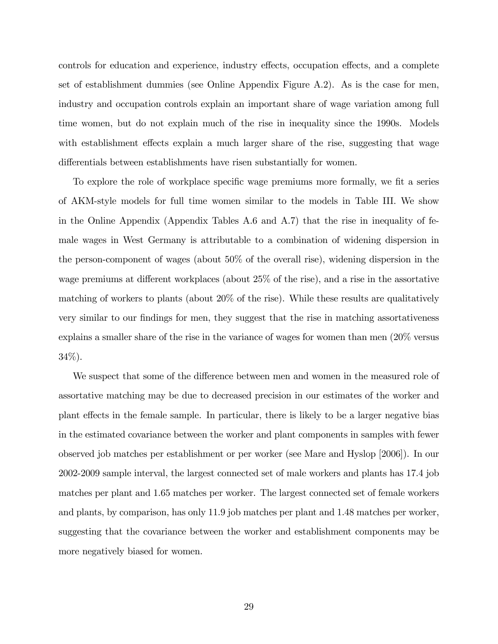controls for education and experience, industry effects, occupation effects, and a complete set of establishment dummies (see Online Appendix Figure A.2). As is the case for men, industry and occupation controls explain an important share of wage variation among full time women, but do not explain much of the rise in inequality since the 1990s. Models with establishment effects explain a much larger share of the rise, suggesting that wage differentials between establishments have risen substantially for women.

To explore the role of workplace specific wage premiums more formally, we fit a series of AKM-style models for full time women similar to the models in Table III. We show in the Online Appendix (Appendix Tables A.6 and A.7) that the rise in inequality of female wages in West Germany is attributable to a combination of widening dispersion in the person-component of wages (about 50% of the overall rise), widening dispersion in the wage premiums at different workplaces (about  $25\%$  of the rise), and a rise in the assortative matching of workers to plants (about 20% of the rise). While these results are qualitatively very similar to our findings for men, they suggest that the rise in matching assortativeness explains a smaller share of the rise in the variance of wages for women than men (20% versus 34%).

We suspect that some of the difference between men and women in the measured role of assortative matching may be due to decreased precision in our estimates of the worker and plant effects in the female sample. In particular, there is likely to be a larger negative bias in the estimated covariance between the worker and plant components in samples with fewer observed job matches per establishment or per worker (see Mare and Hyslop [2006]). In our 2002-2009 sample interval, the largest connected set of male workers and plants has 17.4 job matches per plant and 1.65 matches per worker. The largest connected set of female workers and plants, by comparison, has only 11.9 job matches per plant and 1.48 matches per worker, suggesting that the covariance between the worker and establishment components may be more negatively biased for women.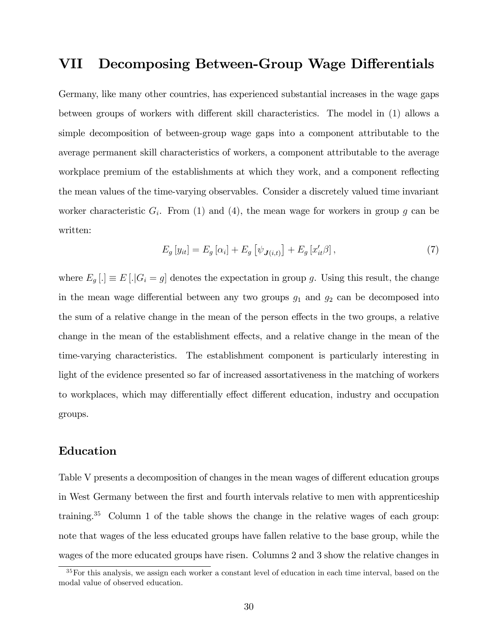### VII Decomposing Between-Group Wage Differentials

Germany, like many other countries, has experienced substantial increases in the wage gaps between groups of workers with different skill characteristics. The model in  $(1)$  allows a simple decomposition of between-group wage gaps into a component attributable to the average permanent skill characteristics of workers, a component attributable to the average workplace premium of the establishments at which they work, and a component reflecting the mean values of the time-varying observables. Consider a discretely valued time invariant worker characteristic  $G_i$ . From (1) and (4), the mean wage for workers in group g can be written:

$$
E_g\left[y_{it}\right] = E_g\left[\alpha_i\right] + E_g\left[\psi_{\boldsymbol{J}(i,t)}\right] + E_g\left[x'_{it}\beta\right],\tag{7}
$$

where  $E_g$ [.]  $\equiv E$ [.]  $G_i = g$ ] denotes the expectation in group g. Using this result, the change in the mean wage differential between any two groups  $g_1$  and  $g_2$  can be decomposed into the sum of a relative change in the mean of the person effects in the two groups, a relative change in the mean of the establishment effects, and a relative change in the mean of the time-varying characteristics. The establishment component is particularly interesting in light of the evidence presented so far of increased assortativeness in the matching of workers to workplaces, which may differentially effect different education, industry and occupation groups.

### Education

Table V presents a decomposition of changes in the mean wages of different education groups in West Germany between the Örst and fourth intervals relative to men with apprenticeship training.<sup>35</sup> Column 1 of the table shows the change in the relative wages of each group: note that wages of the less educated groups have fallen relative to the base group, while the wages of the more educated groups have risen. Columns 2 and 3 show the relative changes in

<sup>&</sup>lt;sup>35</sup>For this analysis, we assign each worker a constant level of education in each time interval, based on the modal value of observed education.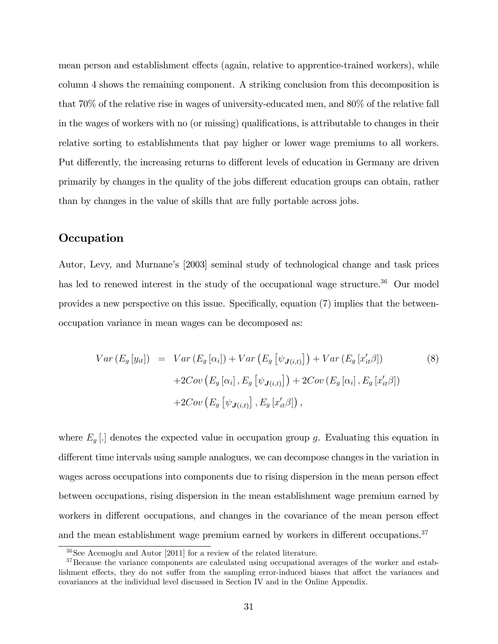mean person and establishment effects (again, relative to apprentice-trained workers), while column 4 shows the remaining component. A striking conclusion from this decomposition is that 70% of the relative rise in wages of university-educated men, and 80% of the relative fall in the wages of workers with no (or missing) qualifications, is attributable to changes in their relative sorting to establishments that pay higher or lower wage premiums to all workers. Put differently, the increasing returns to different levels of education in Germany are driven primarily by changes in the quality of the jobs different education groups can obtain, rather than by changes in the value of skills that are fully portable across jobs.

### **Occupation**

Autor, Levy, and Murnaneís [2003] seminal study of technological change and task prices has led to renewed interest in the study of the occupational wage structure.<sup>36</sup> Our model provides a new perspective on this issue. Specifically, equation (7) implies that the betweenoccupation variance in mean wages can be decomposed as:

$$
Var(E_g[y_{it}]) = Var(E_g[\alpha_i]) + Var(E_g[\psi_{\mathbf{J}(i,t)}]) + Var(E_g[x'_{it}\beta])
$$
\n
$$
+ 2Cov(E_g[\alpha_i], E_g[\psi_{\mathbf{J}(i,t)}]) + 2Cov(E_g[\alpha_i], E_g[x'_{it}\beta])
$$
\n
$$
+ 2Cov(E_g[\psi_{\mathbf{J}(i,t)}], E_g[x'_{it}\beta]),
$$
\n
$$
(8)
$$

where  $E_g$ [.] denotes the expected value in occupation group g. Evaluating this equation in different time intervals using sample analogues, we can decompose changes in the variation in wages across occupations into components due to rising dispersion in the mean person effect between occupations, rising dispersion in the mean establishment wage premium earned by workers in different occupations, and changes in the covariance of the mean person effect and the mean establishment wage premium earned by workers in different occupations.<sup>37</sup>

<sup>36</sup>See Acemoglu and Autor [2011] for a review of the related literature.

 $37$ Because the variance components are calculated using occupational averages of the worker and establishment effects, they do not suffer from the sampling error-induced biases that affect the variances and covariances at the individual level discussed in Section IV and in the Online Appendix.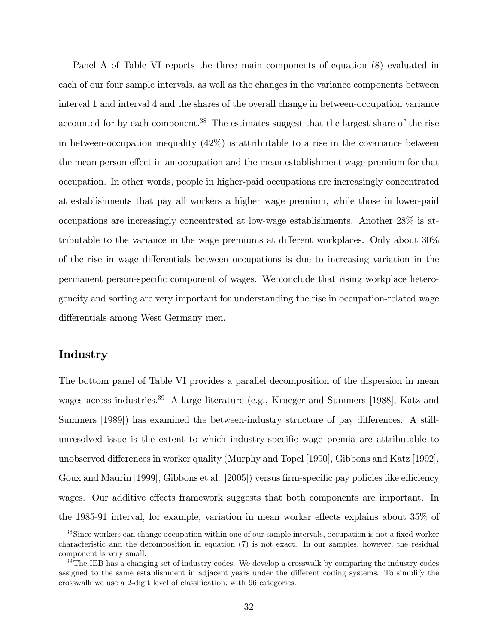Panel A of Table VI reports the three main components of equation (8) evaluated in each of our four sample intervals, as well as the changes in the variance components between interval 1 and interval 4 and the shares of the overall change in between-occupation variance accounted for by each component.<sup>38</sup> The estimates suggest that the largest share of the rise in between-occupation inequality (42%) is attributable to a rise in the covariance between the mean person effect in an occupation and the mean establishment wage premium for that occupation. In other words, people in higher-paid occupations are increasingly concentrated at establishments that pay all workers a higher wage premium, while those in lower-paid occupations are increasingly concentrated at low-wage establishments. Another 28% is attributable to the variance in the wage premiums at different workplaces. Only about  $30\%$ of the rise in wage differentials between occupations is due to increasing variation in the permanent person-specific component of wages. We conclude that rising workplace heterogeneity and sorting are very important for understanding the rise in occupation-related wage differentials among West Germany men.

#### Industry

The bottom panel of Table VI provides a parallel decomposition of the dispersion in mean wages across industries.<sup>39</sup> A large literature (e.g., Krueger and Summers [1988], Katz and Summers [1989]) has examined the between-industry structure of pay differences. A stillunresolved issue is the extent to which industry-specific wage premia are attributable to unobserved differences in worker quality (Murphy and Topel [1990], Gibbons and Katz [1992], Goux and Maurin [1999], Gibbons et al. [2005]) versus firm-specific pay policies like efficiency wages. Our additive effects framework suggests that both components are important. In the 1985-91 interval, for example, variation in mean worker effects explains about  $35\%$  of

<sup>&</sup>lt;sup>38</sup>Since workers can change occupation within one of our sample intervals, occupation is not a fixed worker characteristic and the decomposition in equation (7) is not exact. In our samples, however, the residual component is very small.

<sup>&</sup>lt;sup>39</sup>The IEB has a changing set of industry codes. We develop a crosswalk by comparing the industry codes assigned to the same establishment in adjacent years under the different coding systems. To simplify the crosswalk we use a 2-digit level of classification, with 96 categories.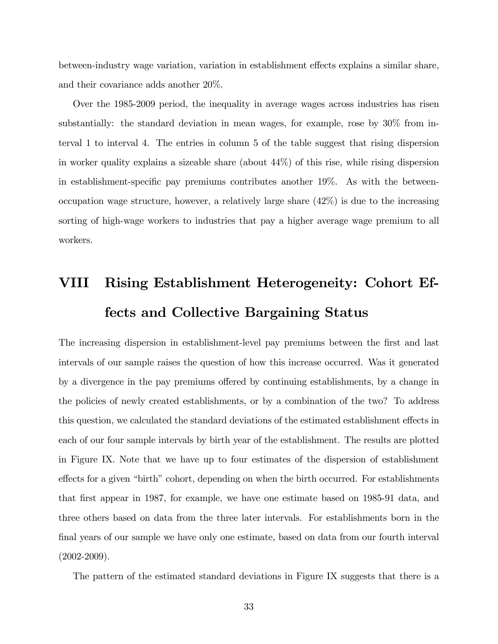between-industry wage variation, variation in establishment effects explains a similar share, and their covariance adds another 20%.

Over the 1985-2009 period, the inequality in average wages across industries has risen substantially: the standard deviation in mean wages, for example, rose by 30% from interval 1 to interval 4. The entries in column 5 of the table suggest that rising dispersion in worker quality explains a sizeable share (about 44%) of this rise, while rising dispersion in establishment-specific pay premiums contributes another  $19\%$ . As with the betweenoccupation wage structure, however, a relatively large share (42%) is due to the increasing sorting of high-wage workers to industries that pay a higher average wage premium to all workers.

# VIII Rising Establishment Heterogeneity: Cohort Effects and Collective Bargaining Status

The increasing dispersion in establishment-level pay premiums between the first and last intervals of our sample raises the question of how this increase occurred. Was it generated by a divergence in the pay premiums offered by continuing establishments, by a change in the policies of newly created establishments, or by a combination of the two? To address this question, we calculated the standard deviations of the estimated establishment effects in each of our four sample intervals by birth year of the establishment. The results are plotted in Figure IX. Note that we have up to four estimates of the dispersion of establishment effects for a given "birth" cohort, depending on when the birth occurred. For establishments that first appear in 1987, for example, we have one estimate based on 1985-91 data, and three others based on data from the three later intervals. For establishments born in the final years of our sample we have only one estimate, based on data from our fourth interval  $(2002 - 2009)$ .

The pattern of the estimated standard deviations in Figure IX suggests that there is a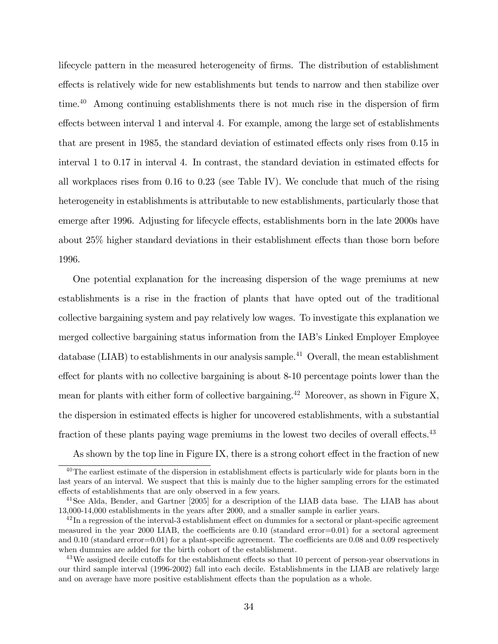lifecycle pattern in the measured heterogeneity of firms. The distribution of establishment effects is relatively wide for new establishments but tends to narrow and then stabilize over time.<sup>40</sup> Among continuing establishments there is not much rise in the dispersion of firm effects between interval 1 and interval 4. For example, among the large set of establishments that are present in 1985, the standard deviation of estimated effects only rises from 0.15 in interval  $1$  to  $0.17$  in interval  $4$ . In contrast, the standard deviation in estimated effects for all workplaces rises from 0.16 to 0.23 (see Table IV). We conclude that much of the rising heterogeneity in establishments is attributable to new establishments, particularly those that emerge after 1996. Adjusting for lifecycle effects, establishments born in the late 2000s have about 25% higher standard deviations in their establishment effects than those born before 1996.

One potential explanation for the increasing dispersion of the wage premiums at new establishments is a rise in the fraction of plants that have opted out of the traditional collective bargaining system and pay relatively low wages. To investigate this explanation we merged collective bargaining status information from the IAB's Linked Employer Employee database (LIAB) to establishments in our analysis sample.<sup>41</sup> Overall, the mean establishment effect for plants with no collective bargaining is about 8-10 percentage points lower than the mean for plants with either form of collective bargaining.<sup>42</sup> Moreover, as shown in Figure X, the dispersion in estimated effects is higher for uncovered establishments, with a substantial fraction of these plants paying wage premiums in the lowest two deciles of overall effects. $43$ 

As shown by the top line in Figure IX, there is a strong cohort effect in the fraction of new

 $40$ The earliest estimate of the dispersion in establishment effects is particularly wide for plants born in the last years of an interval. We suspect that this is mainly due to the higher sampling errors for the estimated effects of establishments that are only observed in a few years.

<sup>&</sup>lt;sup>41</sup> See Alda, Bender, and Gartner [2005] for a description of the LIAB data base. The LIAB has about 13,000-14,000 establishments in the years after 2000, and a smaller sample in earlier years.

 $^{42}$ In a regression of the interval-3 establishment effect on dummies for a sectoral or plant-specific agreement measured in the year 2000 LIAB, the coefficients are  $0.10$  (standard error=0.01) for a sectoral agreement and  $0.10$  (standard error=0.01) for a plant-specific agreement. The coefficients are  $0.08$  and  $0.09$  respectively when dummies are added for the birth cohort of the establishment.

 $43$ We assigned decile cutoffs for the establishment effects so that 10 percent of person-year observations in our third sample interval (1996-2002) fall into each decile. Establishments in the LIAB are relatively large and on average have more positive establishment effects than the population as a whole.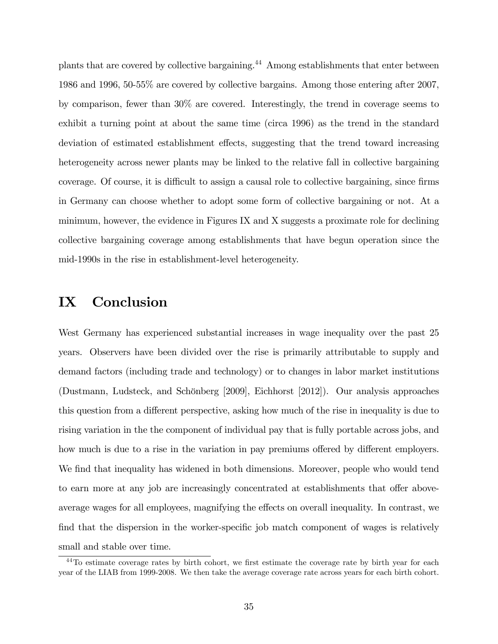plants that are covered by collective bargaining.<sup>44</sup> Among establishments that enter between 1986 and 1996, 50-55% are covered by collective bargains. Among those entering after 2007, by comparison, fewer than 30% are covered. Interestingly, the trend in coverage seems to exhibit a turning point at about the same time (circa 1996) as the trend in the standard deviation of estimated establishment effects, suggesting that the trend toward increasing heterogeneity across newer plants may be linked to the relative fall in collective bargaining coverage. Of course, it is difficult to assign a causal role to collective bargaining, since firms in Germany can choose whether to adopt some form of collective bargaining or not. At a minimum, however, the evidence in Figures IX and X suggests a proximate role for declining collective bargaining coverage among establishments that have begun operation since the mid-1990s in the rise in establishment-level heterogeneity.

### IX Conclusion

West Germany has experienced substantial increases in wage inequality over the past 25 years. Observers have been divided over the rise is primarily attributable to supply and demand factors (including trade and technology) or to changes in labor market institutions (Dustmann, Ludsteck, and Schönberg [2009], Eichhorst [2012]). Our analysis approaches this question from a different perspective, asking how much of the rise in inequality is due to rising variation in the the component of individual pay that is fully portable across jobs, and how much is due to a rise in the variation in pay premiums offered by different employers. We find that inequality has widened in both dimensions. Moreover, people who would tend to earn more at any job are increasingly concentrated at establishments that offer aboveaverage wages for all employees, magnifying the effects on overall inequality. In contrast, we find that the dispersion in the worker-specific job match component of wages is relatively small and stable over time.

 $44$ To estimate coverage rates by birth cohort, we first estimate the coverage rate by birth year for each year of the LIAB from 1999-2008. We then take the average coverage rate across years for each birth cohort.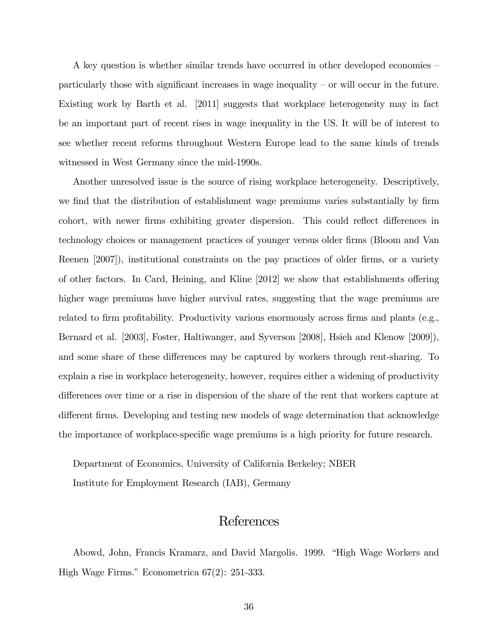A key question is whether similar trends have occurred in other developed economies  $$ particularly those with significant increases in wage inequality  $-$  or will occur in the future. Existing work by Barth et al. [2011] suggests that workplace heterogeneity may in fact be an important part of recent rises in wage inequality in the US. It will be of interest to see whether recent reforms throughout Western Europe lead to the same kinds of trends witnessed in West Germany since the mid-1990s.

Another unresolved issue is the source of rising workplace heterogeneity. Descriptively, we find that the distribution of establishment wage premiums varies substantially by firm cohort, with newer firms exhibiting greater dispersion. This could reflect differences in technology choices or management practices of younger versus older firms (Bloom and Van Reenen [2007]), institutional constraints on the pay practices of older firms, or a variety of other factors. In Card, Heining, and Kline  $[2012]$  we show that establishments offering higher wage premiums have higher survival rates, suggesting that the wage premiums are related to firm profitability. Productivity various enormously across firms and plants (e.g., Bernard et al. [2003], Foster, Haltiwanger, and Syverson [2008], Hsieh and Klenow [2009]), and some share of these differences may be captured by workers through rent-sharing. To explain a rise in workplace heterogeneity, however, requires either a widening of productivity differences over time or a rise in dispersion of the share of the rent that workers capture at different firms. Developing and testing new models of wage determination that acknowledge the importance of workplace-specific wage premiums is a high priority for future research.

Department of Economics, University of California Berkeley; NBER Institute for Employment Research (IAB), Germany

### References

Abowd, John, Francis Kramarz, and David Margolis. 1999. "High Wage Workers and High Wage Firms." Econometrica  $67(2)$ : 251-333.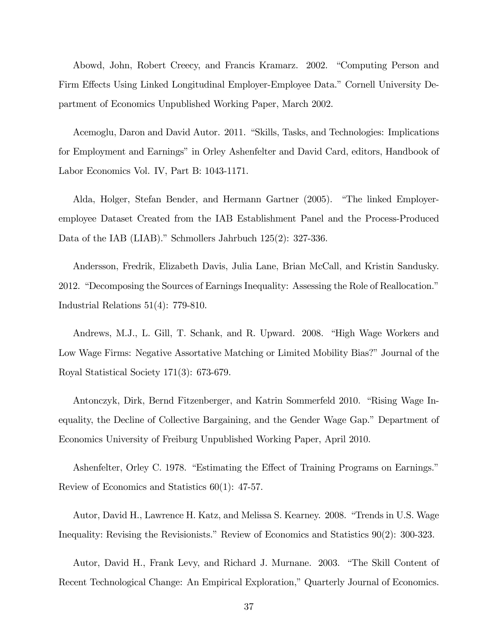Abowd, John, Robert Creecy, and Francis Kramarz. 2002. "Computing Person and Firm Effects Using Linked Longitudinal Employer-Employee Data." Cornell University Department of Economics Unpublished Working Paper, March 2002.

Acemoglu, Daron and David Autor. 2011. "Skills, Tasks, and Technologies: Implications for Employment and Earnings" in Orley Ashenfelter and David Card, editors, Handbook of Labor Economics Vol. IV, Part B: 1043-1171.

Alda, Holger, Stefan Bender, and Hermann Gartner (2005). "The linked Employeremployee Dataset Created from the IAB Establishment Panel and the Process-Produced Data of the IAB (LIAB)." Schmollers Jahrbuch  $125(2)$ : 327-336.

Andersson, Fredrik, Elizabeth Davis, Julia Lane, Brian McCall, and Kristin Sandusky. 2012. "Decomposing the Sources of Earnings Inequality: Assessing the Role of Reallocation." Industrial Relations  $51(4)$ : 779-810.

Andrews, M.J., L. Gill, T. Schank, and R. Upward. 2008. "High Wage Workers and Low Wage Firms: Negative Assortative Matching or Limited Mobility Bias?" Journal of the Royal Statistical Society  $171(3)$ : 673-679.

Antonczyk, Dirk, Bernd Fitzenberger, and Katrin Sommerfeld 2010. "Rising Wage Inequality, the Decline of Collective Bargaining, and the Gender Wage Gap." Department of Economics University of Freiburg Unpublished Working Paper, April 2010.

Ashenfelter, Orley C. 1978. "Estimating the Effect of Training Programs on Earnings." Review of Economics and Statistics  $60(1)$ : 47-57.

Autor, David H., Lawrence H. Katz, and Melissa S. Kearney. 2008. "Trends in U.S. Wage Inequality: Revising the Revisionists." Review of Economics and Statistics  $90(2)$ : 300-323.

Autor, David H., Frank Levy, and Richard J. Murnane. 2003. "The Skill Content of Recent Technological Change: An Empirical Exploration," Quarterly Journal of Economics.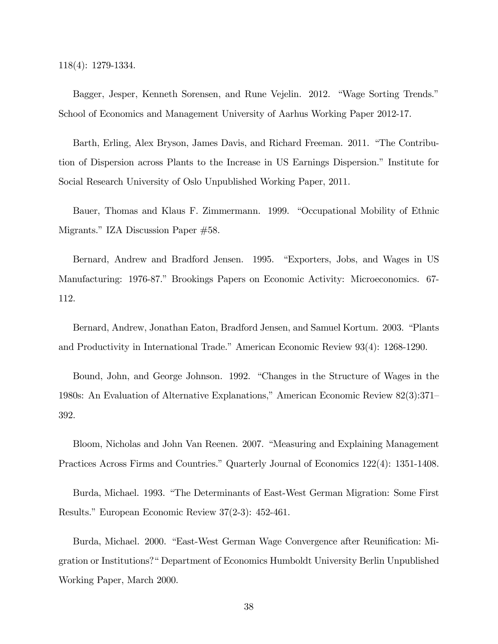$118(4): 1279-1334.$ 

Bagger, Jesper, Kenneth Sorensen, and Rune Vejelin. 2012. "Wage Sorting Trends." School of Economics and Management University of Aarhus Working Paper 2012-17.

Barth, Erling, Alex Bryson, James Davis, and Richard Freeman. 2011. "The Contribution of Dispersion across Plants to the Increase in US Earnings Dispersion." Institute for Social Research University of Oslo Unpublished Working Paper, 2011.

Bauer, Thomas and Klaus F. Zimmermann. 1999. "Occupational Mobility of Ethnic Migrants." IZA Discussion Paper #58.

Bernard, Andrew and Bradford Jensen. 1995. "Exporters, Jobs, and Wages in US Manufacturing: 1976-87." Brookings Papers on Economic Activity: Microeconomics. 67-112.

Bernard, Andrew, Jonathan Eaton, Bradford Jensen, and Samuel Kortum. 2003. "Plants and Productivity in International Trade." American Economic Review 93(4): 1268-1290.

Bound, John, and George Johnson. 1992. "Changes in the Structure of Wages in the 1980s: An Evaluation of Alternative Explanations," American Economic Review 82(3):371– 392.

Bloom, Nicholas and John Van Reenen. 2007. "Measuring and Explaining Management Practices Across Firms and Countries." Quarterly Journal of Economics 122(4): 1351-1408.

Burda, Michael. 1993. "The Determinants of East-West German Migration: Some First Results." European Economic Review 37(2-3): 452-461.

Burda, Michael. 2000. "East-West German Wage Convergence after Reunification: Migration or Institutions?" Department of Economics Humboldt University Berlin Unpublished Working Paper, March 2000.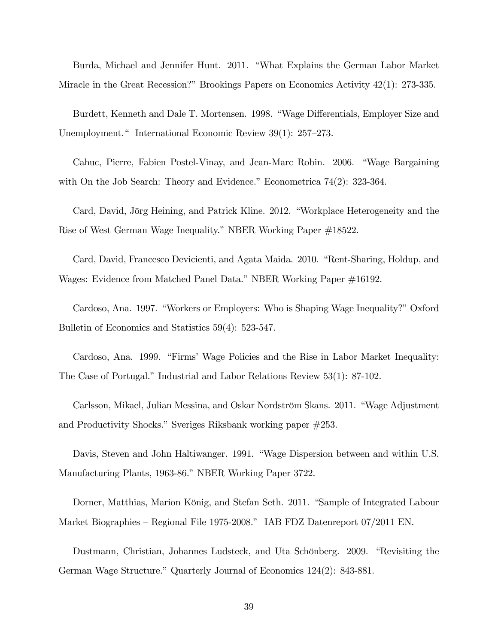Burda, Michael and Jennifer Hunt. 2011. "What Explains the German Labor Market Miracle in the Great Recession?" Brookings Papers on Economics Activity  $42(1)$ : 273-335.

Burdett, Kenneth and Dale T. Mortensen. 1998. "Wage Differentials, Employer Size and Unemployment." International Economic Review 39(1): 257–273.

Cahuc, Pierre, Fabien Postel-Vinay, and Jean-Marc Robin. 2006. "Wage Bargaining with On the Job Search: Theory and Evidence." Econometrica  $74(2)$ : 323-364.

Card, David, Jörg Heining, and Patrick Kline. 2012. "Workplace Heterogeneity and the Rise of West German Wage Inequality." NBER Working Paper #18522.

Card, David, Francesco Devicienti, and Agata Maida. 2010. "Rent-Sharing, Holdup, and Wages: Evidence from Matched Panel Data." NBER Working Paper #16192.

Cardoso, Ana. 1997. "Workers or Employers: Who is Shaping Wage Inequality?" Oxford Bulletin of Economics and Statistics 59(4): 523-547.

Cardoso, Ana. 1999. "Firms' Wage Policies and the Rise in Labor Market Inequality: The Case of Portugal." Industrial and Labor Relations Review 53(1): 87-102.

Carlsson, Mikael, Julian Messina, and Oskar Nordström Skans. 2011. "Wage Adjustment and Productivity Shocks." Sveriges Riksbank working paper  $\#253$ .

Davis, Steven and John Haltiwanger. 1991. "Wage Dispersion between and within U.S. Manufacturing Plants, 1963-86." NBER Working Paper 3722.

Dorner, Matthias, Marion König, and Stefan Seth. 2011. "Sample of Integrated Labour" Market Biographies – Regional File 1975-2008." IAB FDZ Datenreport 07/2011 EN.

Dustmann, Christian, Johannes Ludsteck, and Uta Schönberg. 2009. "Revisiting the German Wage Structure." Quarterly Journal of Economics 124(2): 843-881.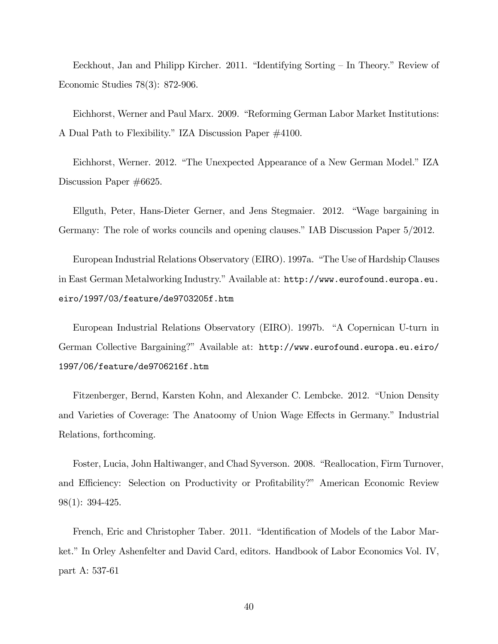Eeckhout, Jan and Philipp Kircher. 2011. "Identifying Sorting – In Theory." Review of Economic Studies  $78(3)$ : 872-906.

Eichhorst, Werner and Paul Marx. 2009. "Reforming German Labor Market Institutions: A Dual Path to Flexibility." IZA Discussion Paper #4100.

Eichhorst, Werner. 2012. "The Unexpected Appearance of a New German Model." IZA Discussion Paper  $\#6625$ .

Ellguth, Peter, Hans-Dieter Gerner, and Jens Stegmaier. 2012. "Wage bargaining in Germany: The role of works councils and opening clauses." IAB Discussion Paper 5/2012.

European Industrial Relations Observatory (EIRO). 1997a. "The Use of Hardship Clauses in East German Metalworking Industry." Available at: http://www.eurofound.europa.eu. eiro/1997/03/feature/de9703205f.htm

European Industrial Relations Observatory (EIRO). 1997b. "A Copernican U-turn in German Collective Bargaining?" Available at: http://www.eurofound.europa.eu.eiro/ 1997/06/feature/de9706216f.htm

Fitzenberger, Bernd, Karsten Kohn, and Alexander C. Lembcke. 2012. "Union Density and Varieties of Coverage: The Anatoomy of Union Wage Effects in Germany." Industrial Relations, forthcoming.

Foster, Lucia, John Haltiwanger, and Chad Syverson. 2008. "Reallocation, Firm Turnover, and Efficiency: Selection on Productivity or Profitability?" American Economic Review  $98(1): 394-425.$ 

French, Eric and Christopher Taber. 2011. "Identification of Models of the Labor Market." In Orley Ashenfelter and David Card, editors. Handbook of Labor Economics Vol. IV, part A: 537-61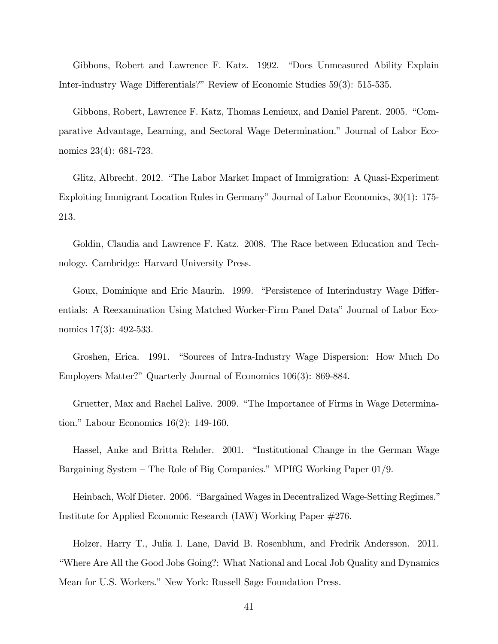Gibbons, Robert and Lawrence F. Katz. 1992. "Does Unmeasured Ability Explain Inter-industry Wage Differentials?" Review of Economic Studies 59(3): 515-535.

Gibbons, Robert, Lawrence F. Katz, Thomas Lemieux, and Daniel Parent. 2005. "Comparative Advantage, Learning, and Sectoral Wage Determination." Journal of Labor Economics  $23(4)$ : 681-723.

Glitz, Albrecht. 2012. "The Labor Market Impact of Immigration: A Quasi-Experiment Exploiting Immigrant Location Rules in Germany" Journal of Labor Economics, 30(1): 175-213.

Goldin, Claudia and Lawrence F. Katz. 2008. The Race between Education and Technology. Cambridge: Harvard University Press.

Goux, Dominique and Eric Maurin. 1999. "Persistence of Interindustry Wage Differentials: A Reexamination Using Matched Worker-Firm Panel Data" Journal of Labor Economics  $17(3)$ : 492-533.

Groshen, Erica. 1991. "Sources of Intra-Industry Wage Dispersion: How Much Do Employers Matter?" Quarterly Journal of Economics 106(3): 869-884.

Gruetter, Max and Rachel Lalive. 2009. "The Importance of Firms in Wage Determination." Labour Economics  $16(2)$ : 149-160.

Hassel, Anke and Britta Rehder. 2001. "Institutional Change in the German Wage Bargaining System – The Role of Big Companies." MPIfG Working Paper  $01/9$ .

Heinbach, Wolf Dieter. 2006. "Bargained Wages in Decentralized Wage-Setting Regimes." Institute for Applied Economic Research (IAW) Working Paper  $\#276$ .

Holzer, Harry T., Julia I. Lane, David B. Rosenblum, and Fredrik Andersson. 2011. "Where Are All the Good Jobs Going?: What National and Local Job Quality and Dynamics Mean for U.S. Workers." New York: Russell Sage Foundation Press.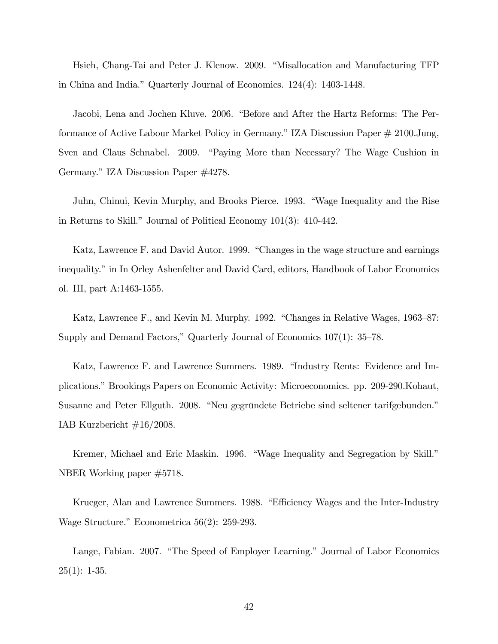Hsieh, Chang-Tai and Peter J. Klenow. 2009. "Misallocation and Manufacturing TFP in China and India." Quarterly Journal of Economics. 124(4): 1403-1448.

Jacobi, Lena and Jochen Kluve. 2006. "Before and After the Hartz Reforms: The Performance of Active Labour Market Policy in Germany." IZA Discussion Paper # 2100.Jung, Sven and Claus Schnabel. 2009. "Paying More than Necessary? The Wage Cushion in Germany." IZA Discussion Paper #4278.

Juhn, Chinui, Kevin Murphy, and Brooks Pierce. 1993. "Wage Inequality and the Rise in Returns to Skill." Journal of Political Economy  $101(3)$ : 410-442.

Katz, Lawrence F. and David Autor. 1999. "Changes in the wage structure and earnings inequality." in In Orley Ashenfelter and David Card, editors, Handbook of Labor Economics ol. III, part A:1463-1555.

Katz, Lawrence F., and Kevin M. Murphy. 1992. "Changes in Relative Wages, 1963–87: Supply and Demand Factors," Quarterly Journal of Economics  $107(1)$ : 35–78.

Katz, Lawrence F. and Lawrence Summers. 1989. "Industry Rents: Evidence and Implications." Brookings Papers on Economic Activity: Microeconomics. pp. 209-290. Kohaut, Susanne and Peter Ellguth. 2008. "Neu gegründete Betriebe sind seltener tarifgebunden." IAB Kurzbericht  $\#16/2008$ .

Kremer, Michael and Eric Maskin. 1996. "Wage Inequality and Segregation by Skill." NBER Working paper  $\#5718$ .

Krueger, Alan and Lawrence Summers. 1988. "Efficiency Wages and the Inter-Industry Wage Structure." Econometrica  $56(2)$ : 259-293.

Lange, Fabian. 2007. "The Speed of Employer Learning." Journal of Labor Economics  $25(1): 1-35.$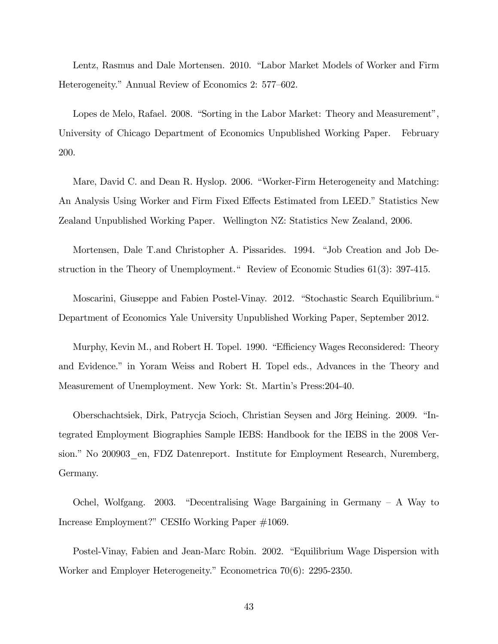Lentz, Rasmus and Dale Mortensen. 2010. "Labor Market Models of Worker and Firm Heterogeneity." Annual Review of Economics 2: 577-602.

Lopes de Melo, Rafael. 2008. "Sorting in the Labor Market: Theory and Measurement", University of Chicago Department of Economics Unpublished Working Paper. February 200.

Mare, David C. and Dean R. Hyslop. 2006. "Worker-Firm Heterogeneity and Matching: An Analysis Using Worker and Firm Fixed Effects Estimated from LEED." Statistics New Zealand Unpublished Working Paper. Wellington NZ: Statistics New Zealand, 2006.

Mortensen, Dale T.and Christopher A. Pissarides. 1994. "Job Creation and Job Destruction in the Theory of Unemployment." Review of Economic Studies 61(3): 397-415.

Moscarini, Giuseppe and Fabien Postel-Vinay. 2012. "Stochastic Search Equilibrium." Department of Economics Yale University Unpublished Working Paper, September 2012.

Murphy, Kevin M., and Robert H. Topel. 1990. "Efficiency Wages Reconsidered: Theory and Evidence." in Yoram Weiss and Robert H. Topel eds., Advances in the Theory and Measurement of Unemployment. New York: St. Martin's Press: 204-40.

Oberschachtsiek, Dirk, Patrycja Scioch, Christian Seysen and Jörg Heining. 2009. "Integrated Employment Biographies Sample IEBS: Handbook for the IEBS in the 2008 Version." No 200903 en, FDZ Datenreport. Institute for Employment Research, Nuremberg, Germany.

Ochel, Wolfgang. 2003. "Decentralising Wage Bargaining in Germany  $-$  A Way to Increase Employment?" CESIfo Working Paper #1069.

Postel-Vinay, Fabien and Jean-Marc Robin. 2002. "Equilibrium Wage Dispersion with Worker and Employer Heterogeneity." Econometrica  $70(6)$ : 2295-2350.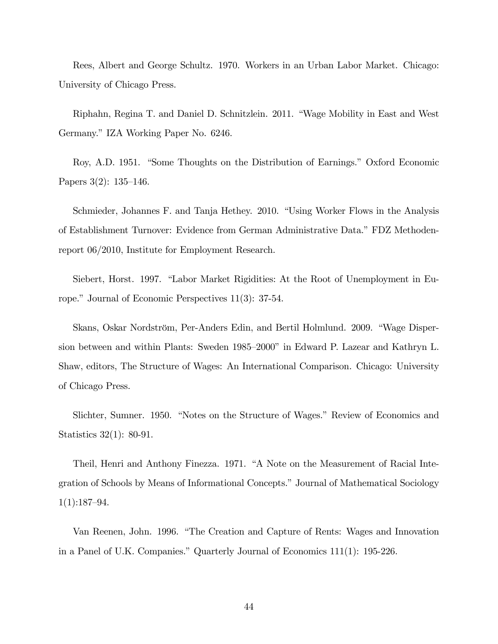Rees, Albert and George Schultz. 1970. Workers in an Urban Labor Market. Chicago: University of Chicago Press.

Riphahn, Regina T. and Daniel D. Schnitzlein. 2011. "Wage Mobility in East and West Germany." IZA Working Paper No. 6246.

Roy, A.D. 1951. "Some Thoughts on the Distribution of Earnings." Oxford Economic Papers  $3(2)$ : 135-146.

Schmieder, Johannes F. and Tanja Hethey. 2010. "Using Worker Flows in the Analysis of Establishment Turnover: Evidence from German Administrative Data." FDZ Methodenreport  $06/2010$ , Institute for Employment Research.

Siebert, Horst. 1997. "Labor Market Rigidities: At the Root of Unemployment in Europe." Journal of Economic Perspectives  $11(3)$ : 37-54.

Skans, Oskar Nordström, Per-Anders Edin, and Bertil Holmlund. 2009. "Wage Dispersion between and within Plants: Sweden 1985–2000" in Edward P. Lazear and Kathryn L. Shaw, editors, The Structure of Wages: An International Comparison. Chicago: University of Chicago Press.

Slichter, Sumner. 1950. "Notes on the Structure of Wages." Review of Economics and Statistics  $32(1)$ : 80-91.

Theil, Henri and Anthony Finezza. 1971. "A Note on the Measurement of Racial Integration of Schools by Means of Informational Concepts." Journal of Mathematical Sociology  $1(1):187-94.$ 

Van Reenen, John. 1996. "The Creation and Capture of Rents: Wages and Innovation in a Panel of U.K. Companies." Quarterly Journal of Economics  $111(1)$ : 195-226.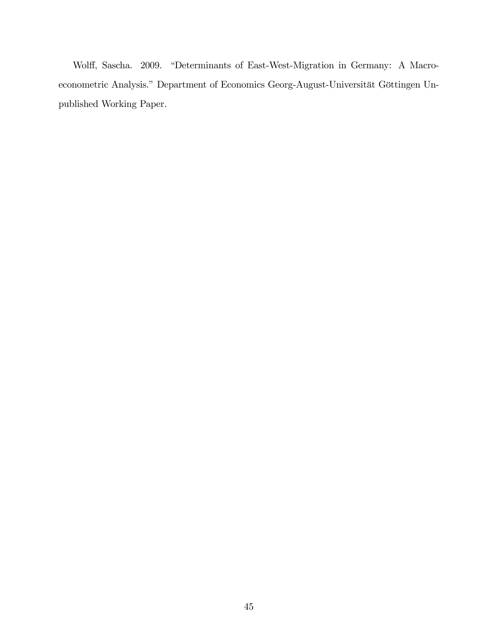Wolff, Sascha. 2009. "Determinants of East-West-Migration in Germany: A Macroeconometric Analysis." Department of Economics Georg-August-Universität Göttingen Unpublished Working Paper.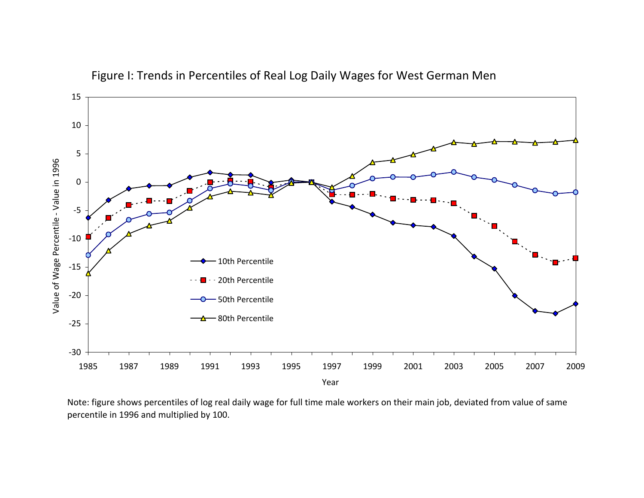

Figure I: Trends in Percentiles of Real Log Daily Wages for West German Men

Note: figure shows percentiles of log real daily wage for full time male workers on their main job, deviated from value of same percentile in 1996 and multiplied by 100.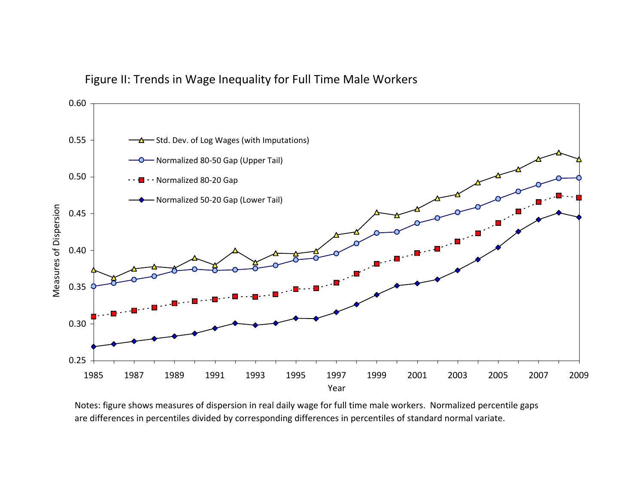

### Figure II: Trends in Wage Inequality for Full Time Male Workers

Notes: figure shows measures of dispersion in real daily wage for full time male workers. Normalized percentile gaps are differences in percentiles divided by corresponding differences in percentiles of standard normal variate.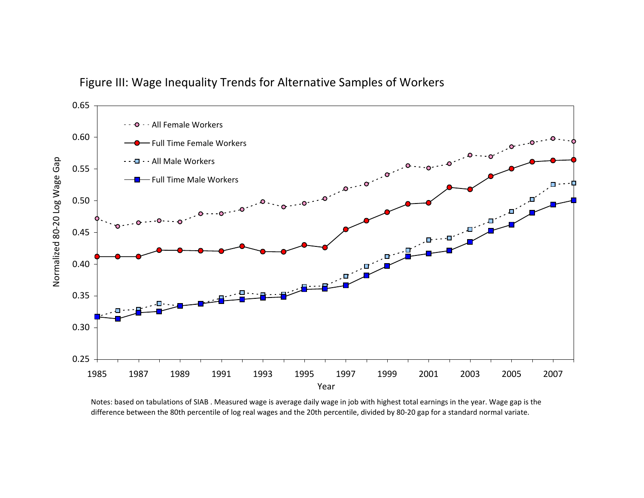



Notes: based on tabulations of SIAB . Measured wage is average daily wage in job with highest total earnings in the year. Wage gap is the difference between the 80th percentile of log real wages and the 20th percentile, divided by 80‐20 gap for <sup>a</sup> standard normal variate.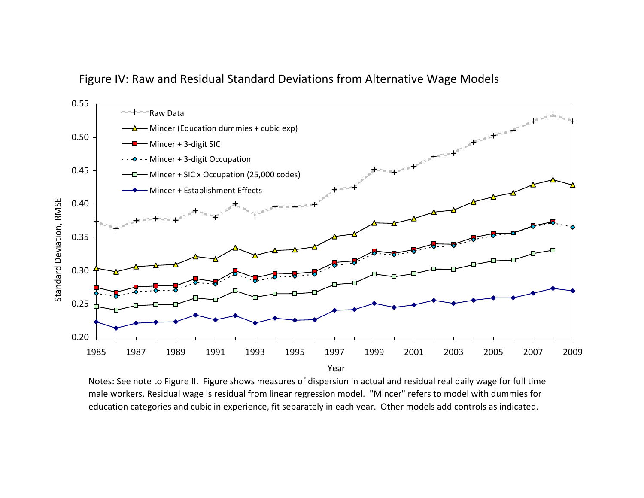

### Figure IV: Raw and Residual Standard Deviations from Alternative Wage Models

Notes: See note to Figure II. Figure shows measures of dispersion in actual and residual real daily wage for full time male workers. Residual wage is residual from linear regression model. "Mincer" refers to model with dummies for education categories and cubic in experience, fit separately in each year. Other models add controls as indicated.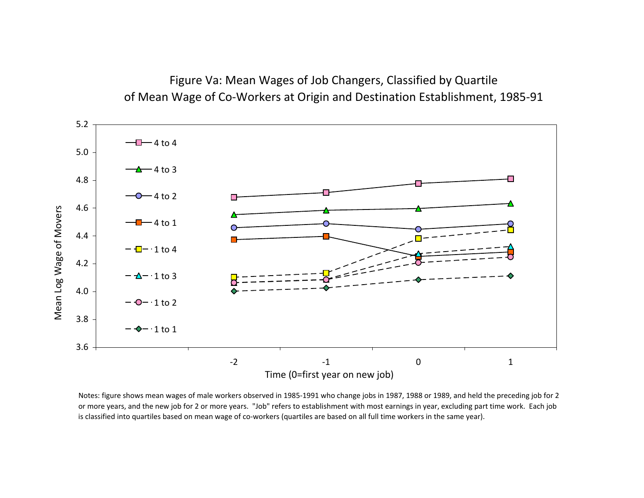Figure Va: Mean Wages of Job Changers, Classified by Quartile of Mean Wage of Co‐Workers at Origin and Destination Establishment, 1985‐91



Notes: figure shows mean wages of male workers observed in 1985‐1991 who change jobs in 1987, 1988 or 1989, and held the preceding job for 2 or more years, and the new job for 2 or more years. "Job" refers to establishment with most earnings in year, excluding part time work. Each job is classified into quartiles based on mean wage of co‐workers (quartiles are based on all full time workers in the same year).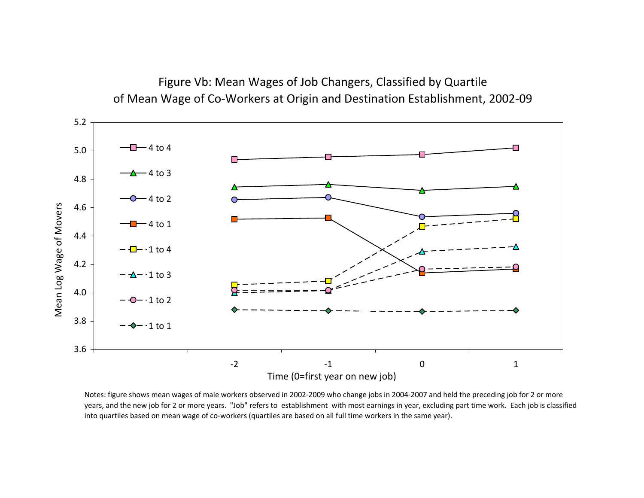

Figure Vb: Mean Wages of Job Changers, Classified by Quartile of Mean Wage of Co‐Workers at Origin and Destination Establishment, 2002‐09

Notes: figure shows mean wages of male workers observed in 2002‐2009 who change jobs in 2004‐2007 and held the preceding job for 2 or more years, and the new job for 2 or more years. "Job" refers to establishment with most earnings in year, excluding part time work. Each job is classified into quartiles based on mean wage of co‐workers (quartiles are based on all full time workers in the same year).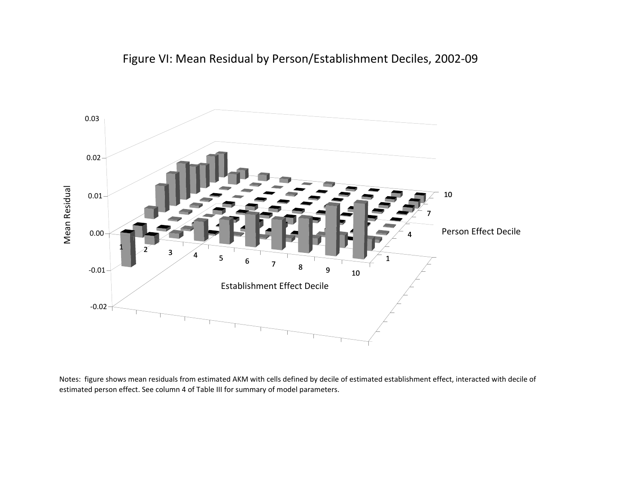



Notes: figure shows mean residuals from estimated AKM with cells defined by decile of estimated establishment effect, interacted with decile of estimated person effect. See column 4 of Table III for summary of model parameters.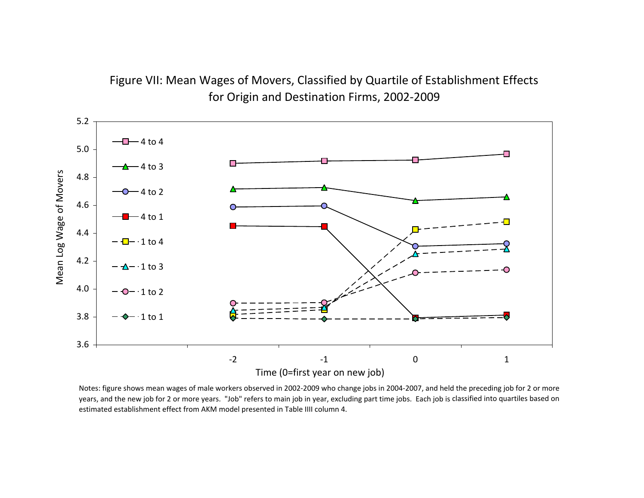# Figure VII: Mean Wages of Movers, Classified by Quartile of Establishment Effects for Origin and Destination Firms, 2002‐2009



Notes: figure shows mean wages of male workers observed in 2002‐2009 who change jobs in 2004‐2007, and held the preceding job for 2 or more years, and the new job for 2 or more years. "Job" refers to main job in year, excluding part time jobs. Each job is classified into quartiles based on estimated establishment effect from AKM model presented in Table IIII column 4.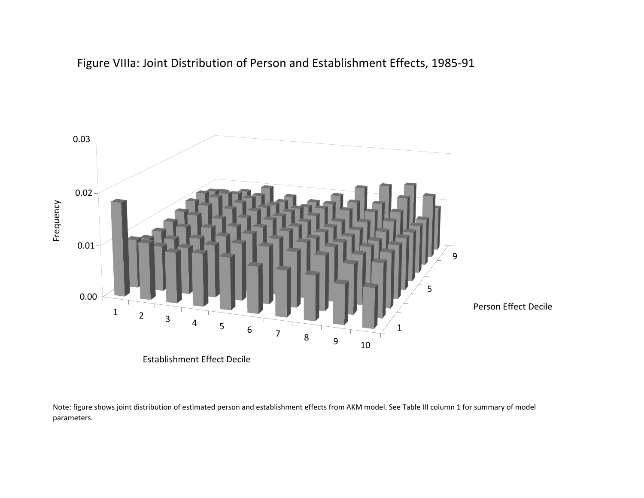



Note: figure shows joint distribution of estimated person and establishment effects from AKM model. See Table III column 1 for summary of model parameters.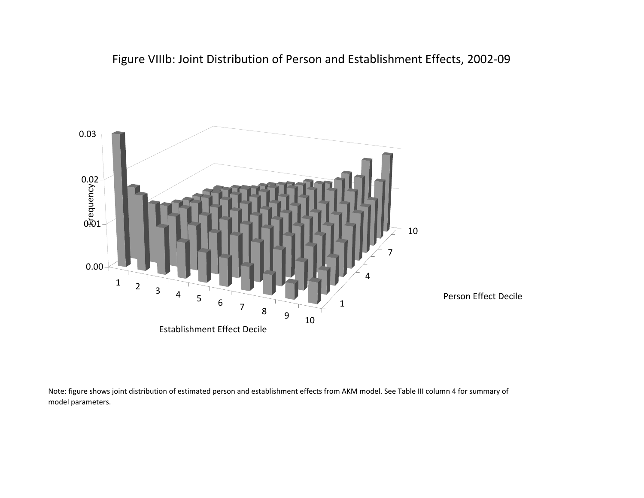Figure VIIIb: Joint Distribution of Person and Establishment Effects, 2002‐09



Note: figure shows joint distribution of estimated person and establishment effects from AKM model. See Table III column 4 for summary of model parameters.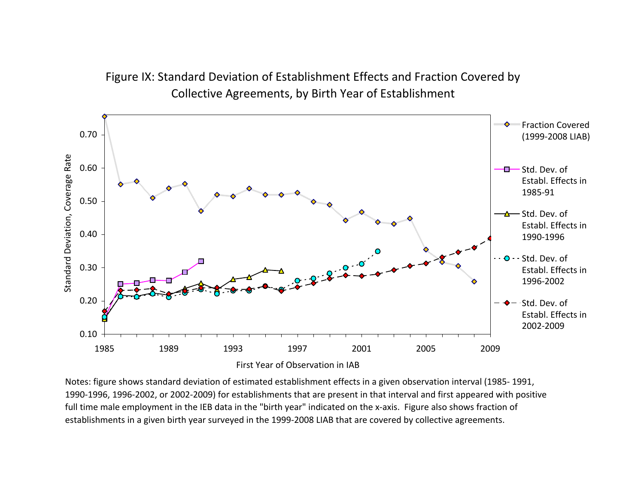# Figure IX: Standard Deviation of Establishment Effects and Fraction Covered by Collective Agreements, by Birth Year of Establishment



Notes: figure shows standard deviation of estimated establishment effects in <sup>a</sup> given observation interval (1985‐ 1991, 1990‐1996, 1996‐2002, or 2002‐2009) for establishments that are present in that interval and first appeared with positive full time male employment in the IEB data in the "birth year" indicated on the <sup>x</sup>‐axis. Figure also shows fraction of establishments in <sup>a</sup> given birth year surveyed in the 1999‐2008 LIAB that are covered by collective agreements.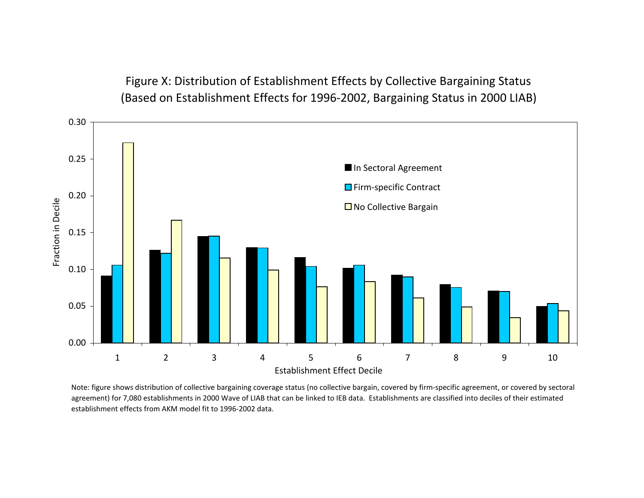Figure X: Distribution of Establishment Effects by Collective Bargaining Status (Based on Establishment Effects for 1996‐2002, Bargaining Status in 2000 LIAB)



Note: figure shows distribution of collective bargaining coverage status (no collective bargain, covered by firm‐specific agreement, or covered by sectoral agreement) for 7,080 establishments in 2000 Wave of LIAB that can be linked to IEB data. Establishments are classified into deciles of their estimated establishment effects from AKM model fit to 1996‐2002 data.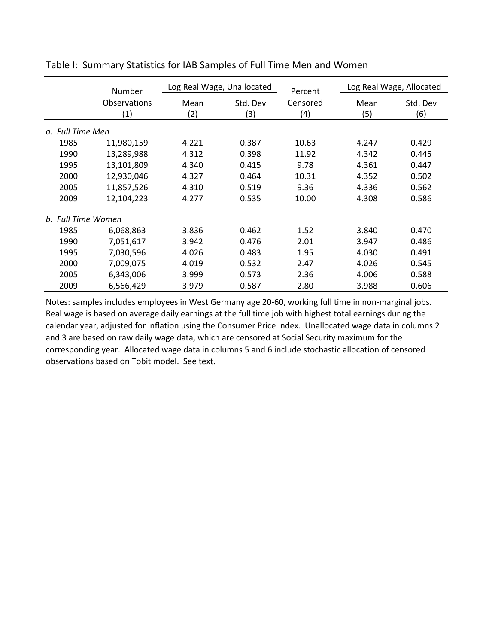|                                    | Number                                   | Log Real Wage, Unallocated |                 | Percent         | Log Real Wage, Allocated |                 |
|------------------------------------|------------------------------------------|----------------------------|-----------------|-----------------|--------------------------|-----------------|
|                                    | <b>Observations</b><br>$\left( 1\right)$ | Mean<br>(2)                | Std. Dev<br>(3) | Censored<br>(4) | Mean<br>(5)              | Std. Dev<br>(6) |
| <b>Full Time Men</b><br>$\alpha$ . |                                          |                            |                 |                 |                          |                 |
| 1985                               | 11,980,159                               | 4.221                      | 0.387           | 10.63           | 4.247                    | 0.429           |
| 1990                               | 13,289,988                               | 4.312                      | 0.398           | 11.92           | 4.342                    | 0.445           |
| 1995                               | 13,101,809                               | 4.340                      | 0.415           | 9.78            | 4.361                    | 0.447           |
| 2000                               | 12,930,046                               | 4.327                      | 0.464           | 10.31           | 4.352                    | 0.502           |
| 2005                               | 11,857,526                               | 4.310                      | 0.519           | 9.36            | 4.336                    | 0.562           |
| 2009                               | 12,104,223                               | 4.277                      | 0.535           | 10.00           | 4.308                    | 0.586           |
| b. Full Time Women                 |                                          |                            |                 |                 |                          |                 |
| 1985                               | 6,068,863                                | 3.836                      | 0.462           | 1.52            | 3.840                    | 0.470           |
| 1990                               | 7,051,617                                | 3.942                      | 0.476           | 2.01            | 3.947                    | 0.486           |
| 1995                               | 7,030,596                                | 4.026                      | 0.483           | 1.95            | 4.030                    | 0.491           |
| 2000                               | 7,009,075                                | 4.019                      | 0.532           | 2.47            | 4.026                    | 0.545           |
| 2005                               | 6,343,006                                | 3.999                      | 0.573           | 2.36            | 4.006                    | 0.588           |
| 2009                               | 6,566,429                                | 3.979                      | 0.587           | 2.80            | 3.988                    | 0.606           |

Table I: Summary Statistics for IAB Samples of Full Time Men and Women

Notes: samples includes employees in West Germany age 20‐60, working full time in non‐marginal jobs. Real wage is based on average daily earnings at the full time job with highest total earnings during the calendar year, adjusted for inflation using the Consumer Price Index. Unallocated wage data in columns 2 and 3 are based on raw daily wage data, which are censored at Social Security maximum for the corresponding year. Allocated wage data in columns 5 and 6 include stochastic allocation of censored observations based on Tobit model. See text.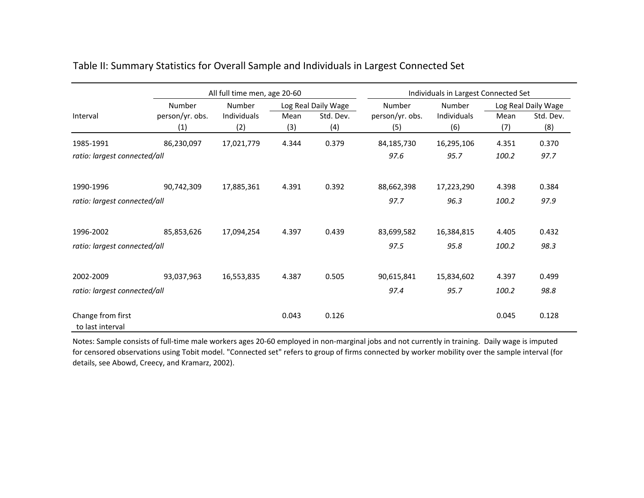|                                       | All full time men, age 20-60 |                    |             |                     | Individuals in Largest Connected Set |                    |             |                     |
|---------------------------------------|------------------------------|--------------------|-------------|---------------------|--------------------------------------|--------------------|-------------|---------------------|
|                                       | Number                       | Number             |             | Log Real Daily Wage | Number                               | Number             |             | Log Real Daily Wage |
| Interval                              | person/yr. obs.<br>(1)       | Individuals<br>(2) | Mean<br>(3) | Std. Dev.<br>(4)    | person/yr. obs.<br>(5)               | Individuals<br>(6) | Mean<br>(7) | Std. Dev.<br>(8)    |
| 1985-1991                             | 86,230,097                   | 17,021,779         | 4.344       | 0.379               | 84,185,730                           | 16,295,106         | 4.351       | 0.370               |
| ratio: largest connected/all          |                              |                    |             |                     | 97.6                                 | 95.7               | 100.2       | 97.7                |
| 1990-1996                             | 90,742,309                   | 17,885,361         | 4.391       | 0.392               | 88,662,398                           | 17,223,290         | 4.398       | 0.384               |
| ratio: largest connected/all          |                              |                    |             |                     | 97.7                                 | 96.3               | 100.2       | 97.9                |
| 1996-2002                             | 85,853,626                   | 17,094,254         | 4.397       | 0.439               | 83,699,582                           | 16,384,815         | 4.405       | 0.432               |
| ratio: largest connected/all          |                              |                    |             |                     | 97.5                                 | 95.8               | 100.2       | 98.3                |
| 2002-2009                             | 93,037,963                   | 16,553,835         | 4.387       | 0.505               | 90,615,841                           | 15,834,602         | 4.397       | 0.499               |
| ratio: largest connected/all          |                              |                    |             |                     | 97.4                                 | 95.7               | 100.2       | 98.8                |
| Change from first<br>to last interval |                              |                    | 0.043       | 0.126               |                                      |                    | 0.045       | 0.128               |

### Table II: Summary Statistics for Overall Sample and Individuals in Largest Connected Set

Notes: Sample consists of full‐time male workers ages 20‐60 employed in non‐marginal jobs and not currently in training. Daily wage is imputed for censored observations using Tobit model. "Connected set" refers to group of firms connected by worker mobility over the sample interval (for details, see Abowd, Creecy, and Kramarz, 2002).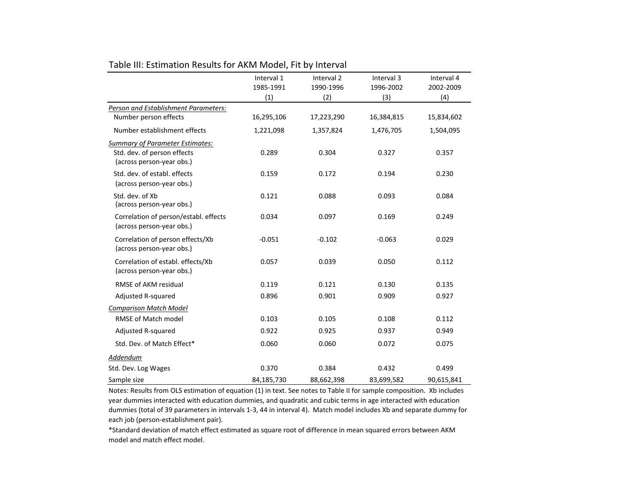|                                                                                                    | Interval 1<br>1985-1991 | Interval <sub>2</sub><br>1990-1996 | Interval 3<br>1996-2002 | Interval 4<br>2002-2009 |
|----------------------------------------------------------------------------------------------------|-------------------------|------------------------------------|-------------------------|-------------------------|
|                                                                                                    | (1)                     | (2)                                | (3)                     | (4)                     |
| Person and Establishment Parameters:<br>Number person effects                                      | 16,295,106              | 17,223,290                         | 16,384,815              | 15,834,602              |
| Number establishment effects                                                                       | 1,221,098               | 1,357,824                          | 1,476,705               | 1,504,095               |
| <b>Summary of Parameter Estimates:</b><br>Std. dev. of person effects<br>(across person-year obs.) | 0.289                   | 0.304                              | 0.327                   | 0.357                   |
| Std. dev. of establ. effects<br>(across person-year obs.)                                          | 0.159                   | 0.172                              | 0.194                   | 0.230                   |
| Std. dev. of Xb<br>(across person-year obs.)                                                       | 0.121                   | 0.088                              | 0.093                   | 0.084                   |
| Correlation of person/establ. effects<br>(across person-year obs.)                                 | 0.034                   | 0.097                              | 0.169                   | 0.249                   |
| Correlation of person effects/Xb<br>(across person-year obs.)                                      | $-0.051$                | $-0.102$                           | $-0.063$                | 0.029                   |
| Correlation of establ. effects/Xb<br>(across person-year obs.)                                     | 0.057                   | 0.039                              | 0.050                   | 0.112                   |
| RMSE of AKM residual                                                                               | 0.119                   | 0.121                              | 0.130                   | 0.135                   |
| Adjusted R-squared                                                                                 | 0.896                   | 0.901                              | 0.909                   | 0.927                   |
| <b>Comparison Match Model</b>                                                                      |                         |                                    |                         |                         |
| <b>RMSE of Match model</b>                                                                         | 0.103                   | 0.105                              | 0.108                   | 0.112                   |
| Adjusted R-squared                                                                                 | 0.922                   | 0.925                              | 0.937                   | 0.949                   |
| Std. Dev. of Match Effect*                                                                         | 0.060                   | 0.060                              | 0.072                   | 0.075                   |
| Addendum                                                                                           |                         |                                    |                         |                         |
| Std. Dev. Log Wages                                                                                | 0.370                   | 0.384                              | 0.432                   | 0.499                   |
| Sample size                                                                                        | 84,185,730              | 88,662,398                         | 83,699,582              | 90,615,841              |

#### Table III: Estimation Results for AKM Model, Fit by Interval

Notes: Results from OLS estimation of equation (1) in text. See notes to Table II for sample composition. Xb includes year dummies interacted with education dummies, and quadratic and cubic terms in age interacted with education dummies (total of 39 parameters in intervals 1‐3, 44 in interval 4). Match model includes Xb and separate dummy for each job (person‐establishment pair).

\*Standard deviation of match effect estimated as square root of difference in mean squared errors between AKM model and match effect model.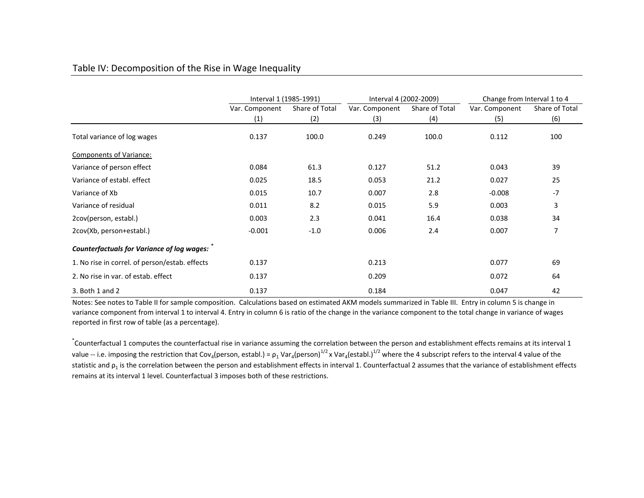#### Table IV: Decomposition of the Rise in Wage Inequality

|                                                   | Interval 1 (1985-1991) |                | Interval 4 (2002-2009) |                | Change from Interval 1 to 4 |                |
|---------------------------------------------------|------------------------|----------------|------------------------|----------------|-----------------------------|----------------|
|                                                   | Var. Component         | Share of Total | Var. Component         | Share of Total | Var. Component              | Share of Total |
|                                                   | (1)                    | (2)            | (3)                    | (4)            | (5)                         | (6)            |
| Total variance of log wages                       | 0.137                  | 100.0          | 0.249                  | 100.0          | 0.112                       | 100            |
| <b>Components of Variance:</b>                    |                        |                |                        |                |                             |                |
| Variance of person effect                         | 0.084                  | 61.3           | 0.127                  | 51.2           | 0.043                       | 39             |
| Variance of establ. effect                        | 0.025                  | 18.5           | 0.053                  | 21.2           | 0.027                       | 25             |
| Variance of Xb                                    | 0.015                  | 10.7           | 0.007                  | 2.8            | $-0.008$                    | $-7$           |
| Variance of residual                              | 0.011                  | 8.2            | 0.015                  | 5.9            | 0.003                       | 3              |
| 2cov(person, establ.)                             | 0.003                  | 2.3            | 0.041                  | 16.4           | 0.038                       | 34             |
| 2cov(Xb, person+establ.)                          | $-0.001$               | $-1.0$         | 0.006                  | 2.4            | 0.007                       |                |
| <b>Counterfactuals for Variance of log wages:</b> |                        |                |                        |                |                             |                |
| 1. No rise in correl. of person/estab. effects    | 0.137                  |                | 0.213                  |                | 0.077                       | 69             |
| 2. No rise in var. of estab. effect               | 0.137                  |                | 0.209                  |                | 0.072                       | 64             |
| $3.$ Both 1 and 2                                 | 0.137                  |                | 0.184                  |                | 0.047                       | 42             |

Notes: See notes to Table II for sample composition. Calculations based on estimated AKM models summarized in Table III. Entry in column 5 is change in variance component from interval 1 to interval 4. Entry in column 6 is ratio of the change in the variance component to the total change in variance of wages reported in first row of table (as <sup>a</sup> percentage).

\* Counterfactual 1 computes the counterfactual rise in variance assuming the correlation between the person and establishment effects remains at its interval 1 value -- i.e. imposing the restriction that Cov<sub>4</sub>(person, establ.) =  $\rho_1$  Var<sub>4</sub>(person)<sup>1/2</sup> x Var<sub>4</sub>(establ.)<sup>1/2</sup> where the 4 subscript refers to the interval 4 value of the statistic and ρ<sub>1</sub> is the correlation between the person and establishment effects in interval 1. Counterfactual 2 assumes that the variance of establishment effects remains at its interval 1 level. Counterfactual 3 imposes both of these restrictions.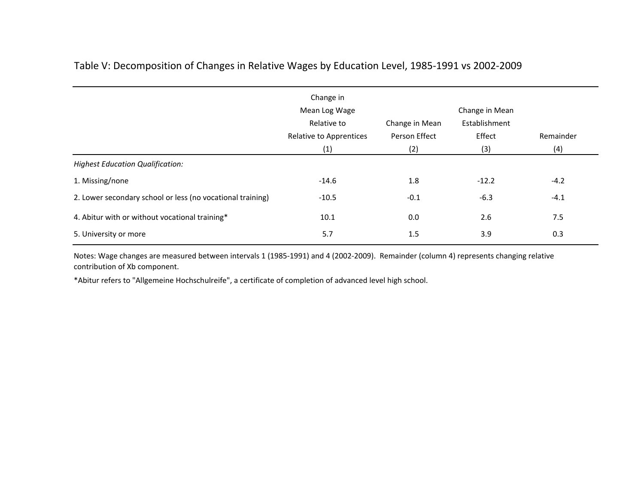|                                                            | Change in<br>Mean Log Wage             |                                 | Change in Mean          |           |
|------------------------------------------------------------|----------------------------------------|---------------------------------|-------------------------|-----------|
|                                                            | Relative to<br>Relative to Apprentices | Change in Mean<br>Person Effect | Establishment<br>Effect | Remainder |
|                                                            | (1)                                    | (2)                             | (3)                     | (4)       |
| <b>Highest Education Qualification:</b>                    |                                        |                                 |                         |           |
| 1. Missing/none                                            | $-14.6$                                | 1.8                             | $-12.2$                 | $-4.2$    |
| 2. Lower secondary school or less (no vocational training) | $-10.5$                                | $-0.1$                          | $-6.3$                  | $-4.1$    |
| 4. Abitur with or without vocational training*             | 10.1                                   | 0.0                             | 2.6                     | 7.5       |
| 5. University or more                                      | 5.7                                    | 1.5                             | 3.9                     | 0.3       |

### Table V: Decomposition of Changes in Relative Wages by Education Level, 1985‐1991 vs 2002‐2009

Notes: Wage changes are measured between intervals 1 (1985‐1991) and 4 (2002‐2009). Remainder (column 4) represents changing relative contribution of Xb component.

\*Abitur refers to "Allgemeine Hochschulreife", <sup>a</sup> certificate of completion of advanced level high school.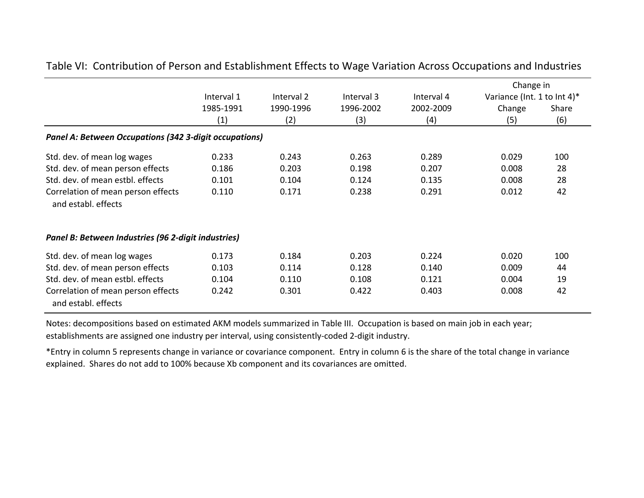|                                                               | Interval 1 | Interval 2 | Interval 3 | Interval 4 | Change in<br>Variance (Int. 1 to Int 4)* |       |
|---------------------------------------------------------------|------------|------------|------------|------------|------------------------------------------|-------|
|                                                               | 1985-1991  | 1990-1996  | 1996-2002  | 2002-2009  | Change                                   | Share |
|                                                               | (1)        | (2)        | (3)        | (4)        | (5)                                      | (6)   |
| <b>Panel A: Between Occupations (342 3-digit occupations)</b> |            |            |            |            |                                          |       |
| Std. dev. of mean log wages                                   | 0.233      | 0.243      | 0.263      | 0.289      | 0.029                                    | 100   |
| Std. dev. of mean person effects                              | 0.186      | 0.203      | 0.198      | 0.207      | 0.008                                    | 28    |
| Std. dev. of mean estbl. effects                              | 0.101      | 0.104      | 0.124      | 0.135      | 0.008                                    | 28    |
| Correlation of mean person effects<br>and establ. effects     | 0.110      | 0.171      | 0.238      | 0.291      | 0.012                                    | 42    |
| Panel B: Between Industries (96 2-digit industries)           |            |            |            |            |                                          |       |
| Std. dev. of mean log wages                                   | 0.173      | 0.184      | 0.203      | 0.224      | 0.020                                    | 100   |
| Std. dev. of mean person effects                              | 0.103      | 0.114      | 0.128      | 0.140      | 0.009                                    | 44    |
| Std. dev. of mean estbl. effects                              | 0.104      | 0.110      | 0.108      | 0.121      | 0.004                                    | 19    |
| Correlation of mean person effects<br>and establ. effects     | 0.242      | 0.301      | 0.422      | 0.403      | 0.008                                    | 42    |

Table VI: Contribution of Person and Establishment Effects to Wage Variation Across Occupations and Industries

Notes: decompositions based on estimated AKM models summarized in Table III. Occupation is based on main job in each year; establishments are assigned one industry per interval, using consistently‐coded 2‐digit industry.

\*Entry in column 5 represents change in variance or covariance component. Entry in column 6 is the share of the total change in variance explained. Shares do not add to 100% because Xb component and its covariances are omitted.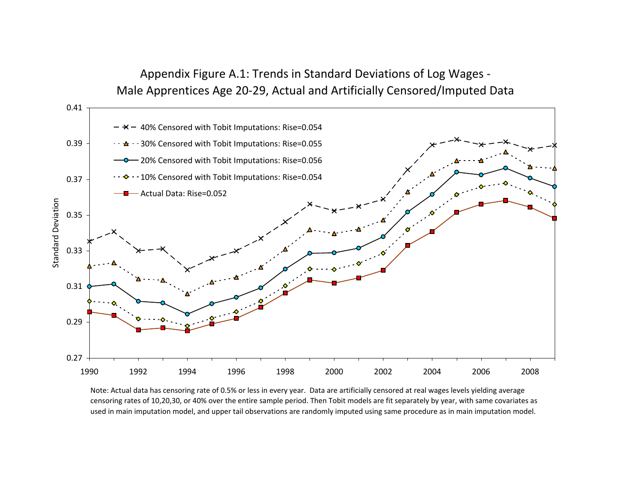## Appendix Figure A.1: Trends in Standard Deviations of Log Wages ‐ Male Apprentices Age 20‐29, Actual and Artificially Censored/Imputed Data



Note: Actual data has censoring rate of 0.5% or less in every year. Data are artificially censored at real wages levels yielding average censoring rates of 10,20,30, or 40% over the entire sample period. Then Tobit models are fit separately by year, with same covariates as used in main imputation model, and upper tail observations are randomly imputed using same procedure as in main imputation model.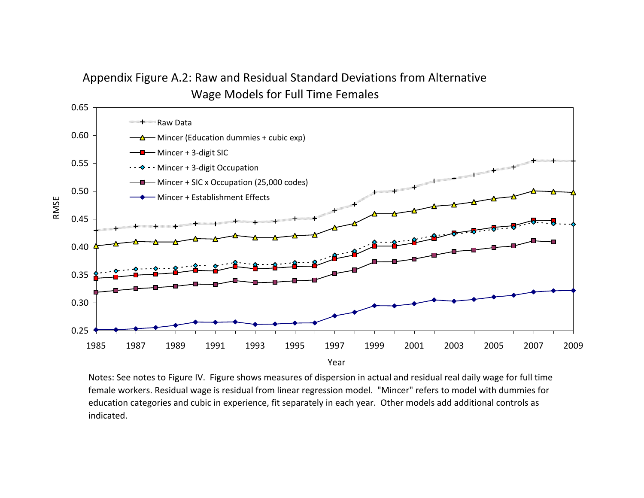## Appendix Figure A.2: Raw and Residual Standard Deviations from Alternative Wage Models for Full Time Females



Notes: See notes to Figure IV. Figure shows measures of dispersion in actual and residual real daily wage for full time female workers. Residual wage is residual from linear regression model. "Mincer" refers to model with dummies for education categories and cubic in experience, fit separately in each year. Other models add additional controls as indicated.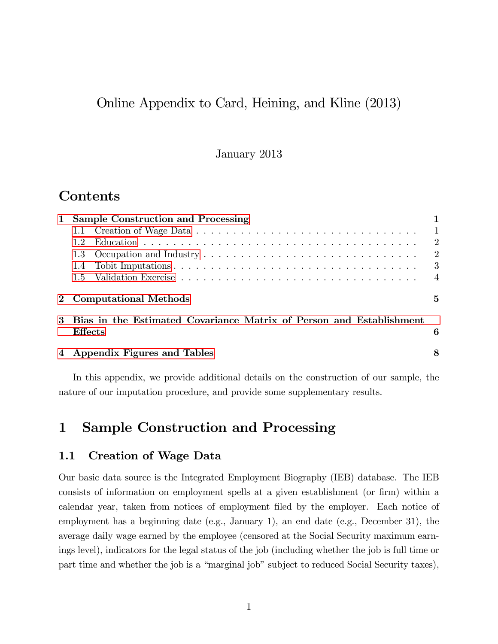### Online Appendix to Card, Heining, and Kline (2013)

#### January 2013

### **Contents**

| <b>Sample Construction and Processing</b>                             |                |
|-----------------------------------------------------------------------|----------------|
|                                                                       | $\overline{1}$ |
| 12                                                                    | $\overline{2}$ |
| 1.3                                                                   | $\overline{2}$ |
| 1.4                                                                   | -3             |
| 15                                                                    | $\overline{4}$ |
| 2 Computational Methods                                               | 5              |
| 3 Bias in the Estimated Covariance Matrix of Person and Establishment |                |
| <b>Effects</b>                                                        | 6              |
| 4 Appendix Figures and Tables                                         | 8              |

In this appendix, we provide additional details on the construction of our sample, the nature of our imputation procedure, and provide some supplementary results.

## <span id="page-67-0"></span>1 Sample Construction and Processing

#### <span id="page-67-1"></span>1.1 Creation of Wage Data

Our basic data source is the Integrated Employment Biography (IEB) database. The IEB consists of information on employment spells at a given establishment (or firm) within a calendar year, taken from notices of employment Öled by the employer. Each notice of employment has a beginning date (e.g., January 1), an end date (e.g., December 31), the average daily wage earned by the employee (censored at the Social Security maximum earnings level), indicators for the legal status of the job (including whether the job is full time or part time and whether the job is a "marginal job" subject to reduced Social Security taxes),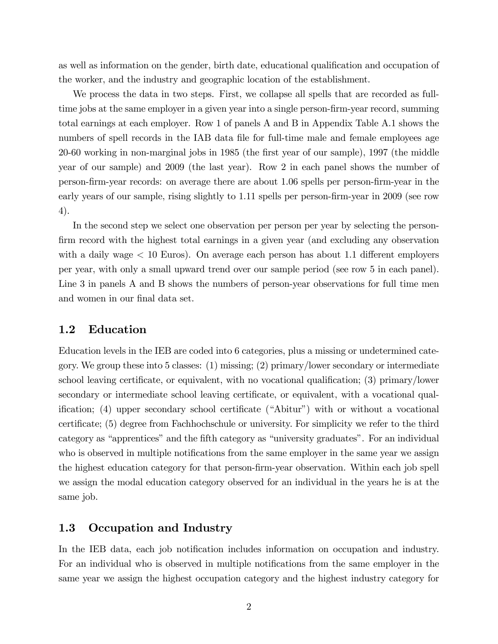as well as information on the gender, birth date, educational qualification and occupation of the worker, and the industry and geographic location of the establishment.

We process the data in two steps. First, we collapse all spells that are recorded as fulltime jobs at the same employer in a given year into a single person-firm-year record, summing total earnings at each employer. Row 1 of panels A and B in Appendix Table A.1 shows the numbers of spell records in the IAB data file for full-time male and female employees age 20-60 working in non-marginal jobs in 1985 (the Örst year of our sample), 1997 (the middle year of our sample) and 2009 (the last year). Row 2 in each panel shows the number of person-Örm-year records: on average there are about 1.06 spells per person-Örm-year in the early years of our sample, rising slightly to 1.11 spells per person-firm-year in 2009 (see row 4).

In the second step we select one observation per person per year by selecting the personfirm record with the highest total earnings in a given year (and excluding any observation with a daily wage  $< 10$  Euros). On average each person has about 1.1 different employers per year, with only a small upward trend over our sample period (see row 5 in each panel). Line 3 in panels A and B shows the numbers of person-year observations for full time men and women in our final data set.

#### <span id="page-68-0"></span>1.2 Education

Education levels in the IEB are coded into 6 categories, plus a missing or undetermined category. We group these into 5 classes: (1) missing; (2) primary/lower secondary or intermediate school leaving certificate, or equivalent, with no vocational qualification;  $(3)$  primary/lower secondary or intermediate school leaving certificate, or equivalent, with a vocational qualification; (4) upper secondary school certificate ("Abitur") with or without a vocational certificate; (5) degree from Fachhochschule or university. For simplicity we refer to the third category as "apprentices" and the fifth category as "university graduates". For an individual who is observed in multiple notifications from the same employer in the same year we assign the highest education category for that person-firm-year observation. Within each job spell we assign the modal education category observed for an individual in the years he is at the same job.

#### <span id="page-68-1"></span>1.3 Occupation and Industry

In the IEB data, each job notification includes information on occupation and industry. For an individual who is observed in multiple notifications from the same employer in the same year we assign the highest occupation category and the highest industry category for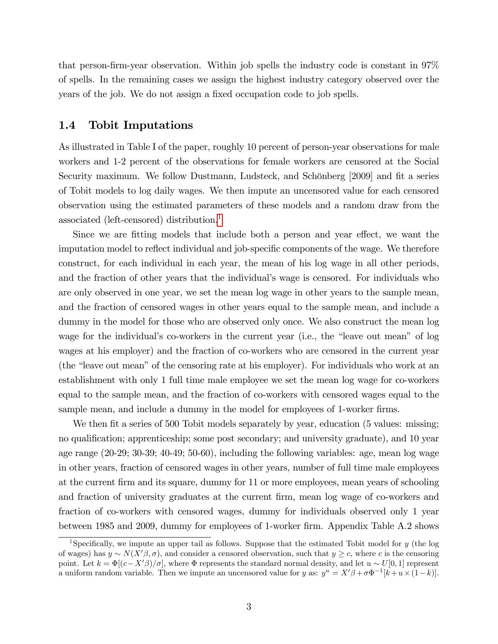that person-firm-year observation. Within job spells the industry code is constant in  $97\%$ of spells. In the remaining cases we assign the highest industry category observed over the years of the job. We do not assign a fixed occupation code to job spells.

#### <span id="page-69-0"></span>1.4 Tobit Imputations

As illustrated in Table I of the paper, roughly 10 percent of person-year observations for male workers and 1-2 percent of the observations for female workers are censored at the Social Security maximum. We follow Dustmann, Ludsteck, and Schönberg [2009] and fit a series of Tobit models to log daily wages. We then impute an uncensored value for each censored observation using the estimated parameters of these models and a random draw from the associated (left-censored) distribution.[1](#page-69-1)

Since we are fitting models that include both a person and year effect, we want the imputation model to reflect individual and job-specific components of the wage. We therefore construct, for each individual in each year, the mean of his log wage in all other periods, and the fraction of other years that the individual's wage is censored. For individuals who are only observed in one year, we set the mean log wage in other years to the sample mean, and the fraction of censored wages in other years equal to the sample mean, and include a dummy in the model for those who are observed only once. We also construct the mean log wage for the individual's co-workers in the current year (i.e., the "leave out mean" of log wages at his employer) and the fraction of co-workers who are censored in the current year (the "leave out mean" of the censoring rate at his employer). For individuals who work at an establishment with only 1 full time male employee we set the mean log wage for co-workers equal to the sample mean, and the fraction of co-workers with censored wages equal to the sample mean, and include a dummy in the model for employees of 1-worker firms.

We then fit a series of 500 Tobit models separately by year, education (5 values: missing; no qualification; apprenticeship; some post secondary; and university graduate), and 10 year age range (20-29; 30-39; 40-49; 50-60), including the following variables: age, mean log wage in other years, fraction of censored wages in other years, number of full time male employees at the current firm and its square, dummy for 11 or more employees, mean years of schooling and fraction of university graduates at the current Örm, mean log wage of co-workers and fraction of co-workers with censored wages, dummy for individuals observed only 1 year between 1985 and 2009, dummy for employees of 1-worker firm. Appendix Table A.2 shows

<span id="page-69-1"></span><sup>&</sup>lt;sup>1</sup>Specifically, we impute an upper tail as follows. Suppose that the estimated Tobit model for  $y$  (the log of wages) has  $y \sim N(X'\beta, \sigma)$ , and consider a censored observation, such that  $y \geq c$ , where c is the censoring point. Let  $k = \Phi[(c - X'\beta)/\sigma]$ , where  $\Phi$  represents the standard normal density, and let  $u \sim U[0, 1]$  represent a uniform random variable. Then we impute an uncensored value for y as:  $y^u = X'\beta + \sigma \Phi^{-1}[k+u \times (1-k)].$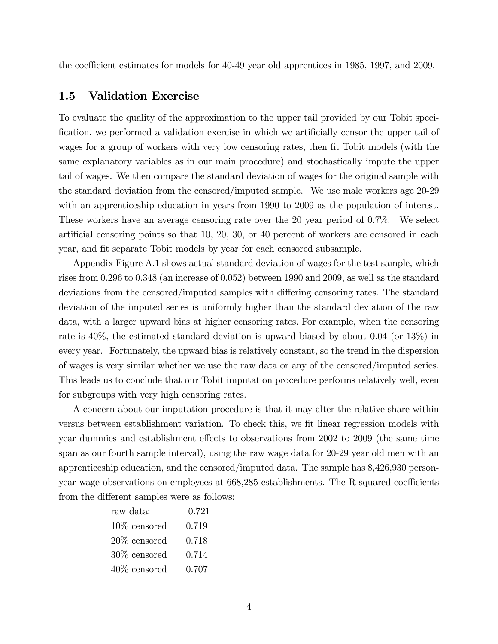the coefficient estimates for models for 40-49 year old apprentices in 1985, 1997, and 2009.

### <span id="page-70-0"></span>1.5 Validation Exercise

To evaluate the quality of the approximation to the upper tail provided by our Tobit specification, we performed a validation exercise in which we artificially censor the upper tail of wages for a group of workers with very low censoring rates, then fit Tobit models (with the same explanatory variables as in our main procedure) and stochastically impute the upper tail of wages. We then compare the standard deviation of wages for the original sample with the standard deviation from the censored/imputed sample. We use male workers age 20-29 with an apprenticeship education in years from 1990 to 2009 as the population of interest. These workers have an average censoring rate over the 20 year period of 0.7%. We select artificial censoring points so that  $10, 20, 30$ , or  $40$  percent of workers are censored in each year, and fit separate Tobit models by year for each censored subsample.

Appendix Figure A.1 shows actual standard deviation of wages for the test sample, which rises from 0.296 to 0.348 (an increase of 0.052) between 1990 and 2009, as well as the standard deviations from the censored/imputed samples with differing censoring rates. The standard deviation of the imputed series is uniformly higher than the standard deviation of the raw data, with a larger upward bias at higher censoring rates. For example, when the censoring rate is 40%, the estimated standard deviation is upward biased by about 0.04 (or 13%) in every year. Fortunately, the upward bias is relatively constant, so the trend in the dispersion of wages is very similar whether we use the raw data or any of the censored/imputed series. This leads us to conclude that our Tobit imputation procedure performs relatively well, even for subgroups with very high censoring rates.

A concern about our imputation procedure is that it may alter the relative share within versus between establishment variation. To check this, we fit linear regression models with year dummies and establishment effects to observations from 2002 to 2009 (the same time span as our fourth sample interval), using the raw wage data for 20-29 year old men with an apprenticeship education, and the censored/imputed data. The sample has 8,426,930 personyear wage observations on employees at 668,285 establishments. The R-squared coefficients from the different samples were as follows:

| raw data:       | 0.721 |
|-----------------|-------|
| $10\%$ censored | 0.719 |
| $20\%$ censored | 0.718 |
| $30\%$ censored | 0.714 |
| $40\%$ censored | 0.707 |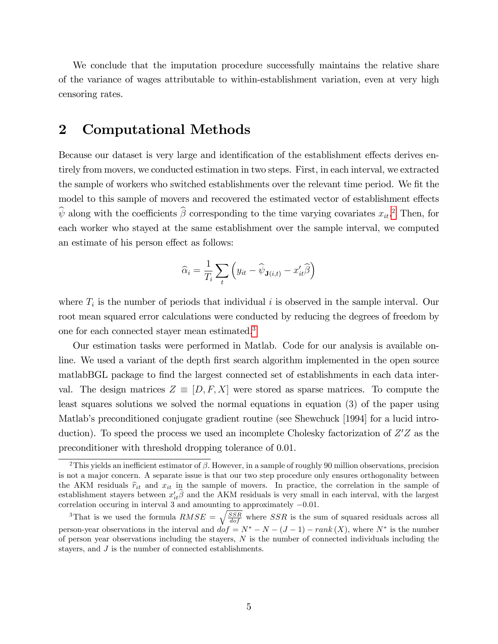We conclude that the imputation procedure successfully maintains the relative share of the variance of wages attributable to within-establishment variation, even at very high censoring rates.

### <span id="page-71-0"></span>2 Computational Methods

Because our dataset is very large and identification of the establishment effects derives entirely from movers, we conducted estimation in two steps. First, in each interval, we extracted the sample of workers who switched establishments over the relevant time period. We fit the model to this sample of movers and recovered the estimated vector of establishment effects  $\hat{\psi}$  along with the coefficients  $\hat{\beta}$  corresponding to the time varying covariates  $x_{it}$ <sup>[2](#page-71-1)</sup>. Then, for each worker who stayed at the same establishment over the sample interval, we computed an estimate of his person effect as follows:

$$
\widehat{\alpha}_i = \frac{1}{T_i} \sum_t \left( y_{it} - \widehat{\psi}_{\mathbf{J}(i,t)} - x_{it}' \widehat{\beta} \right)
$$

where  $T_i$  is the number of periods that individual i is observed in the sample interval. Our root mean squared error calculations were conducted by reducing the degrees of freedom by one for each connected stayer mean estimated.[3](#page-71-2)

Our estimation tasks were performed in Matlab. Code for our analysis is available online. We used a variant of the depth first search algorithm implemented in the open source matlabBGL package to find the largest connected set of establishments in each data interval. The design matrices  $Z \equiv [D, F, X]$  were stored as sparse matrices. To compute the least squares solutions we solved the normal equations in equation (3) of the paper using Matlab's preconditioned conjugate gradient routine (see Shewchuck [1994] for a lucid introduction). To speed the process we used an incomplete Cholesky factorization of  $Z'Z$  as the preconditioner with threshold dropping tolerance of 0.01.

<span id="page-71-1"></span><sup>&</sup>lt;sup>2</sup>This yields an inefficient estimator of  $\beta$ . However, in a sample of roughly 90 million observations, precision is not a major concern. A separate issue is that our two step procedure only ensures orthogonality between the AKM residuals  $\hat{r}_{it}$  and  $x_{it}$  in the sample of movers. In practice, the correlation in the sample of establishment stayers between  $x'_{it}\beta$  and the AKM residuals is very small in each interval, with the largest correlation occuring in interval 3 and amounting to approximately  $-0.01$ .

<span id="page-71-2"></span><sup>&</sup>lt;sup>3</sup>That is we used the formula  $RMSE = \sqrt{\frac{SSR}{dof}}$  where SSR is the sum of squared residuals across all person-year observations in the interval and  $dof = N^* - N - (J - 1) - rank(X)$ , where  $N^*$  is the number of person year observations including the stayers,  $N$  is the number of connected individuals including the stayers, and J is the number of connected establishments.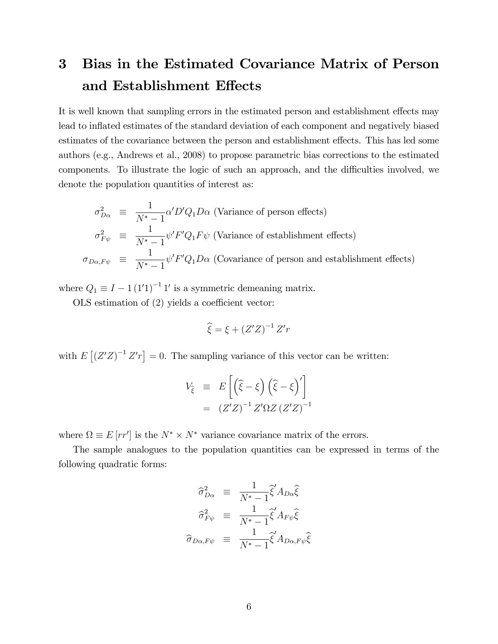# 3 Bias in the Estimated Covariance Matrix of Person and Establishment Effects

It is well known that sampling errors in the estimated person and establishment effects may lead to inflated estimates of the standard deviation of each component and negatively biased estimates of the covariance between the person and establishment effects. This has led some authors (e.g., Andrews et al., 2008) to propose parametric bias corrections to the estimated components. To illustrate the logic of such an approach, and the difficulties involved, we denote the population quantities of interest as:

$$
\sigma_{D\alpha}^2 \equiv \frac{1}{N^*-1} \alpha' D' Q_1 D\alpha \text{ (Variance of person effects)}
$$
\n
$$
\sigma_{F\psi}^2 \equiv \frac{1}{N^*-1} \psi' F' Q_1 F \psi \text{ (Variance of establishment effects)}
$$
\n
$$
\sigma_{D\alpha, F\psi} \equiv \frac{1}{N^*-1} \psi' F' Q_1 D\alpha \text{ (Covariance of person and establishment effects)}
$$

where  $Q_1 \equiv I - 1 (1'1)^{-1} 1'$  is a symmetric demeaning matrix.

OLS estimation of  $(2)$  yields a coefficient vector:

$$
\widehat{\xi} = \xi + \left(Z'Z\right)^{-1} Z'r
$$

with  $E[(Z'Z)^{-1}Z'r] = 0$ . The sampling variance of this vector can be written:

$$
V_{\hat{\xi}} \equiv E\left[\left(\hat{\xi} - \xi\right)\left(\hat{\xi} - \xi\right)'\right] \\
= (Z'Z)^{-1} Z'\Omega Z (Z'Z)^{-1}
$$

where  $\Omega \equiv E[rr']$  is the  $N^* \times N^*$  variance covariance matrix of the errors.

The sample analogues to the population quantities can be expressed in terms of the following quadratic forms:

$$
\widehat{\sigma}_{D\alpha}^2 \equiv \frac{1}{N^*-1} \widehat{\xi}' A_{D\alpha} \widehat{\xi}
$$

$$
\widehat{\sigma}_{F\psi}^2 \equiv \frac{1}{N^*-1} \widehat{\xi}' A_{F\psi} \widehat{\xi}
$$

$$
\widehat{\sigma}_{D\alpha, F\psi} \equiv \frac{1}{N^*-1} \widehat{\xi}' A_{D\alpha, F\psi} \widehat{\xi}
$$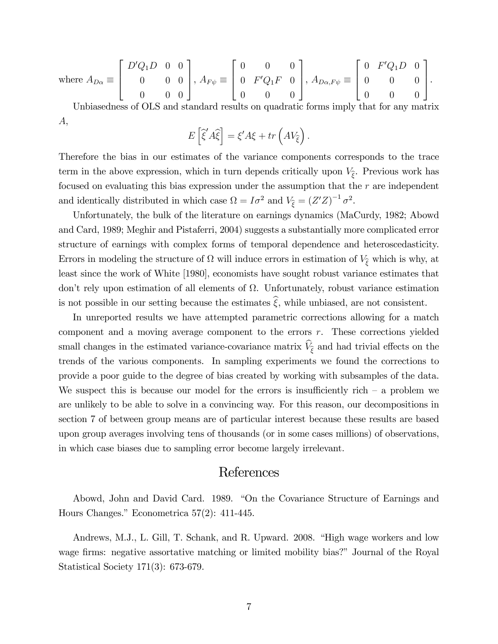where 
$$
A_{D\alpha} \equiv \begin{bmatrix} D'Q_1D & 0 & 0 \\ 0 & 0 & 0 \\ 0 & 0 & 0 \end{bmatrix}
$$
,  $A_{F\psi} \equiv \begin{bmatrix} 0 & 0 & 0 \\ 0 & F'Q_1F & 0 \\ 0 & 0 & 0 \end{bmatrix}$ ,  $A_{D\alpha,F\psi} \equiv \begin{bmatrix} 0 & F'Q_1D & 0 \\ 0 & 0 & 0 \\ 0 & 0 & 0 \end{bmatrix}$ .

Unbiasedness of OLS and standard results on quadratic forms imply that for any matrix A,

$$
E\left[\hat{\xi}'\hat{A}\hat{\xi}\right] = \xi' A \xi + tr\left(A V_{\hat{\xi}}\right).
$$

Therefore the bias in our estimates of the variance components corresponds to the trace term in the above expression, which in turn depends critically upon  $V_{\hat{\xi}}$ . Previous work has focused on evaluating this bias expression under the assumption that the r are independent and identically distributed in which case  $\Omega = I\sigma^2$  and  $V_{\hat{\xi}} = (Z'Z)^{-1}\sigma^2$ .

Unfortunately, the bulk of the literature on earnings dynamics (MaCurdy, 1982; Abowd and Card, 1989; Meghir and Pistaferri, 2004) suggests a substantially more complicated error structure of earnings with complex forms of temporal dependence and heteroscedasticity. Errors in modeling the structure of  $\Omega$  will induce errors in estimation of  $V_{\hat{\xi}}$  which is why, at least since the work of White [1980], economists have sought robust variance estimates that don't rely upon estimation of all elements of  $\Omega$ . Unfortunately, robust variance estimation is not possible in our setting because the estimates  $\hat{\xi}$ , while unbiased, are not consistent.

In unreported results we have attempted parametric corrections allowing for a match component and a moving average component to the errors r. These corrections yielded small changes in the estimated variance-covariance matrix  $V_{\hat{\xi}}$  and had trivial effects on the trends of the various components. In sampling experiments we found the corrections to provide a poor guide to the degree of bias created by working with subsamples of the data. We suspect this is because our model for the errors is insufficiently rich  $-$  a problem we are unlikely to be able to solve in a convincing way. For this reason, our decompositions in section 7 of between group means are of particular interest because these results are based upon group averages involving tens of thousands (or in some cases millions) of observations, in which case biases due to sampling error become largely irrelevant.

## References

Abowd, John and David Card. 1989. "On the Covariance Structure of Earnings and Hours Changes." Econometrica  $57(2)$ : 411-445.

Andrews, M.J., L. Gill, T. Schank, and R. Upward. 2008. "High wage workers and low wage firms: negative assortative matching or limited mobility bias?" Journal of the Royal Statistical Society 171(3): 673-679.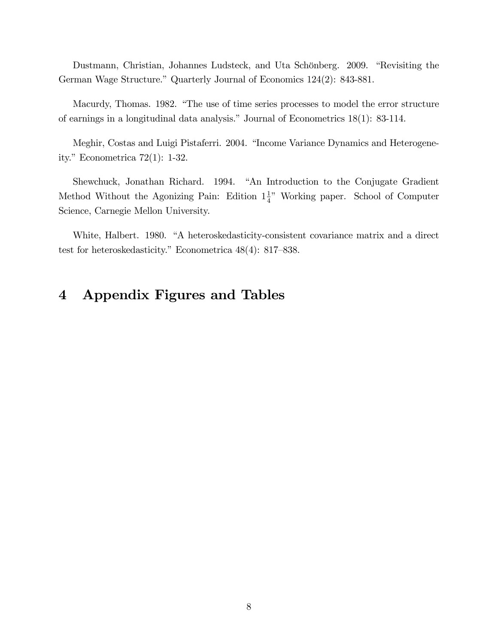Dustmann, Christian, Johannes Ludsteck, and Uta Schönberg. 2009. "Revisiting the German Wage Structure." Quarterly Journal of Economics 124(2): 843-881.

Macurdy, Thomas. 1982. "The use of time series processes to model the error structure of earnings in a longitudinal data analysis." Journal of Econometrics  $18(1)$ : 83-114.

Meghir, Costas and Luigi Pistaferri. 2004. "Income Variance Dynamics and Heterogeneity." Econometrica  $72(1)$ : 1-32.

Shewchuck, Jonathan Richard. 1994. "An Introduction to the Conjugate Gradient Method Without the Agonizing Pain: Edition  $1\frac{1}{4}$ " Working paper. School of Computer Science, Carnegie Mellon University.

White, Halbert. 1980. "A heteroskedasticity-consistent covariance matrix and a direct test for heteroskedasticity." Econometrica  $48(4)$ : 817–838.

## 4 Appendix Figures and Tables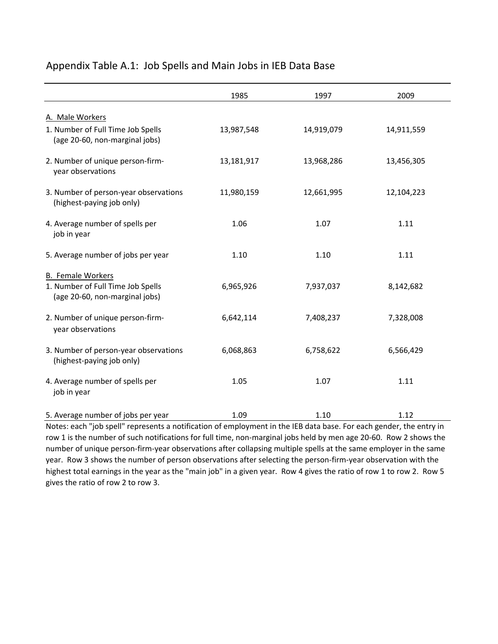|                                                                                                 | 1985       | 1997       | 2009       |
|-------------------------------------------------------------------------------------------------|------------|------------|------------|
| A. Male Workers                                                                                 |            |            |            |
| 1. Number of Full Time Job Spells<br>(age 20-60, non-marginal jobs)                             | 13,987,548 | 14,919,079 | 14,911,559 |
| 2. Number of unique person-firm-<br>year observations                                           | 13,181,917 | 13,968,286 | 13,456,305 |
| 3. Number of person-year observations<br>(highest-paying job only)                              | 11,980,159 | 12,661,995 | 12,104,223 |
| 4. Average number of spells per<br>job in year                                                  | 1.06       | 1.07       | 1.11       |
| 5. Average number of jobs per year                                                              | 1.10       | 1.10       | 1.11       |
| <b>B.</b> Female Workers<br>1. Number of Full Time Job Spells<br>(age 20-60, non-marginal jobs) | 6,965,926  | 7,937,037  | 8,142,682  |
| 2. Number of unique person-firm-<br>year observations                                           | 6,642,114  | 7,408,237  | 7,328,008  |
| 3. Number of person-year observations<br>(highest-paying job only)                              | 6,068,863  | 6,758,622  | 6,566,429  |
| 4. Average number of spells per<br>job in year                                                  | 1.05       | 1.07       | 1.11       |
| 5. Average number of jobs per year                                                              | 1.09       | 1.10       | 1.12       |

### Appendix Table A.1: Job Spells and Main Jobs in IEB Data Base

Notes: each "job spell" represents a notification of employment in the IEB data base. For each gender, the entry in row 1 is the number of such notifications for full time, non‐marginal jobs held by men age 20‐60. Row 2 shows the number of unique person‐firm‐year observations after collapsing multiple spells at the same employer in the same year. Row 3 shows the number of person observations after selecting the person‐firm‐year observation with the highest total earnings in the year as the "main job" in a given year. Row 4 gives the ratio of row 1 to row 2. Row 5 gives the ratio of row 2 to row 3.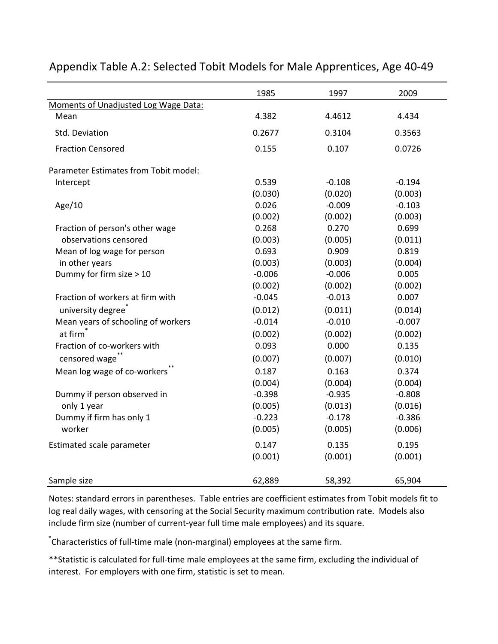|                                       | 1985     | 1997     | 2009     |
|---------------------------------------|----------|----------|----------|
| Moments of Unadjusted Log Wage Data:  |          |          |          |
| Mean                                  | 4.382    | 4.4612   | 4.434    |
| Std. Deviation                        | 0.2677   | 0.3104   | 0.3563   |
| <b>Fraction Censored</b>              | 0.155    | 0.107    | 0.0726   |
| Parameter Estimates from Tobit model: |          |          |          |
| Intercept                             | 0.539    | $-0.108$ | $-0.194$ |
|                                       | (0.030)  | (0.020)  | (0.003)  |
| Age/ $10$                             | 0.026    | $-0.009$ | $-0.103$ |
|                                       | (0.002)  | (0.002)  | (0.003)  |
| Fraction of person's other wage       | 0.268    | 0.270    | 0.699    |
| observations censored                 | (0.003)  | (0.005)  | (0.011)  |
| Mean of log wage for person           | 0.693    | 0.909    | 0.819    |
| in other years                        | (0.003)  | (0.003)  | (0.004)  |
| Dummy for firm size > 10              | $-0.006$ | $-0.006$ | 0.005    |
|                                       | (0.002)  | (0.002)  | (0.002)  |
| Fraction of workers at firm with      | $-0.045$ | $-0.013$ | 0.007    |
| university degree <sup>®</sup>        | (0.012)  | (0.011)  | (0.014)  |
| Mean years of schooling of workers    | $-0.014$ | $-0.010$ | $-0.007$ |
| at firm                               | (0.002)  | (0.002)  | (0.002)  |
| Fraction of co-workers with           | 0.093    | 0.000    | 0.135    |
| censored wage <sup>**</sup>           | (0.007)  | (0.007)  | (0.010)  |
| Mean log wage of co-workers           | 0.187    | 0.163    | 0.374    |
|                                       | (0.004)  | (0.004)  | (0.004)  |
| Dummy if person observed in           | $-0.398$ | $-0.935$ | $-0.808$ |
| only 1 year                           | (0.005)  | (0.013)  | (0.016)  |
| Dummy if firm has only 1              | $-0.223$ | $-0.178$ | $-0.386$ |
| worker                                | (0.005)  | (0.005)  | (0.006)  |
| Estimated scale parameter             | 0.147    | 0.135    | 0.195    |
|                                       | (0.001)  | (0.001)  | (0.001)  |
| Sample size                           | 62,889   | 58,392   | 65,904   |

## Appendix Table A.2: Selected Tobit Models for Male Apprentices, Age 40‐49

Notes: standard errors in parentheses. Table entries are coefficient estimates from Tobit models fit to log real daily wages, with censoring at the Social Security maximum contribution rate. Models also include firm size (number of current‐year full time male employees) and its square.

\* Characteristics of full‐time male (non‐marginal) employees at the same firm.

\*\*Statistic is calculated for full‐time male employees at the same firm, excluding the individual of interest. For employers with one firm, statistic is set to mean.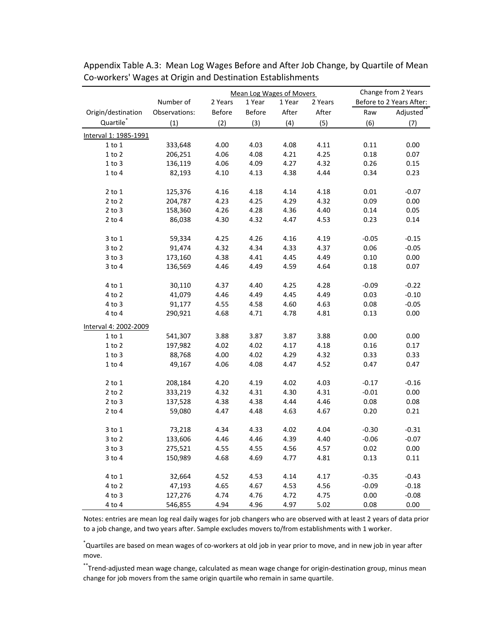|                       |               | Mean Log Wages of Movers |               |        | Change from 2 Years |         |                          |
|-----------------------|---------------|--------------------------|---------------|--------|---------------------|---------|--------------------------|
|                       | Number of     | 2 Years                  | 1 Year        | 1 Year | 2 Years             |         | Before to 2 Years After: |
| Origin/destination    | Observations: | <b>Before</b>            | <b>Before</b> | After  | After               | Raw     | Adjusted**               |
| Quartile <sup>*</sup> | (1)           | (2)                      | (3)           | (4)    | (5)                 | (6)     | (7)                      |
| Interval 1: 1985-1991 |               |                          |               |        |                     |         |                          |
| $1$ to $1$            | 333,648       | 4.00                     | 4.03          | 4.08   | 4.11                | 0.11    | 0.00                     |
| $1$ to $2$            | 206,251       | 4.06                     | 4.08          | 4.21   | 4.25                | 0.18    | 0.07                     |
| 1 to 3                | 136,119       | 4.06                     | 4.09          | 4.27   | 4.32                | 0.26    | 0.15                     |
| 1 to 4                | 82,193        | 4.10                     | 4.13          | 4.38   | 4.44                | 0.34    | 0.23                     |
| $2$ to $1$            | 125,376       | 4.16                     | 4.18          | 4.14   | 4.18                | 0.01    | $-0.07$                  |
| $2$ to $2$            | 204,787       | 4.23                     | 4.25          | 4.29   | 4.32                | 0.09    | 0.00                     |
| $2$ to $3$            | 158,360       | 4.26                     | 4.28          | 4.36   | 4.40                | 0.14    | 0.05                     |
| $2$ to $4$            | 86,038        | 4.30                     | 4.32          | 4.47   | 4.53                | 0.23    | 0.14                     |
| $3$ to $1$            | 59,334        | 4.25                     | 4.26          | 4.16   | 4.19                | $-0.05$ | $-0.15$                  |
| $3$ to $2$            | 91,474        | 4.32                     | 4.34          | 4.33   | 4.37                | 0.06    | $-0.05$                  |
| $3$ to $3$            | 173,160       | 4.38                     | 4.41          | 4.45   | 4.49                | 0.10    | 0.00                     |
| $3$ to $4$            | 136,569       | 4.46                     | 4.49          | 4.59   | 4.64                | 0.18    | 0.07                     |
| 4 to 1                | 30,110        | 4.37                     | 4.40          | 4.25   | 4.28                | $-0.09$ | $-0.22$                  |
| $4$ to $2$            | 41,079        | 4.46                     | 4.49          | 4.45   | 4.49                | 0.03    | $-0.10$                  |
| 4 to 3                | 91,177        | 4.55                     | 4.58          | 4.60   | 4.63                | 0.08    | $-0.05$                  |
| 4 to 4                | 290,921       | 4.68                     | 4.71          | 4.78   | 4.81                | 0.13    | 0.00                     |
| Interval 4: 2002-2009 |               |                          |               |        |                     |         |                          |
| $1$ to $1$            | 541,307       | 3.88                     | 3.87          | 3.87   | 3.88                | 0.00    | 0.00                     |
| 1 to 2                | 197,982       | 4.02                     | 4.02          | 4.17   | 4.18                | 0.16    | 0.17                     |
| $1$ to $3$            | 88,768        | 4.00                     | 4.02          | 4.29   | 4.32                | 0.33    | 0.33                     |
| $1$ to $4$            | 49,167        | 4.06                     | 4.08          | 4.47   | 4.52                | 0.47    | 0.47                     |
|                       |               |                          |               |        |                     |         |                          |
| $2$ to $1$            | 208,184       | 4.20                     | 4.19          | 4.02   | 4.03                | $-0.17$ | $-0.16$                  |
| $2$ to $2$            | 333,219       | 4.32                     | 4.31          | 4.30   | 4.31                | $-0.01$ | 0.00                     |
| $2$ to $3$            | 137,528       | 4.38                     | 4.38          | 4.44   | 4.46                | 0.08    | 0.08                     |
| $2$ to $4$            | 59,080        | 4.47                     | 4.48          | 4.63   | 4.67                | 0.20    | 0.21                     |
| $3$ to $1$            | 73,218        | 4.34                     | 4.33          | 4.02   | 4.04                | $-0.30$ | $-0.31$                  |
| $3$ to $2$            | 133,606       | 4.46                     | 4.46          | 4.39   | 4.40                | $-0.06$ | $-0.07$                  |
| $3$ to $3$            | 275,521       | 4.55                     | 4.55          | 4.56   | 4.57                | 0.02    | 0.00                     |
| $3$ to $4$            | 150,989       | 4.68                     | 4.69          | 4.77   | 4.81                | 0.13    | 0.11                     |
| $4$ to $1$            | 32,664        | 4.52                     | 4.53          | 4.14   | 4.17                | $-0.35$ | $-0.43$                  |
| $4$ to $2$            | 47,193        | 4.65                     | 4.67          | 4.53   | 4.56                | $-0.09$ | $-0.18$                  |
| $4$ to $3$            | 127,276       | 4.74                     | 4.76          | 4.72   | 4.75                | 0.00    | $-0.08$                  |
| 4 to 4                | 546,855       | 4.94                     | 4.96          | 4.97   | 5.02                | 0.08    | 0.00                     |

Appendix Table A.3: Mean Log Wages Before and After Job Change, by Quartile of Mean Co‐workers' Wages at Origin and Destination Establishments

Notes: entries are mean log real daily wages for job changers who are observed with at least 2 years of data prior to a job change, and two years after. Sample excludes movers to/from establishments with 1 worker.

\* Quartiles are based on mean wages of co‐workers at old job in year prior to move, and in new job in year after move.

\*\*Trend‐adjusted mean wage change, calculated as mean wage change for origin‐destination group, minus mean change for job movers from the same origin quartile who remain in same quartile.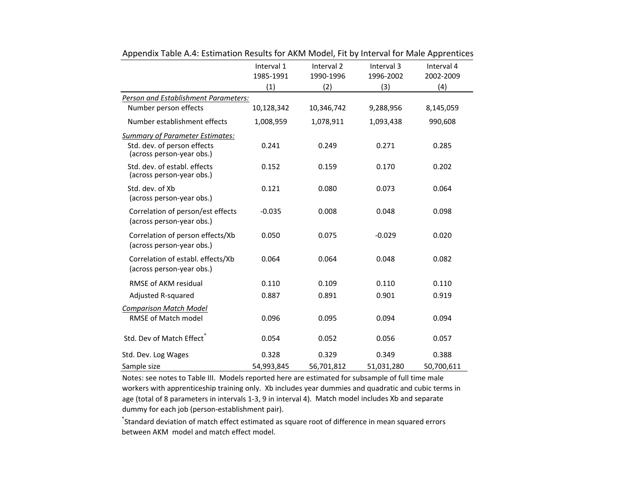|                                                                                                    | Interval 1<br>1985-1991<br>(1) | Interval <sub>2</sub><br>1990-1996<br>(2) | Interval 3<br>1996-2002<br>(3) | Interval 4<br>2002-2009<br>(4) |
|----------------------------------------------------------------------------------------------------|--------------------------------|-------------------------------------------|--------------------------------|--------------------------------|
| Person and Establishment Parameters:                                                               |                                |                                           |                                |                                |
| Number person effects                                                                              | 10,128,342                     | 10,346,742                                | 9,288,956                      | 8,145,059                      |
| Number establishment effects                                                                       | 1,008,959                      | 1,078,911                                 | 1,093,438                      | 990,608                        |
| <b>Summary of Parameter Estimates:</b><br>Std. dev. of person effects<br>(across person-year obs.) | 0.241                          | 0.249                                     | 0.271                          | 0.285                          |
| Std. dev. of establ. effects<br>(across person-year obs.)                                          | 0.152                          | 0.159                                     | 0.170                          | 0.202                          |
| Std. dev. of Xb<br>(across person-year obs.)                                                       | 0.121                          | 0.080                                     | 0.073                          | 0.064                          |
| Correlation of person/est effects<br>(across person-year obs.)                                     | $-0.035$                       | 0.008                                     | 0.048                          | 0.098                          |
| Correlation of person effects/Xb<br>(across person-year obs.)                                      | 0.050                          | 0.075                                     | $-0.029$                       | 0.020                          |
| Correlation of establ. effects/Xb<br>(across person-year obs.)                                     | 0.064                          | 0.064                                     | 0.048                          | 0.082                          |
| <b>RMSE of AKM residual</b>                                                                        | 0.110                          | 0.109                                     | 0.110                          | 0.110                          |
| Adjusted R-squared                                                                                 | 0.887                          | 0.891                                     | 0.901                          | 0.919                          |
| <b>Comparison Match Model</b>                                                                      |                                |                                           |                                |                                |
| RMSE of Match model                                                                                | 0.096                          | 0.095                                     | 0.094                          | 0.094                          |
| Std. Dev of Match Effect <sup>®</sup>                                                              | 0.054                          | 0.052                                     | 0.056                          | 0.057                          |
| Std. Dev. Log Wages                                                                                | 0.328                          | 0.329                                     | 0.349                          | 0.388                          |
| Sample size                                                                                        | 54,993,845                     | 56,701,812                                | 51,031,280                     | 50,700,611                     |

Appendix Table A.4: Estimation Results for AKM Model, Fit by Interval for Male Apprentices

Notes: see notes to Table III. Models reported here are estimated for subsample of full time male workers with apprenticeship training only. Xb includes year dummies and quadratic and cubic terms in age (total of 8 parameters in intervals 1-3, 9 in interval 4). Match model includes Xb and separate dummy for each job (person‐establishment pair).

\* Standard deviation of match effect estimated as square root of difference in mean squared errors between AKM model and match effect model.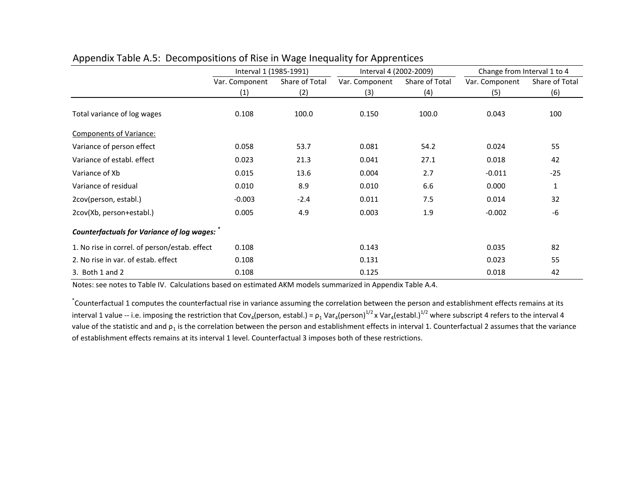|                                               | Interval 1 (1985-1991) |                | Interval 4 (2002-2009) |                | Change from Interval 1 to 4 |                |
|-----------------------------------------------|------------------------|----------------|------------------------|----------------|-----------------------------|----------------|
|                                               | Var. Component         | Share of Total | Var. Component         | Share of Total | Var. Component              | Share of Total |
|                                               | (1)                    | (2)            | (3)                    | (4)            | (5)                         | (6)            |
| Total variance of log wages                   | 0.108                  | 100.0          | 0.150                  | 100.0          | 0.043                       | 100            |
| Components of Variance:                       |                        |                |                        |                |                             |                |
| Variance of person effect                     | 0.058                  | 53.7           | 0.081                  | 54.2           | 0.024                       | 55             |
| Variance of establ, effect                    | 0.023                  | 21.3           | 0.041                  | 27.1           | 0.018                       | 42             |
| Variance of Xb                                | 0.015                  | 13.6           | 0.004                  | 2.7            | $-0.011$                    | $-25$          |
| Variance of residual                          | 0.010                  | 8.9            | 0.010                  | 6.6            | 0.000                       | $\mathbf{1}$   |
| 2cov(person, establ.)                         | $-0.003$               | $-2.4$         | 0.011                  | 7.5            | 0.014                       | 32             |
| 2cov(Xb, person+establ.)                      | 0.005                  | 4.9            | 0.003                  | 1.9            | $-0.002$                    | -6             |
| Counterfactuals for Variance of log wages:    |                        |                |                        |                |                             |                |
| 1. No rise in correl. of person/estab. effect | 0.108                  |                | 0.143                  |                | 0.035                       | 82             |
| 2. No rise in var. of estab. effect           | 0.108                  |                | 0.131                  |                | 0.023                       | 55             |
| 3. Both 1 and 2                               | 0.108                  |                | 0.125                  |                | 0.018                       | 42             |

#### Appendix Table A.5: Decompositions of Rise in Wage Inequality for Apprentices

Notes: see notes to Table IV. Calculations based on estimated AKM models summarized in Appendix Table A.4.

\* Counterfactual 1 computes the counterfactual rise in variance assuming the correlation between the person and establishment effects remains at its interval 1 value -- i.e. imposing the restriction that Cov<sub>4</sub>(person, establ.) =  $\rho_1$  Var<sub>4</sub>(person)<sup>1/2</sup> x Var<sub>4</sub>(establ.)<sup>1/2</sup> where subscript 4 refers to the interval 4 value of the statistic and and  $p_1$  is the correlation between the person and establishment effects in interval 1. Counterfactual 2 assumes that the variance of establishment effects remains at its interval 1 level. Counterfactual 3 imposes both of these restrictions.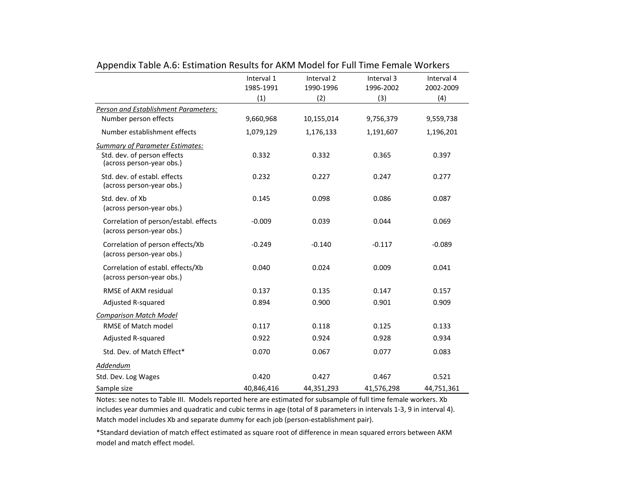|                                                                                                    | Interval 1<br>1985-1991 | Interval <sub>2</sub><br>1990-1996 | Interval 3<br>1996-2002 | Interval 4<br>2002-2009 |
|----------------------------------------------------------------------------------------------------|-------------------------|------------------------------------|-------------------------|-------------------------|
|                                                                                                    | (1)                     | (2)                                | (3)                     | (4)                     |
| Person and Establishment Parameters:                                                               |                         |                                    |                         |                         |
| Number person effects                                                                              | 9,660,968               | 10,155,014                         | 9,756,379               | 9,559,738               |
| Number establishment effects                                                                       | 1,079,129               | 1,176,133                          | 1,191,607               | 1,196,201               |
| <b>Summary of Parameter Estimates:</b><br>Std. dev. of person effects<br>(across person-year obs.) | 0.332                   | 0.332                              | 0.365                   | 0.397                   |
| Std. dev. of establ. effects<br>(across person-year obs.)                                          | 0.232                   | 0.227                              | 0.247                   | 0.277                   |
| Std. dev. of Xb<br>(across person-year obs.)                                                       | 0.145                   | 0.098                              | 0.086                   | 0.087                   |
| Correlation of person/establ. effects<br>(across person-year obs.)                                 | $-0.009$                | 0.039                              | 0.044                   | 0.069                   |
| Correlation of person effects/Xb<br>(across person-year obs.)                                      | $-0.249$                | $-0.140$                           | $-0.117$                | $-0.089$                |
| Correlation of establ. effects/Xb<br>(across person-year obs.)                                     | 0.040                   | 0.024                              | 0.009                   | 0.041                   |
| <b>RMSE of AKM residual</b>                                                                        | 0.137                   | 0.135                              | 0.147                   | 0.157                   |
| Adjusted R-squared                                                                                 | 0.894                   | 0.900                              | 0.901                   | 0.909                   |
| <b>Comparison Match Model</b>                                                                      |                         |                                    |                         |                         |
| <b>RMSE of Match model</b>                                                                         | 0.117                   | 0.118                              | 0.125                   | 0.133                   |
| Adjusted R-squared                                                                                 | 0.922                   | 0.924                              | 0.928                   | 0.934                   |
| Std. Dev. of Match Effect*                                                                         | 0.070                   | 0.067                              | 0.077                   | 0.083                   |
| Addendum                                                                                           |                         |                                    |                         |                         |
| Std. Dev. Log Wages                                                                                | 0.420                   | 0.427                              | 0.467                   | 0.521                   |
| Sample size                                                                                        | 40,846,416              | 44,351,293                         | 41,576,298              | 44,751,361              |

#### Appendix Table A.6: Estimation Results for AKM Model for Full Time Female Workers

 $\overline{\phantom{0}}$ 

 $\overline{\phantom{0}}$ 

Notes: see notes to Table III. Models reported here are estimated for subsample of full time female workers. Xb includes year dummies and quadratic and cubic terms in age (total of 8 parameters in intervals 1‐3, 9 in interval 4). Match model includes Xb and separate dummy for each job (person‐establishment pair).

\*Standard deviation of match effect estimated as square root of difference in mean squared errors between AKM model and match effect model.